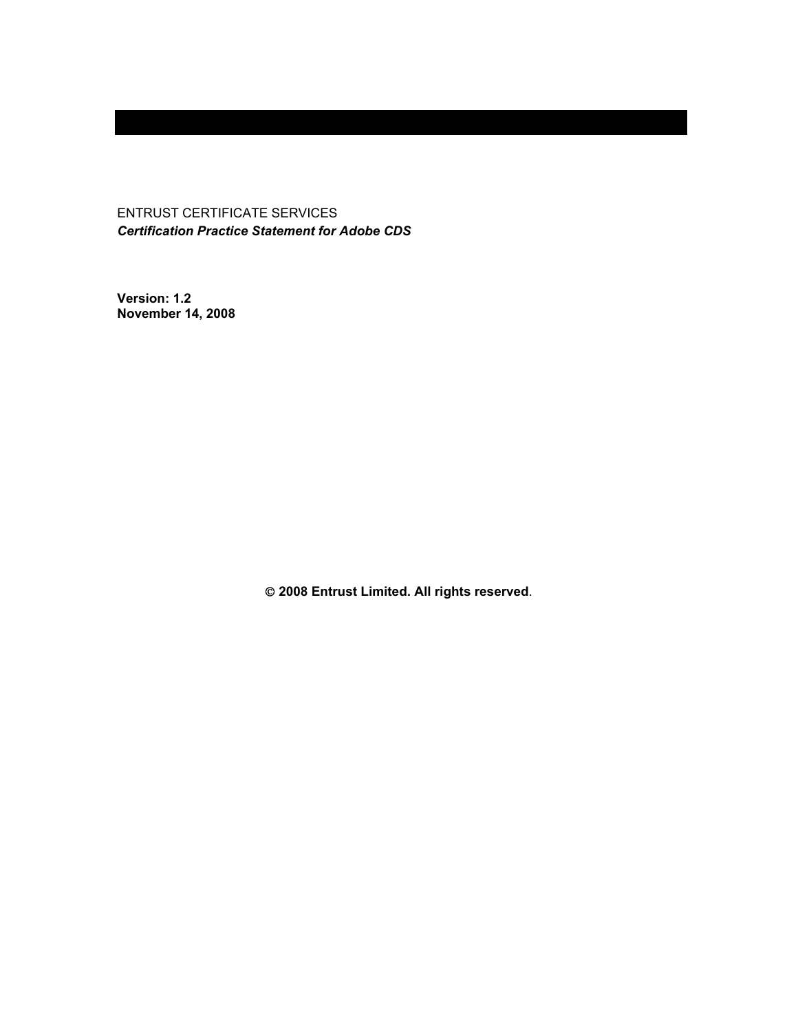ENTRUST CERTIFICATE SERVICES *Certification Practice Statement for Adobe CDS* 

**Version: 1.2 November 14, 2008** 

 **2008 Entrust Limited. All rights reserved**.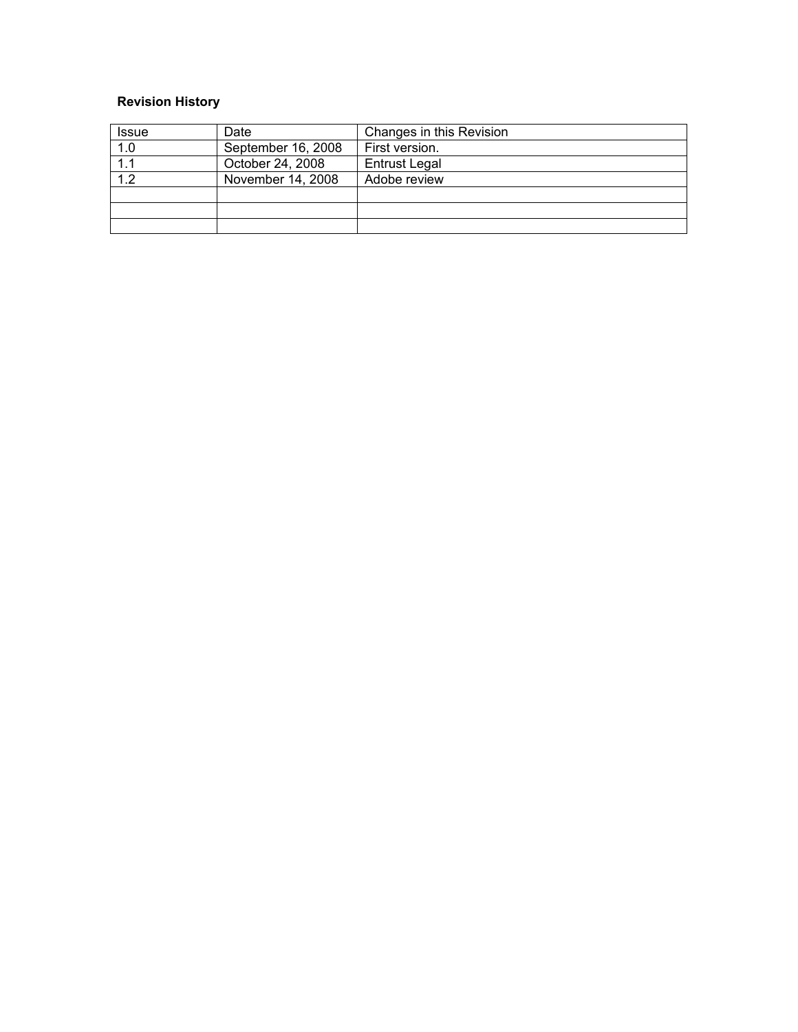# **Revision History**

| <b>Issue</b> | Date               | Changes in this Revision |
|--------------|--------------------|--------------------------|
| 1.0          | September 16, 2008 | First version.           |
| 1.1          | October 24, 2008   | <b>Entrust Legal</b>     |
| 12           | November 14, 2008  | Adobe review             |
|              |                    |                          |
|              |                    |                          |
|              |                    |                          |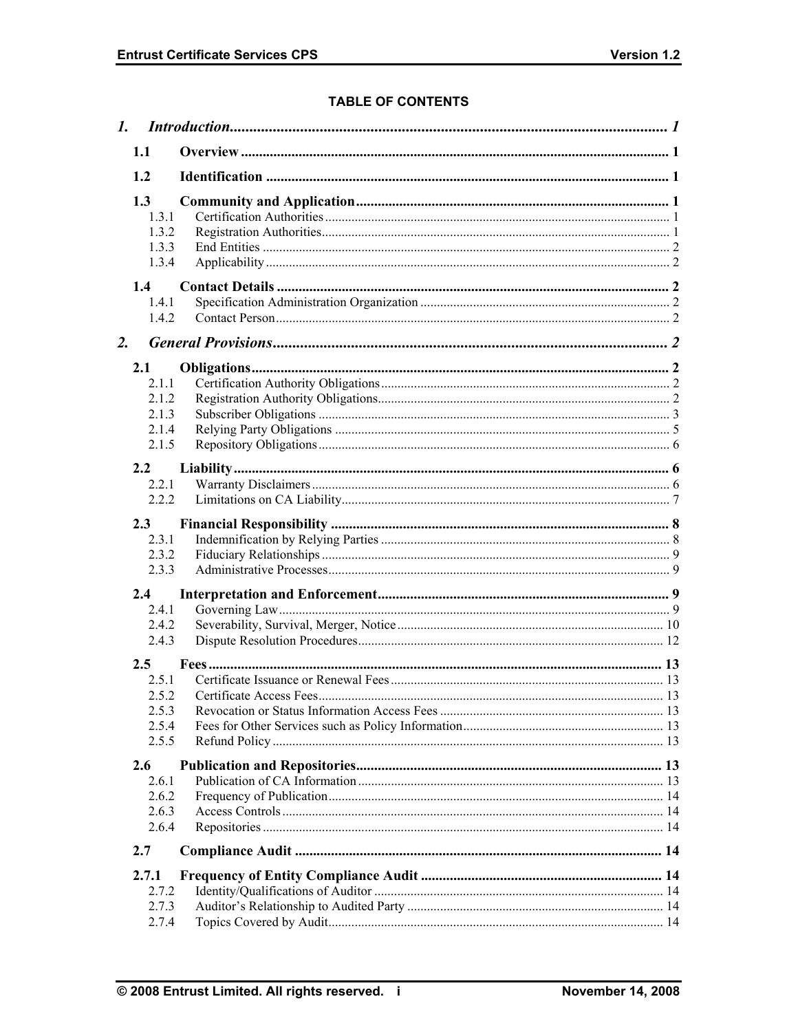# **TABLE OF CONTENTS**

|    | 1.                                               |  |
|----|--------------------------------------------------|--|
|    | 1.1                                              |  |
|    | 1.2                                              |  |
|    | 1.3<br>1.3.1<br>1.3.2<br>1.3.3<br>1.3.4          |  |
|    | 1.4<br>1.4.1<br>1.4.2                            |  |
| 2. |                                                  |  |
|    | 2.1<br>2.1.1<br>2.1.2<br>2.1.3<br>2.1.4<br>2.1.5 |  |
|    | 2.2<br>2.2.1<br>2.2.2                            |  |
|    | 2.3<br>2.3.1<br>2.3.2<br>2.3.3                   |  |
|    | 2.4                                              |  |
|    | 2.4.1<br>2.4.2<br>2.4.3                          |  |
|    | 2.5<br>2.5.1                                     |  |
|    | 2.5.2<br>2.5.3<br>2.5.4<br>2.5.5                 |  |
|    | 2.6<br>2.6.1<br>2.6.2<br>2.6.3<br>2.6.4          |  |
|    | 2.7                                              |  |
|    | 2.7.1<br>2.7.2<br>2.7.3<br>2.7.4                 |  |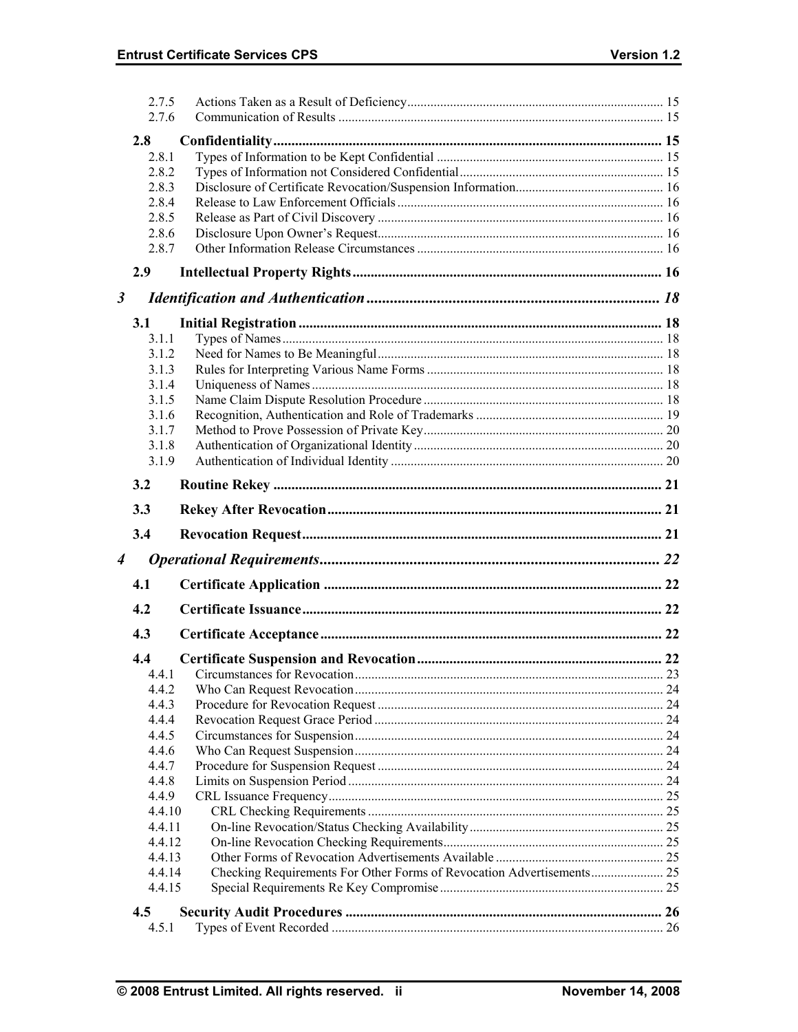|                      | 2.7.5<br>2.7.6 |  |
|----------------------|----------------|--|
|                      |                |  |
|                      | 2.8            |  |
|                      | 2.8.1          |  |
|                      | 2.8.2          |  |
|                      | 2.8.3          |  |
|                      | 2.8.4          |  |
|                      | 2.8.5          |  |
|                      | 2.8.6          |  |
|                      | 2.8.7          |  |
|                      | 2.9            |  |
| $\boldsymbol{\beta}$ |                |  |
|                      | 3.1            |  |
|                      | 3.1.1          |  |
|                      | 3.1.2          |  |
|                      | 3.1.3          |  |
|                      | 3.1.4          |  |
|                      | 3.1.5          |  |
|                      | 3.1.6          |  |
|                      | 3.1.7          |  |
|                      | 3.1.8          |  |
|                      | 3.1.9          |  |
|                      | 3.2            |  |
|                      | 3.3            |  |
|                      |                |  |
|                      |                |  |
|                      | 3.4            |  |
| $\boldsymbol{4}$     |                |  |
|                      | 4.1            |  |
|                      | 4.2            |  |
|                      | 4.3            |  |
|                      | 4.4            |  |
|                      | 4.4.1          |  |
|                      | 4.4.2          |  |
|                      | 4.4.3          |  |
|                      | 4.4.4          |  |
|                      | 4.4.5          |  |
|                      | 4.4.6          |  |
|                      | 4.4.7          |  |
|                      | 4.4.8          |  |
|                      | 4.4.9          |  |
|                      | 4.4.10         |  |
|                      | 4.4.11         |  |
|                      | 4.4.12         |  |
|                      | 4.4.13         |  |
|                      | 4.4.14         |  |
|                      | 4.4.15         |  |
|                      | 4.5<br>4.5.1   |  |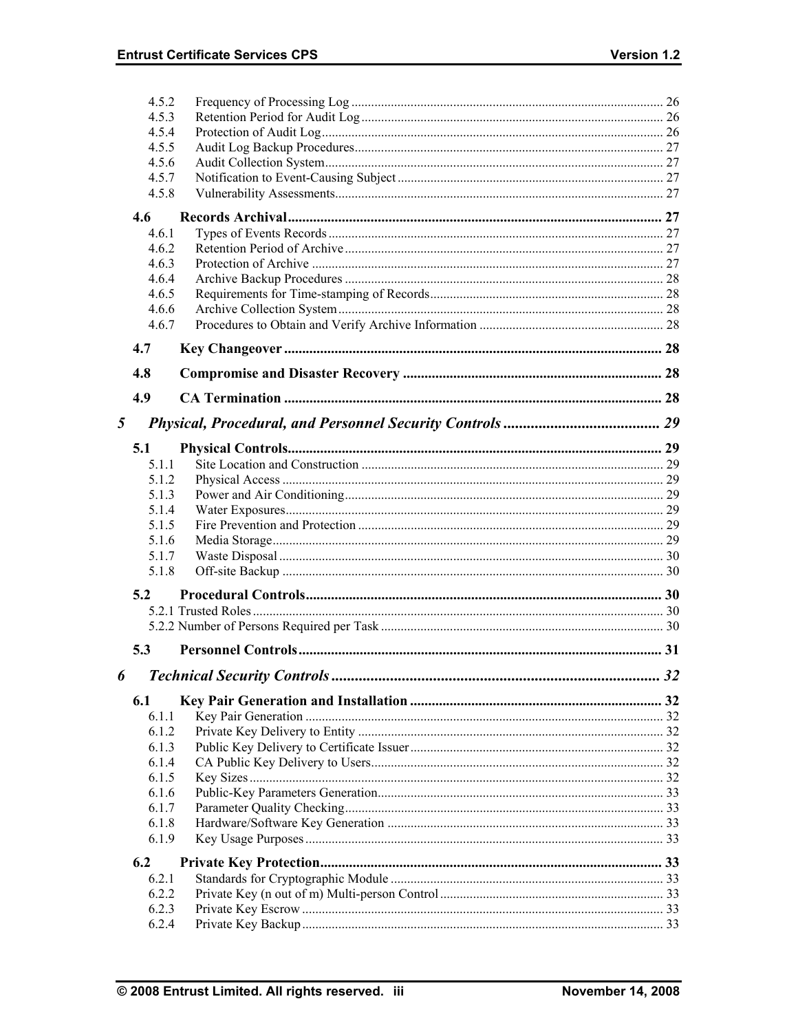|   | 4.5.2          |                                     |    |
|---|----------------|-------------------------------------|----|
|   | 4.5.3          |                                     |    |
|   | 4.5.4          |                                     |    |
|   | 4.5.5          |                                     |    |
|   | 4.5.6          |                                     |    |
|   | 4.5.7          |                                     |    |
|   | 4.5.8          |                                     |    |
|   | 4.6            |                                     |    |
|   | 4.6.1          |                                     |    |
|   | 4.6.2          |                                     |    |
|   | 4.6.3          |                                     |    |
|   | 4.6.4          |                                     |    |
|   | 4.6.5          |                                     |    |
|   | 4.6.6          |                                     |    |
|   | 4.6.7          |                                     |    |
|   |                |                                     |    |
|   | 4.7            |                                     |    |
|   | 4.8            |                                     |    |
|   | 4.9            |                                     |    |
|   |                |                                     |    |
| 5 |                |                                     |    |
|   | 5.1            |                                     |    |
|   | 5.1.1          |                                     |    |
|   | 5.1.2          |                                     |    |
|   | 5.1.3          |                                     |    |
|   | 5.1.4          |                                     |    |
|   | 5.1.5          |                                     |    |
|   |                |                                     |    |
|   | 5.1.6          |                                     |    |
|   | 5.1.7          |                                     |    |
|   | 5.1.8          |                                     |    |
|   | 5.2            |                                     |    |
|   |                |                                     |    |
|   |                |                                     |    |
|   |                |                                     |    |
|   | 5.3            |                                     |    |
| 6 |                | <b>Technical Security Controls.</b> | 32 |
|   | 6.1            |                                     |    |
|   | 6.1.1          |                                     |    |
|   | 6.1.2          |                                     |    |
|   | 6.1.3          |                                     |    |
|   | 6.1.4          |                                     |    |
|   | 6.1.5          |                                     |    |
|   | 6.1.6          |                                     |    |
|   | 6.1.7          |                                     |    |
|   | 6.1.8          |                                     |    |
|   | 6.1.9          |                                     |    |
|   | 6.2            |                                     |    |
|   | 6.2.1          |                                     |    |
|   | 6.2.2          |                                     |    |
|   | 6.2.3<br>6.2.4 |                                     |    |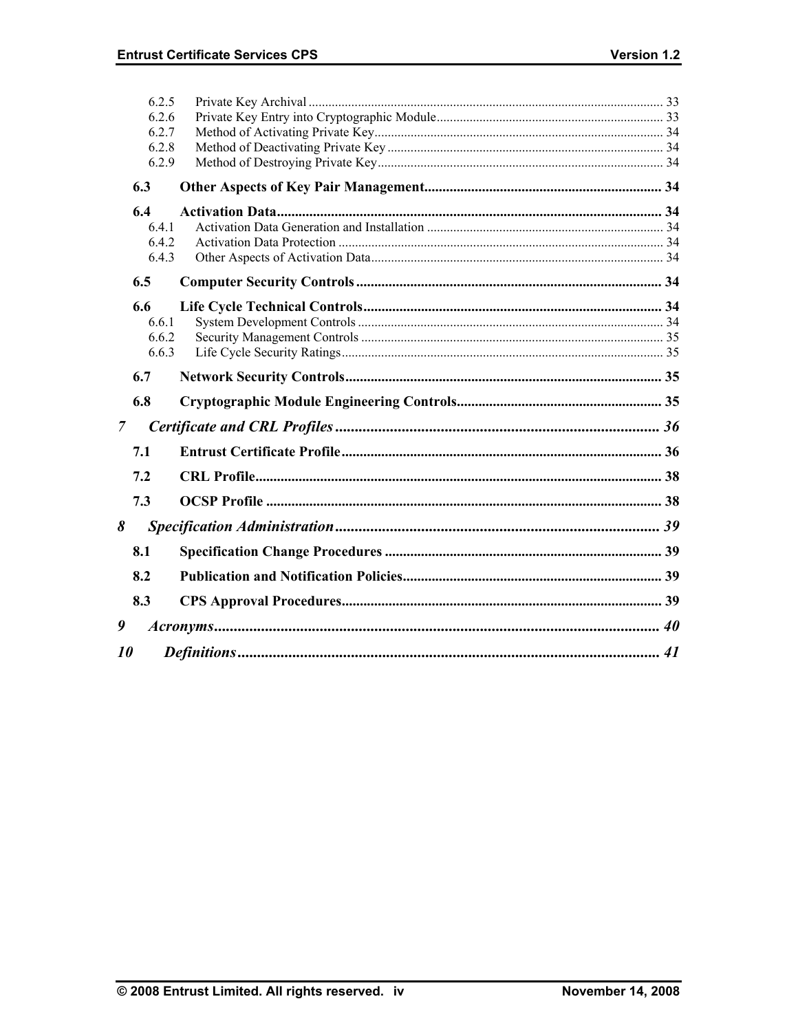|                | 6.2.5 |  |
|----------------|-------|--|
|                | 6.2.6 |  |
|                | 6.2.7 |  |
|                | 6.2.8 |  |
|                | 6.2.9 |  |
|                | 6.3   |  |
|                | 6.4   |  |
|                | 6.4.1 |  |
|                | 6.4.2 |  |
|                | 6.4.3 |  |
|                | 6.5   |  |
|                | 6.6   |  |
|                | 6.6.1 |  |
|                | 6.6.2 |  |
|                | 6.6.3 |  |
|                | 6.7   |  |
|                | 6.8   |  |
| $\overline{7}$ |       |  |
|                | 7.1   |  |
|                | 7.2   |  |
|                | 7.3   |  |
| 8              |       |  |
|                | 8.1   |  |
|                |       |  |
|                | 8.2   |  |
|                | 8.3   |  |
| 9              |       |  |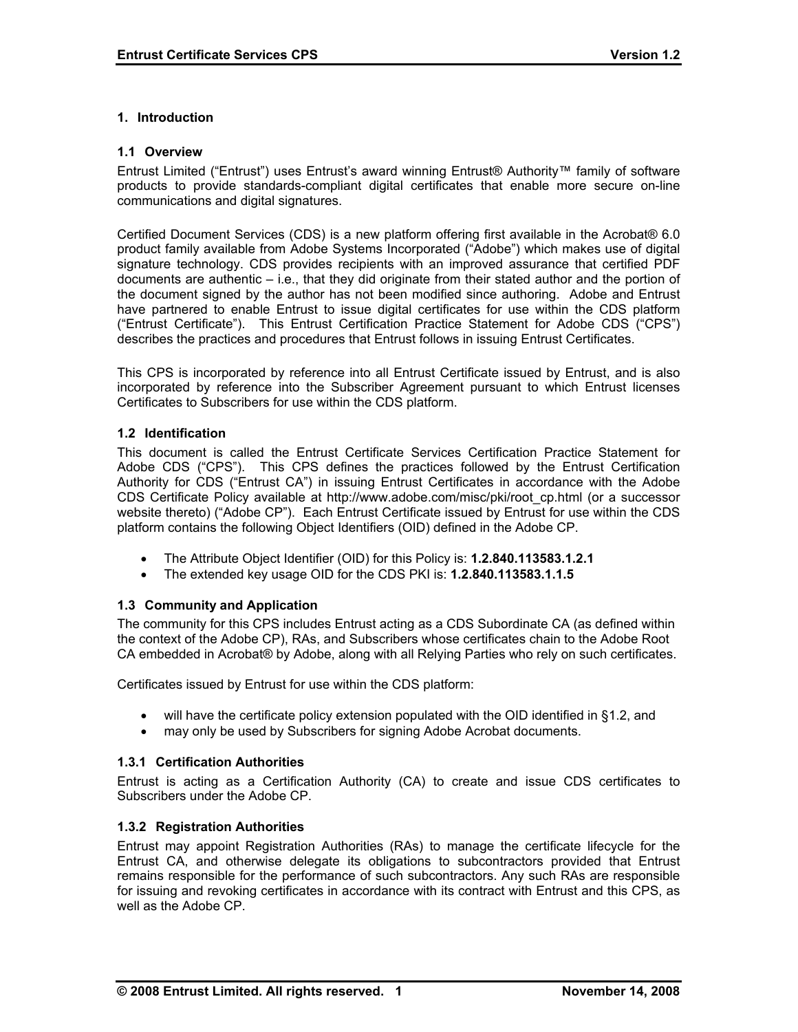### **1. Introduction**

#### **1.1 Overview**

Entrust Limited ("Entrust") uses Entrust's award winning Entrust® Authority™ family of software products to provide standards-compliant digital certificates that enable more secure on-line communications and digital signatures.

Certified Document Services (CDS) is a new platform offering first available in the Acrobat® 6.0 product family available from Adobe Systems Incorporated ("Adobe") which makes use of digital signature technology. CDS provides recipients with an improved assurance that certified PDF documents are authentic – i.e., that they did originate from their stated author and the portion of the document signed by the author has not been modified since authoring. Adobe and Entrust have partnered to enable Entrust to issue digital certificates for use within the CDS platform ("Entrust Certificate"). This Entrust Certification Practice Statement for Adobe CDS ("CPS") describes the practices and procedures that Entrust follows in issuing Entrust Certificates.

This CPS is incorporated by reference into all Entrust Certificate issued by Entrust, and is also incorporated by reference into the Subscriber Agreement pursuant to which Entrust licenses Certificates to Subscribers for use within the CDS platform.

#### **1.2 Identification**

This document is called the Entrust Certificate Services Certification Practice Statement for Adobe CDS ("CPS"). This CPS defines the practices followed by the Entrust Certification Authority for CDS ("Entrust CA") in issuing Entrust Certificates in accordance with the Adobe CDS Certificate Policy available at http://www.adobe.com/misc/pki/root\_cp.html (or a successor website thereto) ("Adobe CP"). Each Entrust Certificate issued by Entrust for use within the CDS platform contains the following Object Identifiers (OID) defined in the Adobe CP.

- The Attribute Object Identifier (OID) for this Policy is: **1.2.840.113583.1.2.1**
- The extended key usage OID for the CDS PKI is: **1.2.840.113583.1.1.5**

### **1.3 Community and Application**

The community for this CPS includes Entrust acting as a CDS Subordinate CA (as defined within the context of the Adobe CP), RAs, and Subscribers whose certificates chain to the Adobe Root CA embedded in Acrobat® by Adobe, along with all Relying Parties who rely on such certificates.

Certificates issued by Entrust for use within the CDS platform:

- will have the certificate policy extension populated with the OID identified in §1.2, and
- may only be used by Subscribers for signing Adobe Acrobat documents.

### **1.3.1 Certification Authorities**

Entrust is acting as a Certification Authority (CA) to create and issue CDS certificates to Subscribers under the Adobe CP.

#### **1.3.2 Registration Authorities**

Entrust may appoint Registration Authorities (RAs) to manage the certificate lifecycle for the Entrust CA, and otherwise delegate its obligations to subcontractors provided that Entrust remains responsible for the performance of such subcontractors. Any such RAs are responsible for issuing and revoking certificates in accordance with its contract with Entrust and this CPS, as well as the Adobe CP.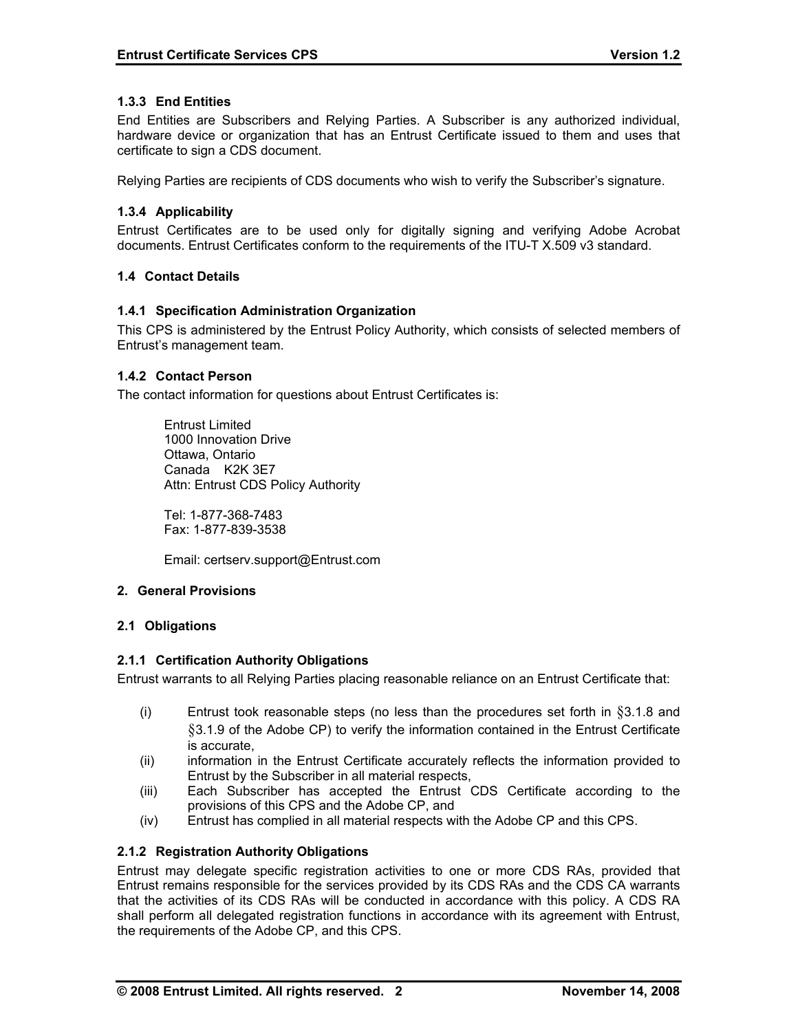## **1.3.3 End Entities**

End Entities are Subscribers and Relying Parties. A Subscriber is any authorized individual, hardware device or organization that has an Entrust Certificate issued to them and uses that certificate to sign a CDS document.

Relying Parties are recipients of CDS documents who wish to verify the Subscriber's signature.

## **1.3.4 Applicability**

Entrust Certificates are to be used only for digitally signing and verifying Adobe Acrobat documents. Entrust Certificates conform to the requirements of the ITU-T X.509 v3 standard.

### **1.4 Contact Details**

### **1.4.1 Specification Administration Organization**

This CPS is administered by the Entrust Policy Authority, which consists of selected members of Entrust's management team.

# **1.4.2 Contact Person**

The contact information for questions about Entrust Certificates is:

 Entrust Limited 1000 Innovation Drive Ottawa, Ontario Canada K2K 3E7 Attn: Entrust CDS Policy Authority

 Tel: 1-877-368-7483 Fax: 1-877-839-3538

Email: certserv.support@Entrust.com

### **2. General Provisions**

### **2.1 Obligations**

### **2.1.1 Certification Authority Obligations**

Entrust warrants to all Relying Parties placing reasonable reliance on an Entrust Certificate that:

- (i) Entrust took reasonable steps (no less than the procedures set forth in  $\S 3.1.8$  and §3.1.9 of the Adobe CP) to verify the information contained in the Entrust Certificate is accurate,
- (ii) information in the Entrust Certificate accurately reflects the information provided to Entrust by the Subscriber in all material respects,
- (iii) Each Subscriber has accepted the Entrust CDS Certificate according to the provisions of this CPS and the Adobe CP, and
- (iv) Entrust has complied in all material respects with the Adobe CP and this CPS.

### **2.1.2 Registration Authority Obligations**

Entrust may delegate specific registration activities to one or more CDS RAs, provided that Entrust remains responsible for the services provided by its CDS RAs and the CDS CA warrants that the activities of its CDS RAs will be conducted in accordance with this policy. A CDS RA shall perform all delegated registration functions in accordance with its agreement with Entrust, the requirements of the Adobe CP, and this CPS.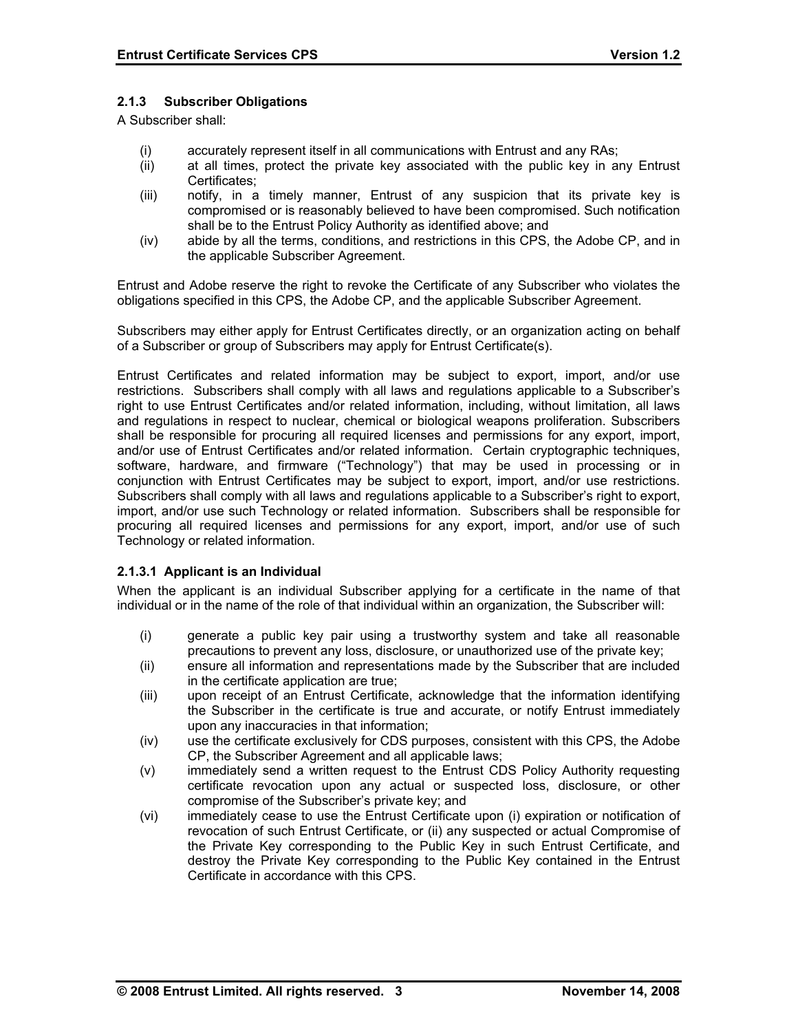### **2.1.3 Subscriber Obligations**

A Subscriber shall:

- (i) accurately represent itself in all communications with Entrust and any RAs;
- (ii) at all times, protect the private key associated with the public key in any Entrust Certificates;
- (iii) notify, in a timely manner, Entrust of any suspicion that its private key is compromised or is reasonably believed to have been compromised. Such notification shall be to the Entrust Policy Authority as identified above; and
- (iv) abide by all the terms, conditions, and restrictions in this CPS, the Adobe CP, and in the applicable Subscriber Agreement.

Entrust and Adobe reserve the right to revoke the Certificate of any Subscriber who violates the obligations specified in this CPS, the Adobe CP, and the applicable Subscriber Agreement.

Subscribers may either apply for Entrust Certificates directly, or an organization acting on behalf of a Subscriber or group of Subscribers may apply for Entrust Certificate(s).

Entrust Certificates and related information may be subject to export, import, and/or use restrictions. Subscribers shall comply with all laws and regulations applicable to a Subscriber's right to use Entrust Certificates and/or related information, including, without limitation, all laws and regulations in respect to nuclear, chemical or biological weapons proliferation. Subscribers shall be responsible for procuring all required licenses and permissions for any export, import, and/or use of Entrust Certificates and/or related information. Certain cryptographic techniques, software, hardware, and firmware ("Technology") that may be used in processing or in conjunction with Entrust Certificates may be subject to export, import, and/or use restrictions. Subscribers shall comply with all laws and regulations applicable to a Subscriber's right to export, import, and/or use such Technology or related information. Subscribers shall be responsible for procuring all required licenses and permissions for any export, import, and/or use of such Technology or related information.

### **2.1.3.1 Applicant is an Individual**

When the applicant is an individual Subscriber applying for a certificate in the name of that individual or in the name of the role of that individual within an organization, the Subscriber will:

- (i) generate a public key pair using a trustworthy system and take all reasonable precautions to prevent any loss, disclosure, or unauthorized use of the private key;
- (ii) ensure all information and representations made by the Subscriber that are included in the certificate application are true;
- (iii) upon receipt of an Entrust Certificate, acknowledge that the information identifying the Subscriber in the certificate is true and accurate, or notify Entrust immediately upon any inaccuracies in that information;
- (iv) use the certificate exclusively for CDS purposes, consistent with this CPS, the Adobe CP, the Subscriber Agreement and all applicable laws;
- (v) immediately send a written request to the Entrust CDS Policy Authority requesting certificate revocation upon any actual or suspected loss, disclosure, or other compromise of the Subscriber's private key; and
- (vi) immediately cease to use the Entrust Certificate upon (i) expiration or notification of revocation of such Entrust Certificate, or (ii) any suspected or actual Compromise of the Private Key corresponding to the Public Key in such Entrust Certificate, and destroy the Private Key corresponding to the Public Key contained in the Entrust Certificate in accordance with this CPS.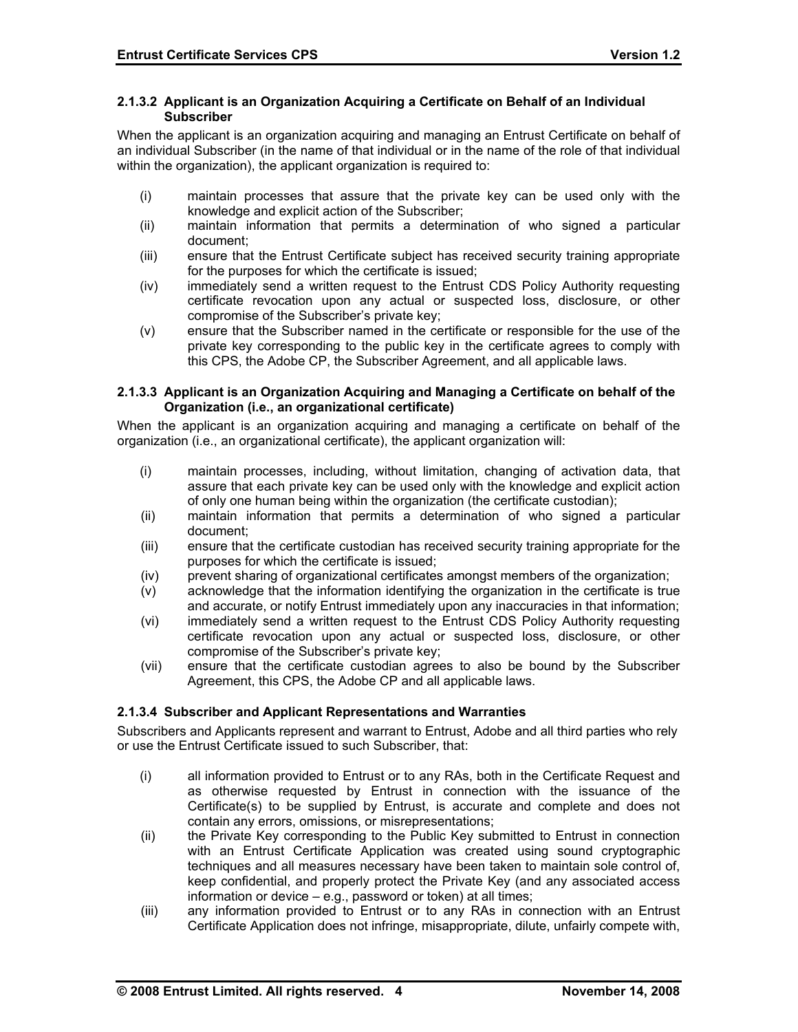#### **2.1.3.2 Applicant is an Organization Acquiring a Certificate on Behalf of an Individual Subscriber**

When the applicant is an organization acquiring and managing an Entrust Certificate on behalf of an individual Subscriber (in the name of that individual or in the name of the role of that individual within the organization), the applicant organization is required to:

- (i) maintain processes that assure that the private key can be used only with the knowledge and explicit action of the Subscriber;
- (ii) maintain information that permits a determination of who signed a particular document;
- (iii) ensure that the Entrust Certificate subject has received security training appropriate for the purposes for which the certificate is issued;
- (iv) immediately send a written request to the Entrust CDS Policy Authority requesting certificate revocation upon any actual or suspected loss, disclosure, or other compromise of the Subscriber's private key;
- (v) ensure that the Subscriber named in the certificate or responsible for the use of the private key corresponding to the public key in the certificate agrees to comply with this CPS, the Adobe CP, the Subscriber Agreement, and all applicable laws.

#### **2.1.3.3 Applicant is an Organization Acquiring and Managing a Certificate on behalf of the Organization (i.e., an organizational certificate)**

When the applicant is an organization acquiring and managing a certificate on behalf of the organization (i.e., an organizational certificate), the applicant organization will:

- (i) maintain processes, including, without limitation, changing of activation data, that assure that each private key can be used only with the knowledge and explicit action of only one human being within the organization (the certificate custodian);
- (ii) maintain information that permits a determination of who signed a particular document;
- (iii) ensure that the certificate custodian has received security training appropriate for the purposes for which the certificate is issued;
- (iv) prevent sharing of organizational certificates amongst members of the organization;
- (v) acknowledge that the information identifying the organization in the certificate is true and accurate, or notify Entrust immediately upon any inaccuracies in that information;
- (vi) immediately send a written request to the Entrust CDS Policy Authority requesting certificate revocation upon any actual or suspected loss, disclosure, or other compromise of the Subscriber's private key;
- (vii) ensure that the certificate custodian agrees to also be bound by the Subscriber Agreement, this CPS, the Adobe CP and all applicable laws.

### **2.1.3.4 Subscriber and Applicant Representations and Warranties**

Subscribers and Applicants represent and warrant to Entrust, Adobe and all third parties who rely or use the Entrust Certificate issued to such Subscriber, that:

- (i) all information provided to Entrust or to any RAs, both in the Certificate Request and as otherwise requested by Entrust in connection with the issuance of the Certificate(s) to be supplied by Entrust, is accurate and complete and does not contain any errors, omissions, or misrepresentations;
- (ii) the Private Key corresponding to the Public Key submitted to Entrust in connection with an Entrust Certificate Application was created using sound cryptographic techniques and all measures necessary have been taken to maintain sole control of, keep confidential, and properly protect the Private Key (and any associated access information or device – e.g., password or token) at all times;
- (iii) any information provided to Entrust or to any RAs in connection with an Entrust Certificate Application does not infringe, misappropriate, dilute, unfairly compete with,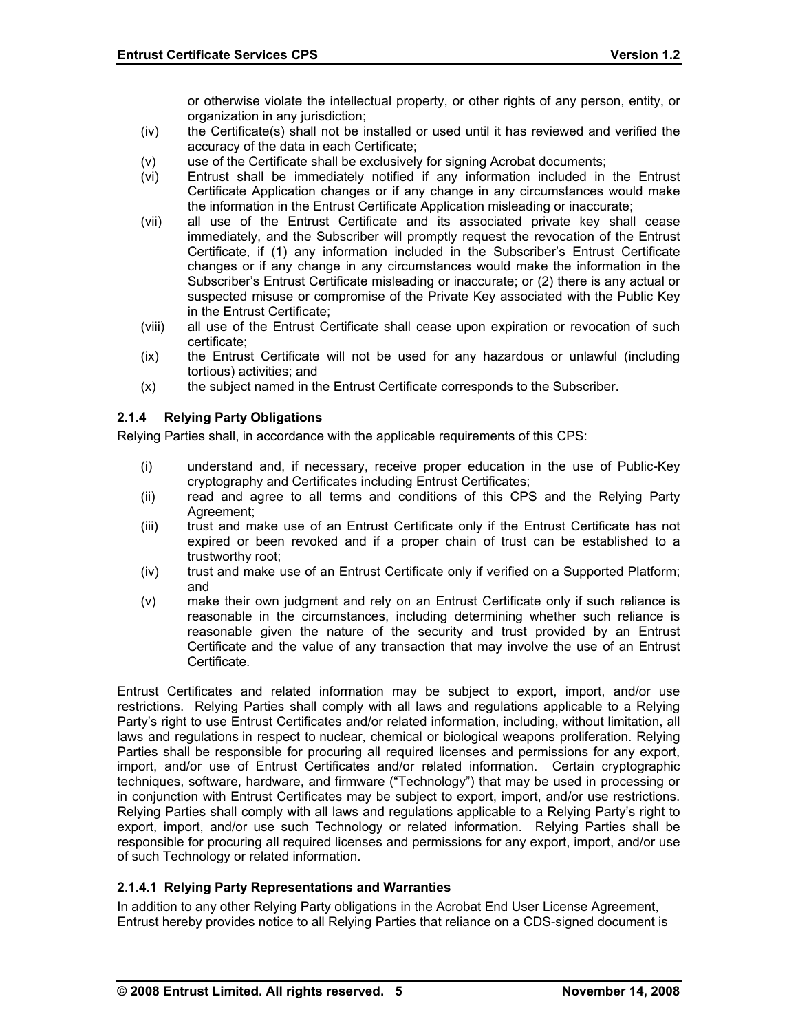or otherwise violate the intellectual property, or other rights of any person, entity, or organization in any jurisdiction:

- (iv) the Certificate(s) shall not be installed or used until it has reviewed and verified the accuracy of the data in each Certificate;
- (v) use of the Certificate shall be exclusively for signing Acrobat documents;
- (vi) Entrust shall be immediately notified if any information included in the Entrust Certificate Application changes or if any change in any circumstances would make the information in the Entrust Certificate Application misleading or inaccurate;
- (vii) all use of the Entrust Certificate and its associated private key shall cease immediately, and the Subscriber will promptly request the revocation of the Entrust Certificate, if (1) any information included in the Subscriber's Entrust Certificate changes or if any change in any circumstances would make the information in the Subscriber's Entrust Certificate misleading or inaccurate; or (2) there is any actual or suspected misuse or compromise of the Private Key associated with the Public Key in the Entrust Certificate;
- (viii) all use of the Entrust Certificate shall cease upon expiration or revocation of such certificate;
- (ix) the Entrust Certificate will not be used for any hazardous or unlawful (including tortious) activities; and
- (x) the subject named in the Entrust Certificate corresponds to the Subscriber.

### **2.1.4 Relying Party Obligations**

Relying Parties shall, in accordance with the applicable requirements of this CPS:

- (i) understand and, if necessary, receive proper education in the use of Public-Key cryptography and Certificates including Entrust Certificates;
- (ii) read and agree to all terms and conditions of this CPS and the Relying Party Agreement;
- (iii) trust and make use of an Entrust Certificate only if the Entrust Certificate has not expired or been revoked and if a proper chain of trust can be established to a trustworthy root;
- (iv) trust and make use of an Entrust Certificate only if verified on a Supported Platform; and
- (v) make their own judgment and rely on an Entrust Certificate only if such reliance is reasonable in the circumstances, including determining whether such reliance is reasonable given the nature of the security and trust provided by an Entrust Certificate and the value of any transaction that may involve the use of an Entrust Certificate.

Entrust Certificates and related information may be subject to export, import, and/or use restrictions. Relying Parties shall comply with all laws and regulations applicable to a Relying Party's right to use Entrust Certificates and/or related information, including, without limitation, all laws and regulations in respect to nuclear, chemical or biological weapons proliferation. Relying Parties shall be responsible for procuring all required licenses and permissions for any export, import, and/or use of Entrust Certificates and/or related information. Certain cryptographic techniques, software, hardware, and firmware ("Technology") that may be used in processing or in conjunction with Entrust Certificates may be subject to export, import, and/or use restrictions. Relying Parties shall comply with all laws and regulations applicable to a Relying Party's right to export, import, and/or use such Technology or related information. Relying Parties shall be responsible for procuring all required licenses and permissions for any export, import, and/or use of such Technology or related information.

### **2.1.4.1 Relying Party Representations and Warranties**

In addition to any other Relying Party obligations in the Acrobat End User License Agreement, Entrust hereby provides notice to all Relying Parties that reliance on a CDS-signed document is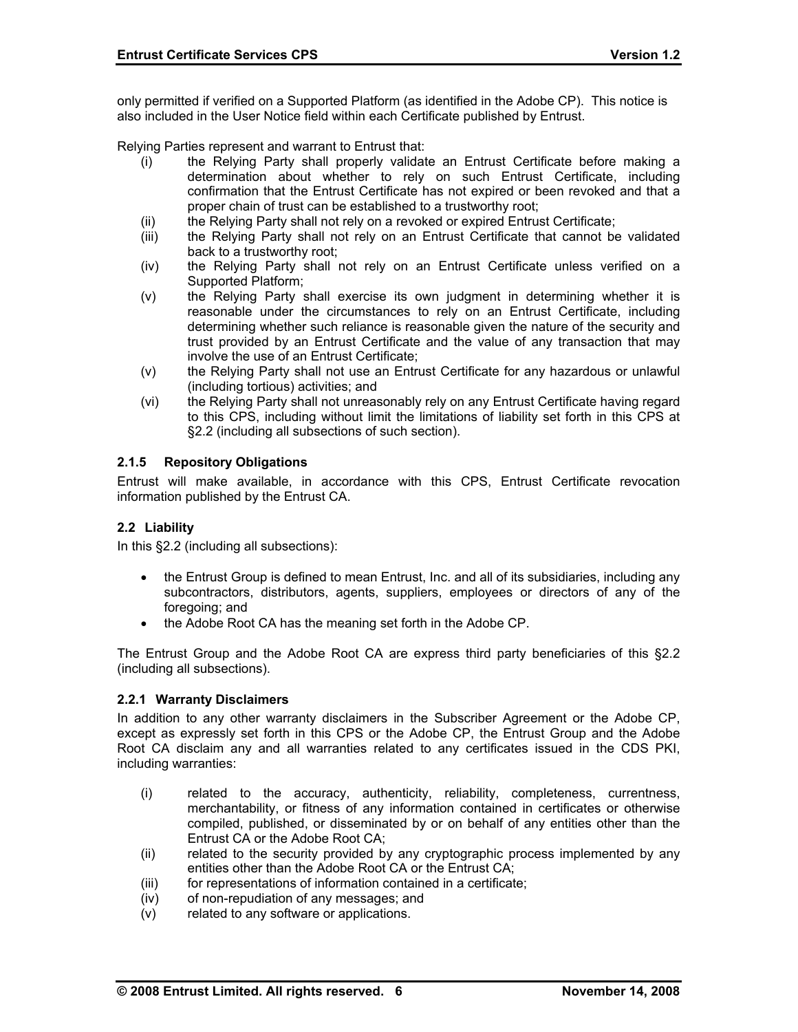only permitted if verified on a Supported Platform (as identified in the Adobe CP). This notice is also included in the User Notice field within each Certificate published by Entrust.

Relying Parties represent and warrant to Entrust that:

- (i) the Relying Party shall properly validate an Entrust Certificate before making a determination about whether to rely on such Entrust Certificate, including confirmation that the Entrust Certificate has not expired or been revoked and that a proper chain of trust can be established to a trustworthy root;
- (ii) the Relying Party shall not rely on a revoked or expired Entrust Certificate;
- (iii) the Relying Party shall not rely on an Entrust Certificate that cannot be validated back to a trustworthy root;
- (iv) the Relying Party shall not rely on an Entrust Certificate unless verified on a Supported Platform;
- (v) the Relying Party shall exercise its own judgment in determining whether it is reasonable under the circumstances to rely on an Entrust Certificate, including determining whether such reliance is reasonable given the nature of the security and trust provided by an Entrust Certificate and the value of any transaction that may involve the use of an Entrust Certificate;
- (v) the Relying Party shall not use an Entrust Certificate for any hazardous or unlawful (including tortious) activities; and
- (vi) the Relying Party shall not unreasonably rely on any Entrust Certificate having regard to this CPS, including without limit the limitations of liability set forth in this CPS at §2.2 (including all subsections of such section).

### **2.1.5 Repository Obligations**

Entrust will make available, in accordance with this CPS, Entrust Certificate revocation information published by the Entrust CA.

#### **2.2 Liability**

In this §2.2 (including all subsections):

- the Entrust Group is defined to mean Entrust, Inc. and all of its subsidiaries, including any subcontractors, distributors, agents, suppliers, employees or directors of any of the foregoing; and
- the Adobe Root CA has the meaning set forth in the Adobe CP.

The Entrust Group and the Adobe Root CA are express third party beneficiaries of this §2.2 (including all subsections).

#### **2.2.1 Warranty Disclaimers**

In addition to any other warranty disclaimers in the Subscriber Agreement or the Adobe CP, except as expressly set forth in this CPS or the Adobe CP, the Entrust Group and the Adobe Root CA disclaim any and all warranties related to any certificates issued in the CDS PKI, including warranties:

- (i) related to the accuracy, authenticity, reliability, completeness, currentness, merchantability, or fitness of any information contained in certificates or otherwise compiled, published, or disseminated by or on behalf of any entities other than the Entrust CA or the Adobe Root CA;
- (ii) related to the security provided by any cryptographic process implemented by any entities other than the Adobe Root CA or the Entrust CA;
- (iii) for representations of information contained in a certificate;
- (iv) of non-repudiation of any messages; and
- (v) related to any software or applications.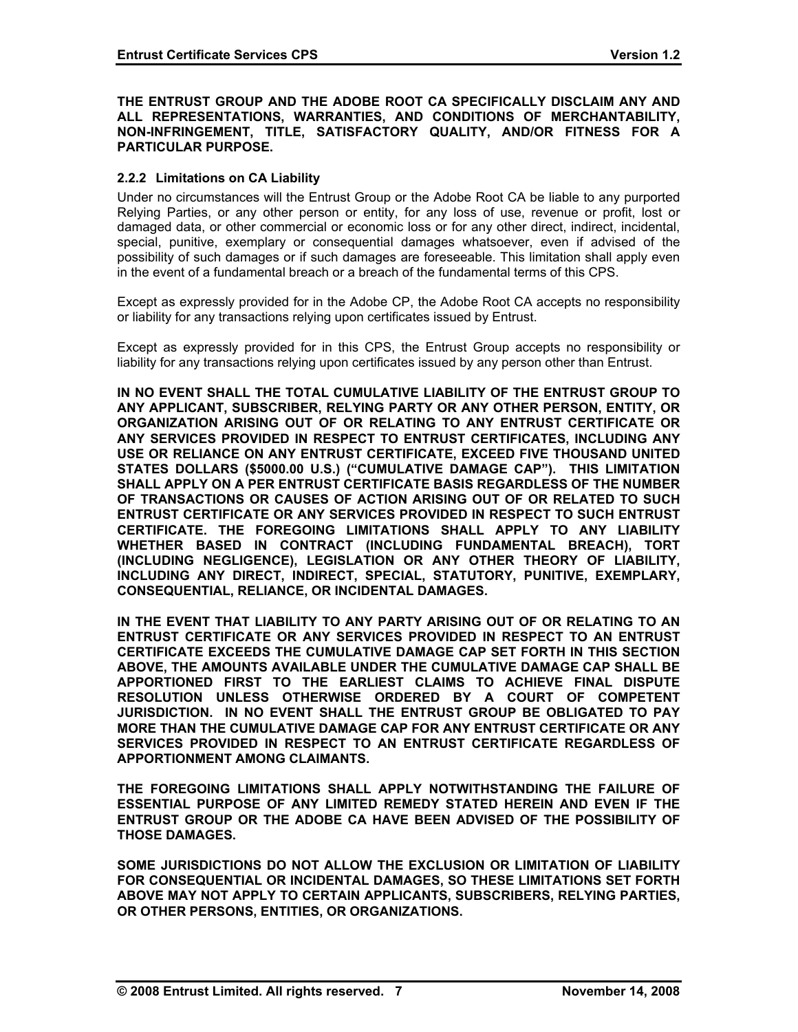#### **THE ENTRUST GROUP AND THE ADOBE ROOT CA SPECIFICALLY DISCLAIM ANY AND ALL REPRESENTATIONS, WARRANTIES, AND CONDITIONS OF MERCHANTABILITY, NON-INFRINGEMENT, TITLE, SATISFACTORY QUALITY, AND/OR FITNESS FOR A PARTICULAR PURPOSE.**

### **2.2.2 Limitations on CA Liability**

Under no circumstances will the Entrust Group or the Adobe Root CA be liable to any purported Relying Parties, or any other person or entity, for any loss of use, revenue or profit, lost or damaged data, or other commercial or economic loss or for any other direct, indirect, incidental, special, punitive, exemplary or consequential damages whatsoever, even if advised of the possibility of such damages or if such damages are foreseeable. This limitation shall apply even in the event of a fundamental breach or a breach of the fundamental terms of this CPS.

Except as expressly provided for in the Adobe CP, the Adobe Root CA accepts no responsibility or liability for any transactions relying upon certificates issued by Entrust.

Except as expressly provided for in this CPS, the Entrust Group accepts no responsibility or liability for any transactions relying upon certificates issued by any person other than Entrust.

**IN NO EVENT SHALL THE TOTAL CUMULATIVE LIABILITY OF THE ENTRUST GROUP TO ANY APPLICANT, SUBSCRIBER, RELYING PARTY OR ANY OTHER PERSON, ENTITY, OR ORGANIZATION ARISING OUT OF OR RELATING TO ANY ENTRUST CERTIFICATE OR ANY SERVICES PROVIDED IN RESPECT TO ENTRUST CERTIFICATES, INCLUDING ANY USE OR RELIANCE ON ANY ENTRUST CERTIFICATE, EXCEED FIVE THOUSAND UNITED STATES DOLLARS (\$5000.00 U.S.) ("CUMULATIVE DAMAGE CAP"). THIS LIMITATION SHALL APPLY ON A PER ENTRUST CERTIFICATE BASIS REGARDLESS OF THE NUMBER OF TRANSACTIONS OR CAUSES OF ACTION ARISING OUT OF OR RELATED TO SUCH ENTRUST CERTIFICATE OR ANY SERVICES PROVIDED IN RESPECT TO SUCH ENTRUST CERTIFICATE. THE FOREGOING LIMITATIONS SHALL APPLY TO ANY LIABILITY WHETHER BASED IN CONTRACT (INCLUDING FUNDAMENTAL BREACH), TORT (INCLUDING NEGLIGENCE), LEGISLATION OR ANY OTHER THEORY OF LIABILITY, INCLUDING ANY DIRECT, INDIRECT, SPECIAL, STATUTORY, PUNITIVE, EXEMPLARY, CONSEQUENTIAL, RELIANCE, OR INCIDENTAL DAMAGES.** 

**IN THE EVENT THAT LIABILITY TO ANY PARTY ARISING OUT OF OR RELATING TO AN ENTRUST CERTIFICATE OR ANY SERVICES PROVIDED IN RESPECT TO AN ENTRUST CERTIFICATE EXCEEDS THE CUMULATIVE DAMAGE CAP SET FORTH IN THIS SECTION ABOVE, THE AMOUNTS AVAILABLE UNDER THE CUMULATIVE DAMAGE CAP SHALL BE APPORTIONED FIRST TO THE EARLIEST CLAIMS TO ACHIEVE FINAL DISPUTE RESOLUTION UNLESS OTHERWISE ORDERED BY A COURT OF COMPETENT JURISDICTION. IN NO EVENT SHALL THE ENTRUST GROUP BE OBLIGATED TO PAY MORE THAN THE CUMULATIVE DAMAGE CAP FOR ANY ENTRUST CERTIFICATE OR ANY SERVICES PROVIDED IN RESPECT TO AN ENTRUST CERTIFICATE REGARDLESS OF APPORTIONMENT AMONG CLAIMANTS.** 

**THE FOREGOING LIMITATIONS SHALL APPLY NOTWITHSTANDING THE FAILURE OF ESSENTIAL PURPOSE OF ANY LIMITED REMEDY STATED HEREIN AND EVEN IF THE ENTRUST GROUP OR THE ADOBE CA HAVE BEEN ADVISED OF THE POSSIBILITY OF THOSE DAMAGES.** 

**SOME JURISDICTIONS DO NOT ALLOW THE EXCLUSION OR LIMITATION OF LIABILITY FOR CONSEQUENTIAL OR INCIDENTAL DAMAGES, SO THESE LIMITATIONS SET FORTH ABOVE MAY NOT APPLY TO CERTAIN APPLICANTS, SUBSCRIBERS, RELYING PARTIES, OR OTHER PERSONS, ENTITIES, OR ORGANIZATIONS.**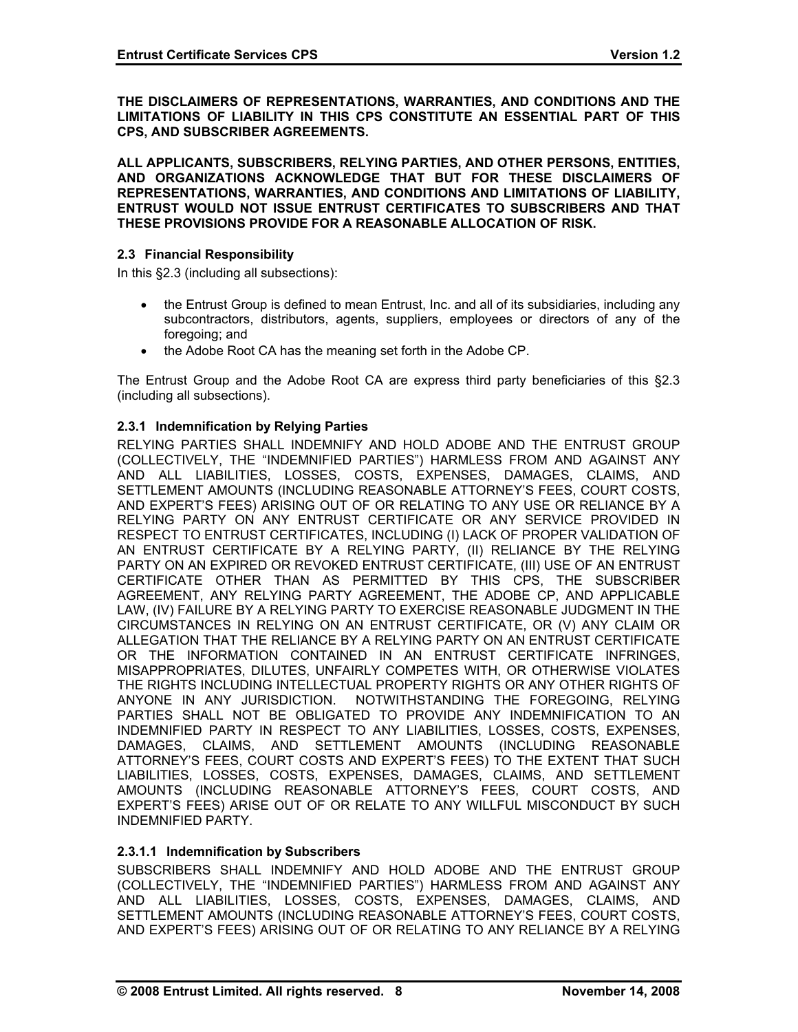**THE DISCLAIMERS OF REPRESENTATIONS, WARRANTIES, AND CONDITIONS AND THE LIMITATIONS OF LIABILITY IN THIS CPS CONSTITUTE AN ESSENTIAL PART OF THIS CPS, AND SUBSCRIBER AGREEMENTS.** 

**ALL APPLICANTS, SUBSCRIBERS, RELYING PARTIES, AND OTHER PERSONS, ENTITIES, AND ORGANIZATIONS ACKNOWLEDGE THAT BUT FOR THESE DISCLAIMERS OF REPRESENTATIONS, WARRANTIES, AND CONDITIONS AND LIMITATIONS OF LIABILITY, ENTRUST WOULD NOT ISSUE ENTRUST CERTIFICATES TO SUBSCRIBERS AND THAT THESE PROVISIONS PROVIDE FOR A REASONABLE ALLOCATION OF RISK.** 

#### **2.3 Financial Responsibility**

In this §2.3 (including all subsections):

- the Entrust Group is defined to mean Entrust, Inc. and all of its subsidiaries, including any subcontractors, distributors, agents, suppliers, employees or directors of any of the foregoing; and
- the Adobe Root CA has the meaning set forth in the Adobe CP.

The Entrust Group and the Adobe Root CA are express third party beneficiaries of this §2.3 (including all subsections).

### **2.3.1 Indemnification by Relying Parties**

RELYING PARTIES SHALL INDEMNIFY AND HOLD ADOBE AND THE ENTRUST GROUP (COLLECTIVELY, THE "INDEMNIFIED PARTIES") HARMLESS FROM AND AGAINST ANY AND ALL LIABILITIES, LOSSES, COSTS, EXPENSES, DAMAGES, CLAIMS, AND SETTLEMENT AMOUNTS (INCLUDING REASONABLE ATTORNEY'S FEES, COURT COSTS, AND EXPERT'S FEES) ARISING OUT OF OR RELATING TO ANY USE OR RELIANCE BY A RELYING PARTY ON ANY ENTRUST CERTIFICATE OR ANY SERVICE PROVIDED IN RESPECT TO ENTRUST CERTIFICATES, INCLUDING (I) LACK OF PROPER VALIDATION OF AN ENTRUST CERTIFICATE BY A RELYING PARTY, (II) RELIANCE BY THE RELYING PARTY ON AN EXPIRED OR REVOKED ENTRUST CERTIFICATE, (III) USE OF AN ENTRUST CERTIFICATE OTHER THAN AS PERMITTED BY THIS CPS, THE SUBSCRIBER AGREEMENT, ANY RELYING PARTY AGREEMENT, THE ADOBE CP, AND APPLICABLE LAW, (IV) FAILURE BY A RELYING PARTY TO EXERCISE REASONABLE JUDGMENT IN THE CIRCUMSTANCES IN RELYING ON AN ENTRUST CERTIFICATE, OR (V) ANY CLAIM OR ALLEGATION THAT THE RELIANCE BY A RELYING PARTY ON AN ENTRUST CERTIFICATE OR THE INFORMATION CONTAINED IN AN ENTRUST CERTIFICATE INFRINGES, MISAPPROPRIATES, DILUTES, UNFAIRLY COMPETES WITH, OR OTHERWISE VIOLATES THE RIGHTS INCLUDING INTELLECTUAL PROPERTY RIGHTS OR ANY OTHER RIGHTS OF ANYONE IN ANY JURISDICTION. NOTWITHSTANDING THE FOREGOING, RELYING PARTIES SHALL NOT BE OBLIGATED TO PROVIDE ANY INDEMNIFICATION TO AN INDEMNIFIED PARTY IN RESPECT TO ANY LIABILITIES, LOSSES, COSTS, EXPENSES, DAMAGES, CLAIMS, AND SETTLEMENT AMOUNTS (INCLUDING REASONABLE ATTORNEY'S FEES, COURT COSTS AND EXPERT'S FEES) TO THE EXTENT THAT SUCH LIABILITIES, LOSSES, COSTS, EXPENSES, DAMAGES, CLAIMS, AND SETTLEMENT AMOUNTS (INCLUDING REASONABLE ATTORNEY'S FEES, COURT COSTS, AND EXPERT'S FEES) ARISE OUT OF OR RELATE TO ANY WILLFUL MISCONDUCT BY SUCH INDEMNIFIED PARTY.

### **2.3.1.1 Indemnification by Subscribers**

SUBSCRIBERS SHALL INDEMNIFY AND HOLD ADOBE AND THE ENTRUST GROUP (COLLECTIVELY, THE "INDEMNIFIED PARTIES") HARMLESS FROM AND AGAINST ANY AND ALL LIABILITIES, LOSSES, COSTS, EXPENSES, DAMAGES, CLAIMS, AND SETTLEMENT AMOUNTS (INCLUDING REASONABLE ATTORNEY'S FEES, COURT COSTS, AND EXPERT'S FEES) ARISING OUT OF OR RELATING TO ANY RELIANCE BY A RELYING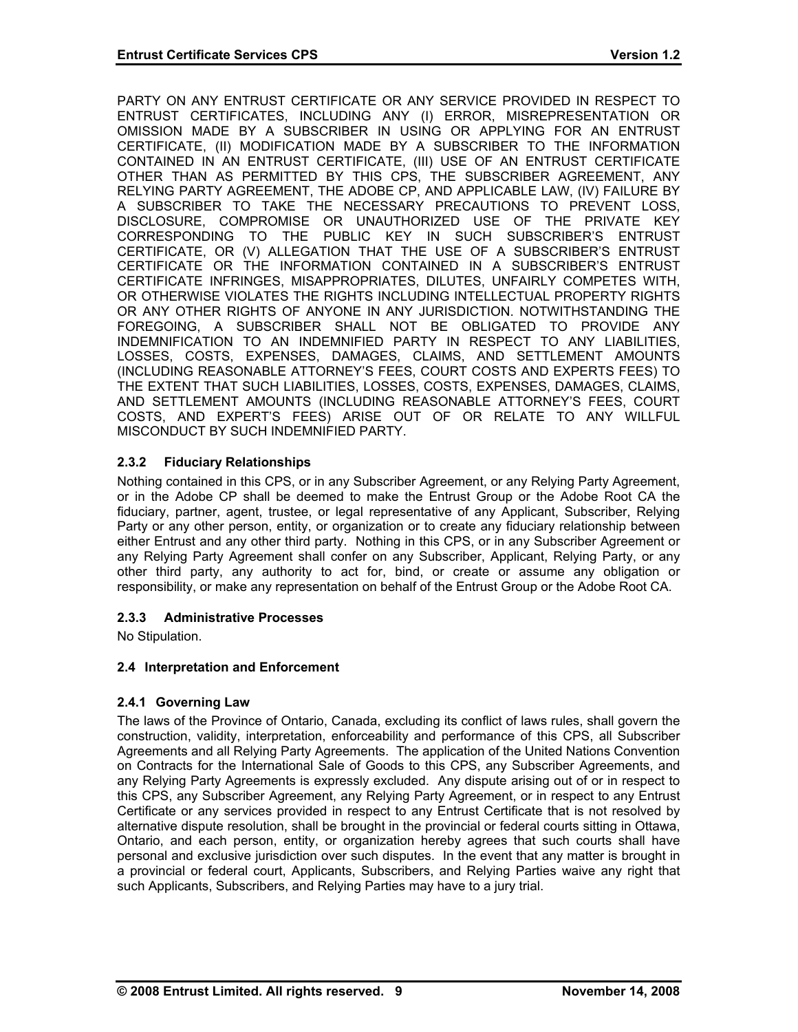PARTY ON ANY ENTRUST CERTIFICATE OR ANY SERVICE PROVIDED IN RESPECT TO ENTRUST CERTIFICATES, INCLUDING ANY (I) ERROR, MISREPRESENTATION OR OMISSION MADE BY A SUBSCRIBER IN USING OR APPLYING FOR AN ENTRUST CERTIFICATE, (II) MODIFICATION MADE BY A SUBSCRIBER TO THE INFORMATION CONTAINED IN AN ENTRUST CERTIFICATE, (III) USE OF AN ENTRUST CERTIFICATE OTHER THAN AS PERMITTED BY THIS CPS, THE SUBSCRIBER AGREEMENT, ANY RELYING PARTY AGREEMENT, THE ADOBE CP, AND APPLICABLE LAW, (IV) FAILURE BY A SUBSCRIBER TO TAKE THE NECESSARY PRECAUTIONS TO PREVENT LOSS, DISCLOSURE, COMPROMISE OR UNAUTHORIZED USE OF THE PRIVATE KEY CORRESPONDING TO THE PUBLIC KEY IN SUCH SUBSCRIBER'S ENTRUST CERTIFICATE, OR (V) ALLEGATION THAT THE USE OF A SUBSCRIBER'S ENTRUST CERTIFICATE OR THE INFORMATION CONTAINED IN A SUBSCRIBER'S ENTRUST CERTIFICATE INFRINGES, MISAPPROPRIATES, DILUTES, UNFAIRLY COMPETES WITH, OR OTHERWISE VIOLATES THE RIGHTS INCLUDING INTELLECTUAL PROPERTY RIGHTS OR ANY OTHER RIGHTS OF ANYONE IN ANY JURISDICTION. NOTWITHSTANDING THE FOREGOING, A SUBSCRIBER SHALL NOT BE OBLIGATED TO PROVIDE ANY INDEMNIFICATION TO AN INDEMNIFIED PARTY IN RESPECT TO ANY LIABILITIES, LOSSES, COSTS, EXPENSES, DAMAGES, CLAIMS, AND SETTLEMENT AMOUNTS (INCLUDING REASONABLE ATTORNEY'S FEES, COURT COSTS AND EXPERTS FEES) TO THE EXTENT THAT SUCH LIABILITIES, LOSSES, COSTS, EXPENSES, DAMAGES, CLAIMS, AND SETTLEMENT AMOUNTS (INCLUDING REASONABLE ATTORNEY'S FEES, COURT COSTS, AND EXPERT'S FEES) ARISE OUT OF OR RELATE TO ANY WILLFUL MISCONDUCT BY SUCH INDEMNIFIED PARTY.

# **2.3.2 Fiduciary Relationships**

Nothing contained in this CPS, or in any Subscriber Agreement, or any Relying Party Agreement, or in the Adobe CP shall be deemed to make the Entrust Group or the Adobe Root CA the fiduciary, partner, agent, trustee, or legal representative of any Applicant, Subscriber, Relying Party or any other person, entity, or organization or to create any fiduciary relationship between either Entrust and any other third party. Nothing in this CPS, or in any Subscriber Agreement or any Relying Party Agreement shall confer on any Subscriber, Applicant, Relying Party, or any other third party, any authority to act for, bind, or create or assume any obligation or responsibility, or make any representation on behalf of the Entrust Group or the Adobe Root CA.

### **2.3.3 Administrative Processes**

No Stipulation.

### **2.4 Interpretation and Enforcement**

### **2.4.1 Governing Law**

The laws of the Province of Ontario, Canada, excluding its conflict of laws rules, shall govern the construction, validity, interpretation, enforceability and performance of this CPS, all Subscriber Agreements and all Relying Party Agreements. The application of the United Nations Convention on Contracts for the International Sale of Goods to this CPS, any Subscriber Agreements, and any Relying Party Agreements is expressly excluded. Any dispute arising out of or in respect to this CPS, any Subscriber Agreement, any Relying Party Agreement, or in respect to any Entrust Certificate or any services provided in respect to any Entrust Certificate that is not resolved by alternative dispute resolution, shall be brought in the provincial or federal courts sitting in Ottawa, Ontario, and each person, entity, or organization hereby agrees that such courts shall have personal and exclusive jurisdiction over such disputes. In the event that any matter is brought in a provincial or federal court, Applicants, Subscribers, and Relying Parties waive any right that such Applicants, Subscribers, and Relying Parties may have to a jury trial.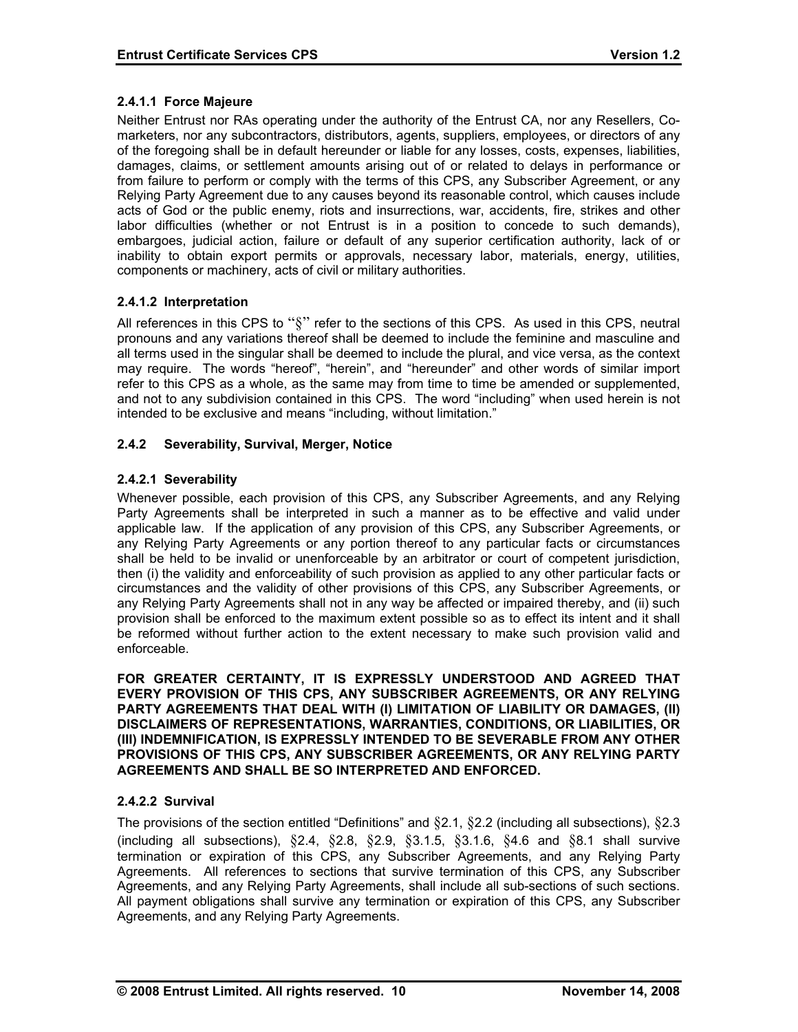## **2.4.1.1 Force Majeure**

Neither Entrust nor RAs operating under the authority of the Entrust CA, nor any Resellers, Comarketers, nor any subcontractors, distributors, agents, suppliers, employees, or directors of any of the foregoing shall be in default hereunder or liable for any losses, costs, expenses, liabilities, damages, claims, or settlement amounts arising out of or related to delays in performance or from failure to perform or comply with the terms of this CPS, any Subscriber Agreement, or any Relying Party Agreement due to any causes beyond its reasonable control, which causes include acts of God or the public enemy, riots and insurrections, war, accidents, fire, strikes and other labor difficulties (whether or not Entrust is in a position to concede to such demands), embargoes, judicial action, failure or default of any superior certification authority, lack of or inability to obtain export permits or approvals, necessary labor, materials, energy, utilities, components or machinery, acts of civil or military authorities.

# **2.4.1.2 Interpretation**

All references in this CPS to " $\S$ " refer to the sections of this CPS. As used in this CPS, neutral pronouns and any variations thereof shall be deemed to include the feminine and masculine and all terms used in the singular shall be deemed to include the plural, and vice versa, as the context may require. The words "hereof", "herein", and "hereunder" and other words of similar import refer to this CPS as a whole, as the same may from time to time be amended or supplemented, and not to any subdivision contained in this CPS. The word "including" when used herein is not intended to be exclusive and means "including, without limitation."

# **2.4.2 Severability, Survival, Merger, Notice**

# **2.4.2.1 Severability**

Whenever possible, each provision of this CPS, any Subscriber Agreements, and any Relying Party Agreements shall be interpreted in such a manner as to be effective and valid under applicable law. If the application of any provision of this CPS, any Subscriber Agreements, or any Relying Party Agreements or any portion thereof to any particular facts or circumstances shall be held to be invalid or unenforceable by an arbitrator or court of competent jurisdiction, then (i) the validity and enforceability of such provision as applied to any other particular facts or circumstances and the validity of other provisions of this CPS, any Subscriber Agreements, or any Relying Party Agreements shall not in any way be affected or impaired thereby, and (ii) such provision shall be enforced to the maximum extent possible so as to effect its intent and it shall be reformed without further action to the extent necessary to make such provision valid and enforceable.

**FOR GREATER CERTAINTY, IT IS EXPRESSLY UNDERSTOOD AND AGREED THAT EVERY PROVISION OF THIS CPS, ANY SUBSCRIBER AGREEMENTS, OR ANY RELYING PARTY AGREEMENTS THAT DEAL WITH (I) LIMITATION OF LIABILITY OR DAMAGES, (II) DISCLAIMERS OF REPRESENTATIONS, WARRANTIES, CONDITIONS, OR LIABILITIES, OR (III) INDEMNIFICATION, IS EXPRESSLY INTENDED TO BE SEVERABLE FROM ANY OTHER PROVISIONS OF THIS CPS, ANY SUBSCRIBER AGREEMENTS, OR ANY RELYING PARTY AGREEMENTS AND SHALL BE SO INTERPRETED AND ENFORCED.** 

### **2.4.2.2 Survival**

The provisions of the section entitled "Definitions" and  $\S 2.1$ ,  $\S 2.2$  (including all subsections),  $\S 2.3$ (including all subsections),  $\S 2.4$ ,  $\S 2.8$ ,  $\S 2.9$ ,  $\S 3.1.5$ ,  $\S 3.1.6$ ,  $\S 4.6$  and  $\S 8.1$  shall survive termination or expiration of this CPS, any Subscriber Agreements, and any Relying Party Agreements. All references to sections that survive termination of this CPS, any Subscriber Agreements, and any Relying Party Agreements, shall include all sub-sections of such sections. All payment obligations shall survive any termination or expiration of this CPS, any Subscriber Agreements, and any Relying Party Agreements.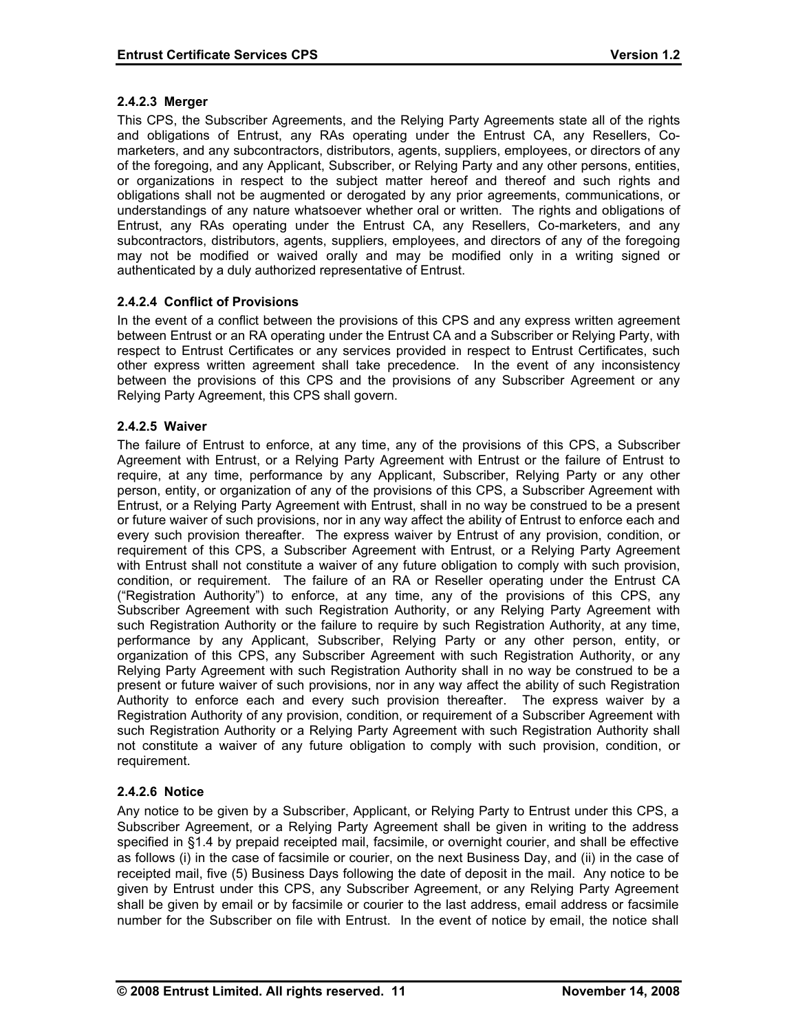### **2.4.2.3 Merger**

This CPS, the Subscriber Agreements, and the Relying Party Agreements state all of the rights and obligations of Entrust, any RAs operating under the Entrust CA, any Resellers, Comarketers, and any subcontractors, distributors, agents, suppliers, employees, or directors of any of the foregoing, and any Applicant, Subscriber, or Relying Party and any other persons, entities, or organizations in respect to the subject matter hereof and thereof and such rights and obligations shall not be augmented or derogated by any prior agreements, communications, or understandings of any nature whatsoever whether oral or written. The rights and obligations of Entrust, any RAs operating under the Entrust CA, any Resellers, Co-marketers, and any subcontractors, distributors, agents, suppliers, employees, and directors of any of the foregoing may not be modified or waived orally and may be modified only in a writing signed or authenticated by a duly authorized representative of Entrust.

# **2.4.2.4 Conflict of Provisions**

In the event of a conflict between the provisions of this CPS and any express written agreement between Entrust or an RA operating under the Entrust CA and a Subscriber or Relying Party, with respect to Entrust Certificates or any services provided in respect to Entrust Certificates, such other express written agreement shall take precedence. In the event of any inconsistency between the provisions of this CPS and the provisions of any Subscriber Agreement or any Relying Party Agreement, this CPS shall govern.

### **2.4.2.5 Waiver**

The failure of Entrust to enforce, at any time, any of the provisions of this CPS, a Subscriber Agreement with Entrust, or a Relying Party Agreement with Entrust or the failure of Entrust to require, at any time, performance by any Applicant, Subscriber, Relying Party or any other person, entity, or organization of any of the provisions of this CPS, a Subscriber Agreement with Entrust, or a Relying Party Agreement with Entrust, shall in no way be construed to be a present or future waiver of such provisions, nor in any way affect the ability of Entrust to enforce each and every such provision thereafter. The express waiver by Entrust of any provision, condition, or requirement of this CPS, a Subscriber Agreement with Entrust, or a Relying Party Agreement with Entrust shall not constitute a waiver of any future obligation to comply with such provision, condition, or requirement. The failure of an RA or Reseller operating under the Entrust CA ("Registration Authority") to enforce, at any time, any of the provisions of this CPS, any Subscriber Agreement with such Registration Authority, or any Relying Party Agreement with such Registration Authority or the failure to require by such Registration Authority, at any time, performance by any Applicant, Subscriber, Relying Party or any other person, entity, or organization of this CPS, any Subscriber Agreement with such Registration Authority, or any Relying Party Agreement with such Registration Authority shall in no way be construed to be a present or future waiver of such provisions, nor in any way affect the ability of such Registration Authority to enforce each and every such provision thereafter. The express waiver by a Registration Authority of any provision, condition, or requirement of a Subscriber Agreement with such Registration Authority or a Relying Party Agreement with such Registration Authority shall not constitute a waiver of any future obligation to comply with such provision, condition, or requirement.

### **2.4.2.6 Notice**

Any notice to be given by a Subscriber, Applicant, or Relying Party to Entrust under this CPS, a Subscriber Agreement, or a Relying Party Agreement shall be given in writing to the address specified in §1.4 by prepaid receipted mail, facsimile, or overnight courier, and shall be effective as follows (i) in the case of facsimile or courier, on the next Business Day, and (ii) in the case of receipted mail, five (5) Business Days following the date of deposit in the mail. Any notice to be given by Entrust under this CPS, any Subscriber Agreement, or any Relying Party Agreement shall be given by email or by facsimile or courier to the last address, email address or facsimile number for the Subscriber on file with Entrust. In the event of notice by email, the notice shall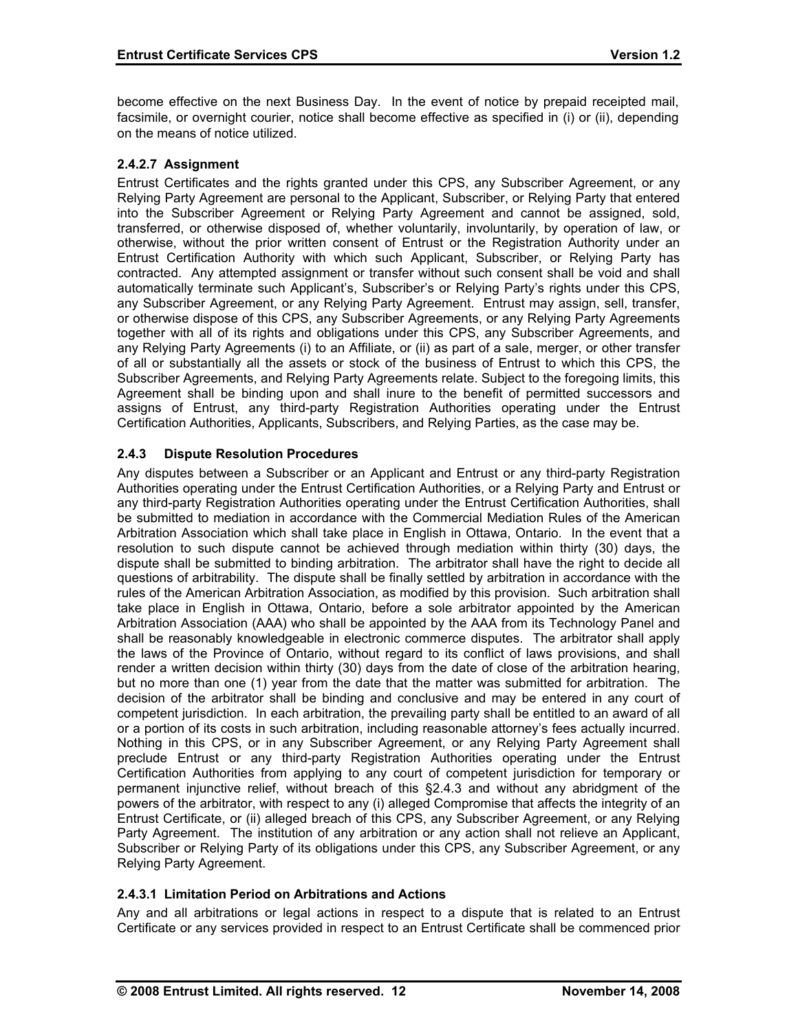become effective on the next Business Day. In the event of notice by prepaid receipted mail, facsimile, or overnight courier, notice shall become effective as specified in (i) or (ii), depending on the means of notice utilized.

# **2.4.2.7 Assignment**

Entrust Certificates and the rights granted under this CPS, any Subscriber Agreement, or any Relying Party Agreement are personal to the Applicant, Subscriber, or Relying Party that entered into the Subscriber Agreement or Relying Party Agreement and cannot be assigned, sold, transferred, or otherwise disposed of, whether voluntarily, involuntarily, by operation of law, or otherwise, without the prior written consent of Entrust or the Registration Authority under an Entrust Certification Authority with which such Applicant, Subscriber, or Relying Party has contracted. Any attempted assignment or transfer without such consent shall be void and shall automatically terminate such Applicant's, Subscriber's or Relying Party's rights under this CPS, any Subscriber Agreement, or any Relying Party Agreement. Entrust may assign, sell, transfer, or otherwise dispose of this CPS, any Subscriber Agreements, or any Relying Party Agreements together with all of its rights and obligations under this CPS, any Subscriber Agreements, and any Relying Party Agreements (i) to an Affiliate, or (ii) as part of a sale, merger, or other transfer of all or substantially all the assets or stock of the business of Entrust to which this CPS, the Subscriber Agreements, and Relying Party Agreements relate. Subject to the foregoing limits, this Agreement shall be binding upon and shall inure to the benefit of permitted successors and assigns of Entrust, any third-party Registration Authorities operating under the Entrust Certification Authorities, Applicants, Subscribers, and Relying Parties, as the case may be.

# **2.4.3 Dispute Resolution Procedures**

Any disputes between a Subscriber or an Applicant and Entrust or any third-party Registration Authorities operating under the Entrust Certification Authorities, or a Relying Party and Entrust or any third-party Registration Authorities operating under the Entrust Certification Authorities, shall be submitted to mediation in accordance with the Commercial Mediation Rules of the American Arbitration Association which shall take place in English in Ottawa, Ontario. In the event that a resolution to such dispute cannot be achieved through mediation within thirty (30) days, the dispute shall be submitted to binding arbitration. The arbitrator shall have the right to decide all questions of arbitrability. The dispute shall be finally settled by arbitration in accordance with the rules of the American Arbitration Association, as modified by this provision. Such arbitration shall take place in English in Ottawa, Ontario, before a sole arbitrator appointed by the American Arbitration Association (AAA) who shall be appointed by the AAA from its Technology Panel and shall be reasonably knowledgeable in electronic commerce disputes. The arbitrator shall apply the laws of the Province of Ontario, without regard to its conflict of laws provisions, and shall render a written decision within thirty (30) days from the date of close of the arbitration hearing, but no more than one (1) year from the date that the matter was submitted for arbitration. The decision of the arbitrator shall be binding and conclusive and may be entered in any court of competent jurisdiction. In each arbitration, the prevailing party shall be entitled to an award of all or a portion of its costs in such arbitration, including reasonable attorney's fees actually incurred. Nothing in this CPS, or in any Subscriber Agreement, or any Relying Party Agreement shall preclude Entrust or any third-party Registration Authorities operating under the Entrust Certification Authorities from applying to any court of competent jurisdiction for temporary or permanent injunctive relief, without breach of this §2.4.3 and without any abridgment of the powers of the arbitrator, with respect to any (i) alleged Compromise that affects the integrity of an Entrust Certificate, or (ii) alleged breach of this CPS, any Subscriber Agreement, or any Relying Party Agreement. The institution of any arbitration or any action shall not relieve an Applicant, Subscriber or Relying Party of its obligations under this CPS, any Subscriber Agreement, or any Relying Party Agreement.

### **2.4.3.1 Limitation Period on Arbitrations and Actions**

Any and all arbitrations or legal actions in respect to a dispute that is related to an Entrust Certificate or any services provided in respect to an Entrust Certificate shall be commenced prior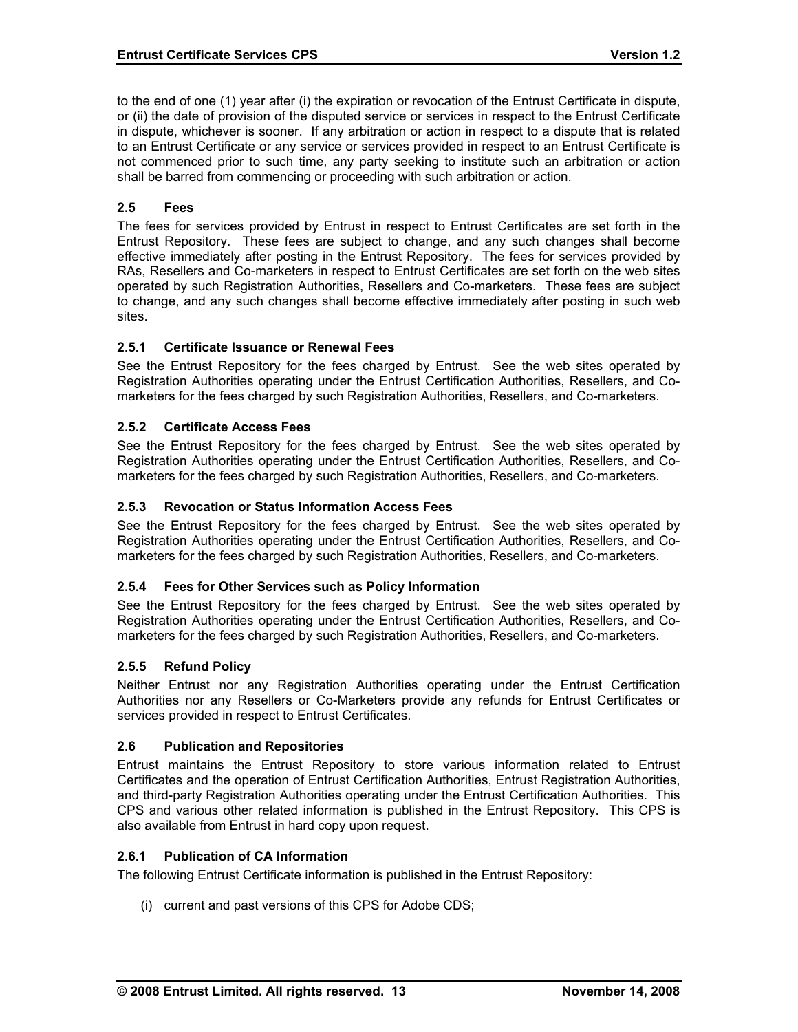to the end of one (1) year after (i) the expiration or revocation of the Entrust Certificate in dispute, or (ii) the date of provision of the disputed service or services in respect to the Entrust Certificate in dispute, whichever is sooner. If any arbitration or action in respect to a dispute that is related to an Entrust Certificate or any service or services provided in respect to an Entrust Certificate is not commenced prior to such time, any party seeking to institute such an arbitration or action shall be barred from commencing or proceeding with such arbitration or action.

## **2.5 Fees**

The fees for services provided by Entrust in respect to Entrust Certificates are set forth in the Entrust Repository. These fees are subject to change, and any such changes shall become effective immediately after posting in the Entrust Repository. The fees for services provided by RAs, Resellers and Co-marketers in respect to Entrust Certificates are set forth on the web sites operated by such Registration Authorities, Resellers and Co-marketers. These fees are subject to change, and any such changes shall become effective immediately after posting in such web sites.

### **2.5.1 Certificate Issuance or Renewal Fees**

See the Entrust Repository for the fees charged by Entrust. See the web sites operated by Registration Authorities operating under the Entrust Certification Authorities, Resellers, and Comarketers for the fees charged by such Registration Authorities, Resellers, and Co-marketers.

### **2.5.2 Certificate Access Fees**

See the Entrust Repository for the fees charged by Entrust. See the web sites operated by Registration Authorities operating under the Entrust Certification Authorities, Resellers, and Comarketers for the fees charged by such Registration Authorities, Resellers, and Co-marketers.

### **2.5.3 Revocation or Status Information Access Fees**

See the Entrust Repository for the fees charged by Entrust. See the web sites operated by Registration Authorities operating under the Entrust Certification Authorities, Resellers, and Comarketers for the fees charged by such Registration Authorities, Resellers, and Co-marketers.

### **2.5.4 Fees for Other Services such as Policy Information**

See the Entrust Repository for the fees charged by Entrust. See the web sites operated by Registration Authorities operating under the Entrust Certification Authorities, Resellers, and Comarketers for the fees charged by such Registration Authorities, Resellers, and Co-marketers.

### **2.5.5 Refund Policy**

Neither Entrust nor any Registration Authorities operating under the Entrust Certification Authorities nor any Resellers or Co-Marketers provide any refunds for Entrust Certificates or services provided in respect to Entrust Certificates.

### **2.6 Publication and Repositories**

Entrust maintains the Entrust Repository to store various information related to Entrust Certificates and the operation of Entrust Certification Authorities, Entrust Registration Authorities, and third-party Registration Authorities operating under the Entrust Certification Authorities. This CPS and various other related information is published in the Entrust Repository. This CPS is also available from Entrust in hard copy upon request.

### **2.6.1 Publication of CA Information**

The following Entrust Certificate information is published in the Entrust Repository:

(i) current and past versions of this CPS for Adobe CDS;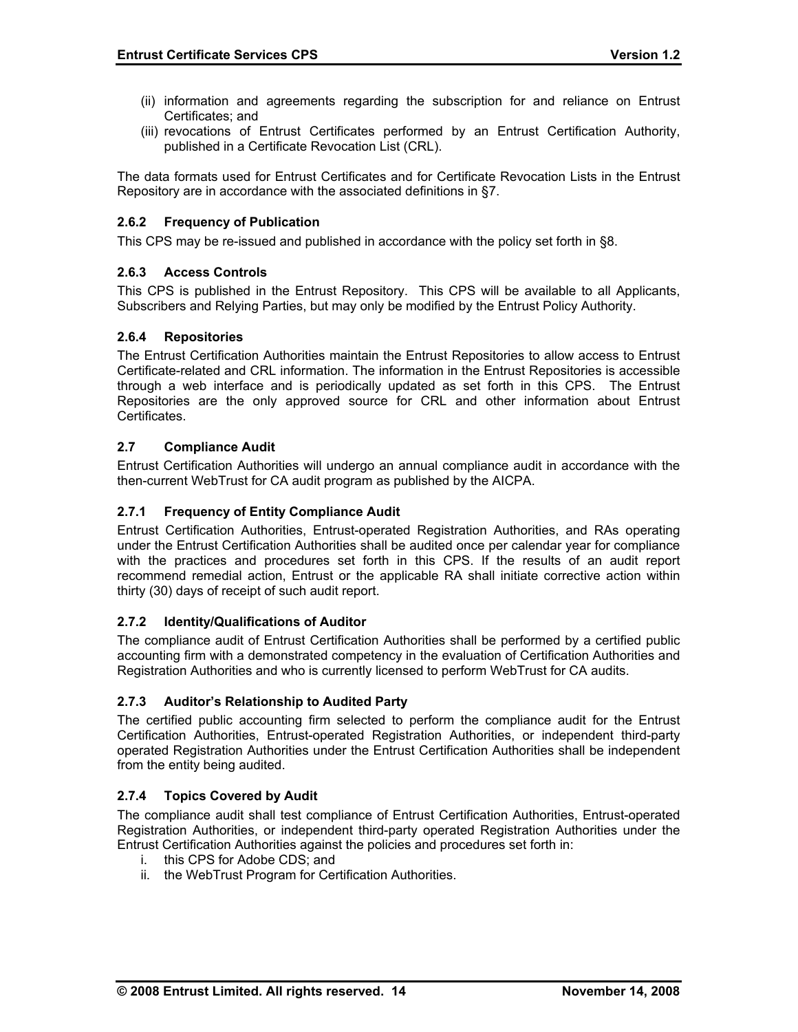- (ii) information and agreements regarding the subscription for and reliance on Entrust Certificates; and
- (iii) revocations of Entrust Certificates performed by an Entrust Certification Authority, published in a Certificate Revocation List (CRL).

The data formats used for Entrust Certificates and for Certificate Revocation Lists in the Entrust Repository are in accordance with the associated definitions in §7.

# **2.6.2 Frequency of Publication**

This CPS may be re-issued and published in accordance with the policy set forth in §8.

### **2.6.3 Access Controls**

This CPS is published in the Entrust Repository. This CPS will be available to all Applicants, Subscribers and Relying Parties, but may only be modified by the Entrust Policy Authority.

### **2.6.4 Repositories**

The Entrust Certification Authorities maintain the Entrust Repositories to allow access to Entrust Certificate-related and CRL information. The information in the Entrust Repositories is accessible through a web interface and is periodically updated as set forth in this CPS. The Entrust Repositories are the only approved source for CRL and other information about Entrust Certificates.

### **2.7 Compliance Audit**

Entrust Certification Authorities will undergo an annual compliance audit in accordance with the then-current WebTrust for CA audit program as published by the AICPA.

## **2.7.1 Frequency of Entity Compliance Audit**

Entrust Certification Authorities, Entrust-operated Registration Authorities, and RAs operating under the Entrust Certification Authorities shall be audited once per calendar year for compliance with the practices and procedures set forth in this CPS. If the results of an audit report recommend remedial action, Entrust or the applicable RA shall initiate corrective action within thirty (30) days of receipt of such audit report.

### **2.7.2 Identity/Qualifications of Auditor**

The compliance audit of Entrust Certification Authorities shall be performed by a certified public accounting firm with a demonstrated competency in the evaluation of Certification Authorities and Registration Authorities and who is currently licensed to perform WebTrust for CA audits.

### **2.7.3 Auditor's Relationship to Audited Party**

The certified public accounting firm selected to perform the compliance audit for the Entrust Certification Authorities, Entrust-operated Registration Authorities, or independent third-party operated Registration Authorities under the Entrust Certification Authorities shall be independent from the entity being audited.

### **2.7.4 Topics Covered by Audit**

The compliance audit shall test compliance of Entrust Certification Authorities, Entrust-operated Registration Authorities, or independent third-party operated Registration Authorities under the Entrust Certification Authorities against the policies and procedures set forth in:

- i. this CPS for Adobe CDS; and
- ii. the WebTrust Program for Certification Authorities.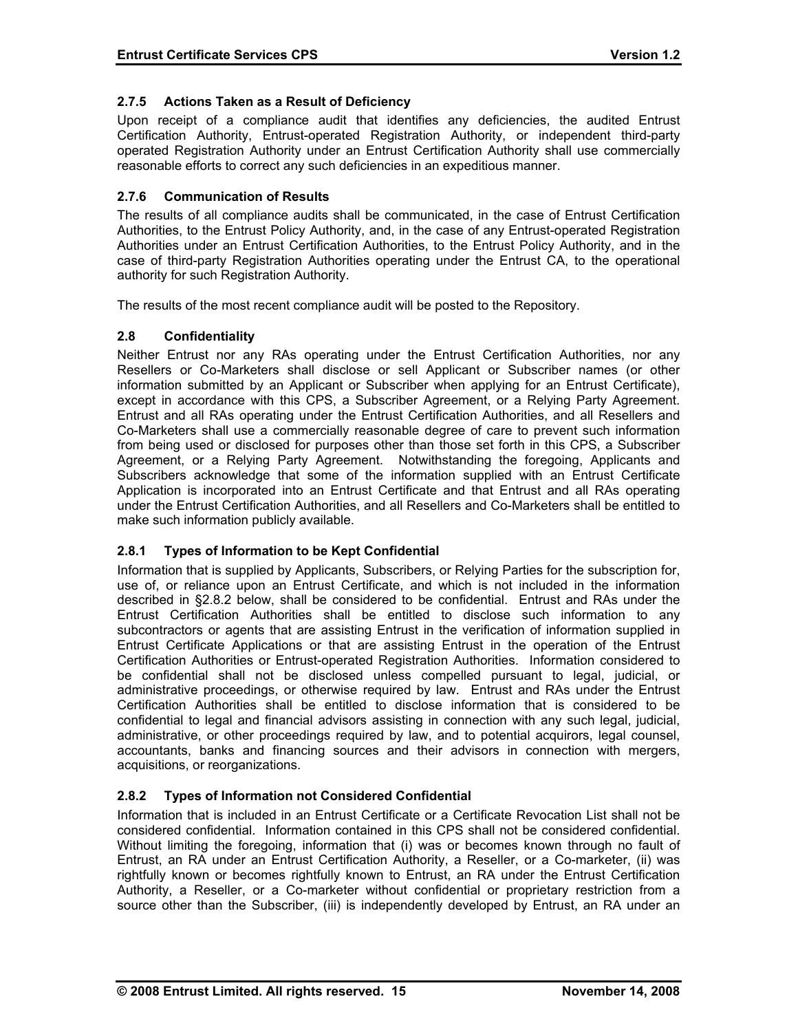## **2.7.5 Actions Taken as a Result of Deficiency**

Upon receipt of a compliance audit that identifies any deficiencies, the audited Entrust Certification Authority, Entrust-operated Registration Authority, or independent third-party operated Registration Authority under an Entrust Certification Authority shall use commercially reasonable efforts to correct any such deficiencies in an expeditious manner.

## **2.7.6 Communication of Results**

The results of all compliance audits shall be communicated, in the case of Entrust Certification Authorities, to the Entrust Policy Authority, and, in the case of any Entrust-operated Registration Authorities under an Entrust Certification Authorities, to the Entrust Policy Authority, and in the case of third-party Registration Authorities operating under the Entrust CA, to the operational authority for such Registration Authority.

The results of the most recent compliance audit will be posted to the Repository.

### **2.8 Confidentiality**

Neither Entrust nor any RAs operating under the Entrust Certification Authorities, nor any Resellers or Co-Marketers shall disclose or sell Applicant or Subscriber names (or other information submitted by an Applicant or Subscriber when applying for an Entrust Certificate), except in accordance with this CPS, a Subscriber Agreement, or a Relying Party Agreement. Entrust and all RAs operating under the Entrust Certification Authorities, and all Resellers and Co-Marketers shall use a commercially reasonable degree of care to prevent such information from being used or disclosed for purposes other than those set forth in this CPS, a Subscriber Agreement, or a Relying Party Agreement. Notwithstanding the foregoing, Applicants and Subscribers acknowledge that some of the information supplied with an Entrust Certificate Application is incorporated into an Entrust Certificate and that Entrust and all RAs operating under the Entrust Certification Authorities, and all Resellers and Co-Marketers shall be entitled to make such information publicly available.

### **2.8.1 Types of Information to be Kept Confidential**

Information that is supplied by Applicants, Subscribers, or Relying Parties for the subscription for, use of, or reliance upon an Entrust Certificate, and which is not included in the information described in §2.8.2 below, shall be considered to be confidential. Entrust and RAs under the Entrust Certification Authorities shall be entitled to disclose such information to any subcontractors or agents that are assisting Entrust in the verification of information supplied in Entrust Certificate Applications or that are assisting Entrust in the operation of the Entrust Certification Authorities or Entrust-operated Registration Authorities. Information considered to be confidential shall not be disclosed unless compelled pursuant to legal, judicial, or administrative proceedings, or otherwise required by law. Entrust and RAs under the Entrust Certification Authorities shall be entitled to disclose information that is considered to be confidential to legal and financial advisors assisting in connection with any such legal, judicial, administrative, or other proceedings required by law, and to potential acquirors, legal counsel, accountants, banks and financing sources and their advisors in connection with mergers, acquisitions, or reorganizations.

### **2.8.2 Types of Information not Considered Confidential**

Information that is included in an Entrust Certificate or a Certificate Revocation List shall not be considered confidential. Information contained in this CPS shall not be considered confidential. Without limiting the foregoing, information that (i) was or becomes known through no fault of Entrust, an RA under an Entrust Certification Authority, a Reseller, or a Co-marketer, (ii) was rightfully known or becomes rightfully known to Entrust, an RA under the Entrust Certification Authority, a Reseller, or a Co-marketer without confidential or proprietary restriction from a source other than the Subscriber, (iii) is independently developed by Entrust, an RA under an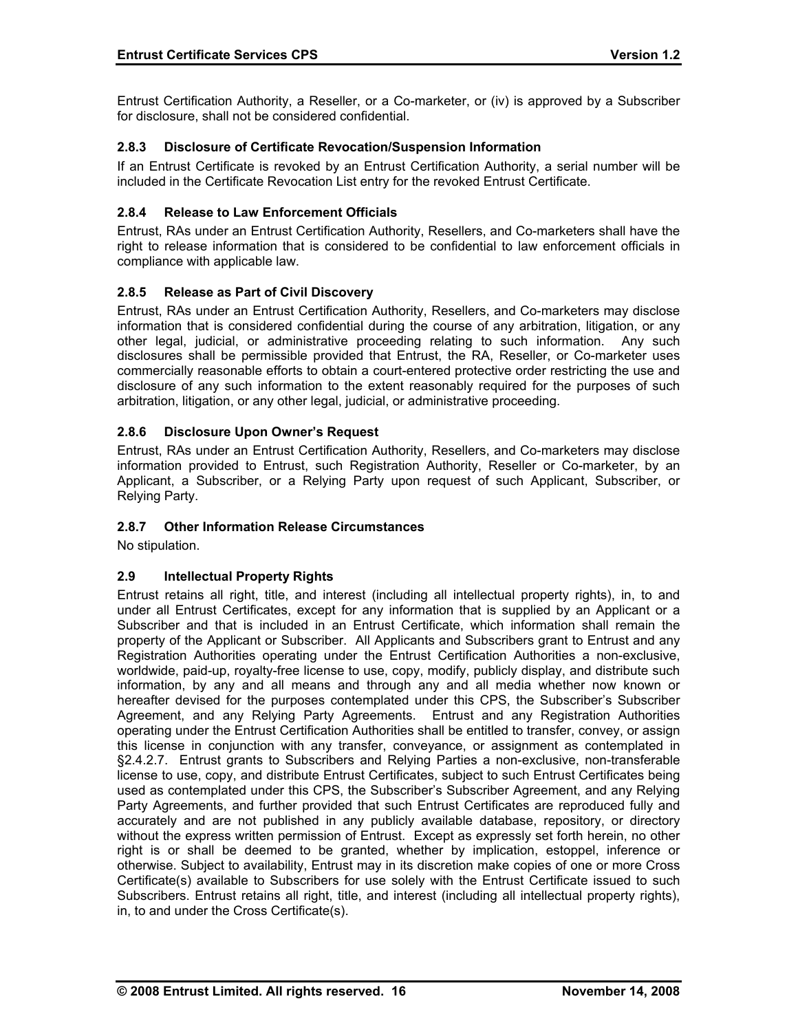Entrust Certification Authority, a Reseller, or a Co-marketer, or (iv) is approved by a Subscriber for disclosure, shall not be considered confidential.

## **2.8.3 Disclosure of Certificate Revocation/Suspension Information**

If an Entrust Certificate is revoked by an Entrust Certification Authority, a serial number will be included in the Certificate Revocation List entry for the revoked Entrust Certificate.

## **2.8.4 Release to Law Enforcement Officials**

Entrust, RAs under an Entrust Certification Authority, Resellers, and Co-marketers shall have the right to release information that is considered to be confidential to law enforcement officials in compliance with applicable law.

### **2.8.5 Release as Part of Civil Discovery**

Entrust, RAs under an Entrust Certification Authority, Resellers, and Co-marketers may disclose information that is considered confidential during the course of any arbitration, litigation, or any other legal, judicial, or administrative proceeding relating to such information. Any such disclosures shall be permissible provided that Entrust, the RA, Reseller, or Co-marketer uses commercially reasonable efforts to obtain a court-entered protective order restricting the use and disclosure of any such information to the extent reasonably required for the purposes of such arbitration, litigation, or any other legal, judicial, or administrative proceeding.

### **2.8.6 Disclosure Upon Owner's Request**

Entrust, RAs under an Entrust Certification Authority, Resellers, and Co-marketers may disclose information provided to Entrust, such Registration Authority, Reseller or Co-marketer, by an Applicant, a Subscriber, or a Relying Party upon request of such Applicant, Subscriber, or Relying Party.

### **2.8.7 Other Information Release Circumstances**

No stipulation.

# **2.9 Intellectual Property Rights**

Entrust retains all right, title, and interest (including all intellectual property rights), in, to and under all Entrust Certificates, except for any information that is supplied by an Applicant or a Subscriber and that is included in an Entrust Certificate, which information shall remain the property of the Applicant or Subscriber. All Applicants and Subscribers grant to Entrust and any Registration Authorities operating under the Entrust Certification Authorities a non-exclusive, worldwide, paid-up, royalty-free license to use, copy, modify, publicly display, and distribute such information, by any and all means and through any and all media whether now known or hereafter devised for the purposes contemplated under this CPS, the Subscriber's Subscriber Agreement, and any Relying Party Agreements. Entrust and any Registration Authorities operating under the Entrust Certification Authorities shall be entitled to transfer, convey, or assign this license in conjunction with any transfer, conveyance, or assignment as contemplated in §2.4.2.7. Entrust grants to Subscribers and Relying Parties a non-exclusive, non-transferable license to use, copy, and distribute Entrust Certificates, subject to such Entrust Certificates being used as contemplated under this CPS, the Subscriber's Subscriber Agreement, and any Relying Party Agreements, and further provided that such Entrust Certificates are reproduced fully and accurately and are not published in any publicly available database, repository, or directory without the express written permission of Entrust. Except as expressly set forth herein, no other right is or shall be deemed to be granted, whether by implication, estoppel, inference or otherwise. Subject to availability, Entrust may in its discretion make copies of one or more Cross Certificate(s) available to Subscribers for use solely with the Entrust Certificate issued to such Subscribers. Entrust retains all right, title, and interest (including all intellectual property rights), in, to and under the Cross Certificate(s).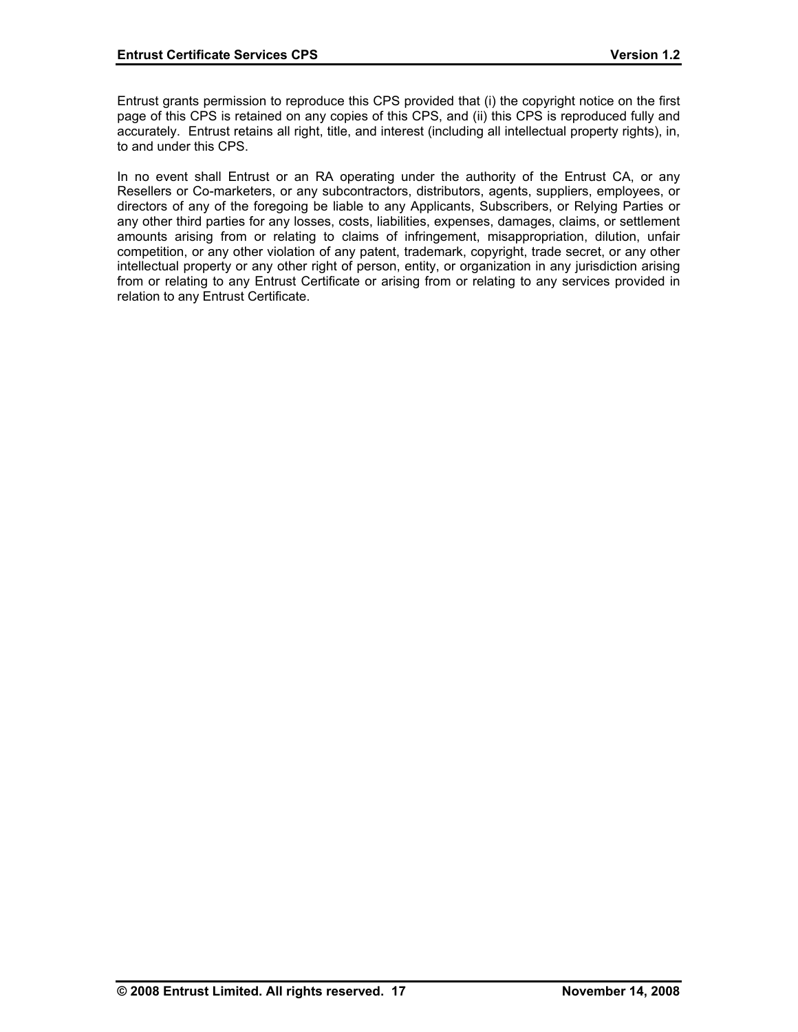Entrust grants permission to reproduce this CPS provided that (i) the copyright notice on the first page of this CPS is retained on any copies of this CPS, and (ii) this CPS is reproduced fully and accurately. Entrust retains all right, title, and interest (including all intellectual property rights), in, to and under this CPS.

In no event shall Entrust or an RA operating under the authority of the Entrust CA, or any Resellers or Co-marketers, or any subcontractors, distributors, agents, suppliers, employees, or directors of any of the foregoing be liable to any Applicants, Subscribers, or Relying Parties or any other third parties for any losses, costs, liabilities, expenses, damages, claims, or settlement amounts arising from or relating to claims of infringement, misappropriation, dilution, unfair competition, or any other violation of any patent, trademark, copyright, trade secret, or any other intellectual property or any other right of person, entity, or organization in any jurisdiction arising from or relating to any Entrust Certificate or arising from or relating to any services provided in relation to any Entrust Certificate.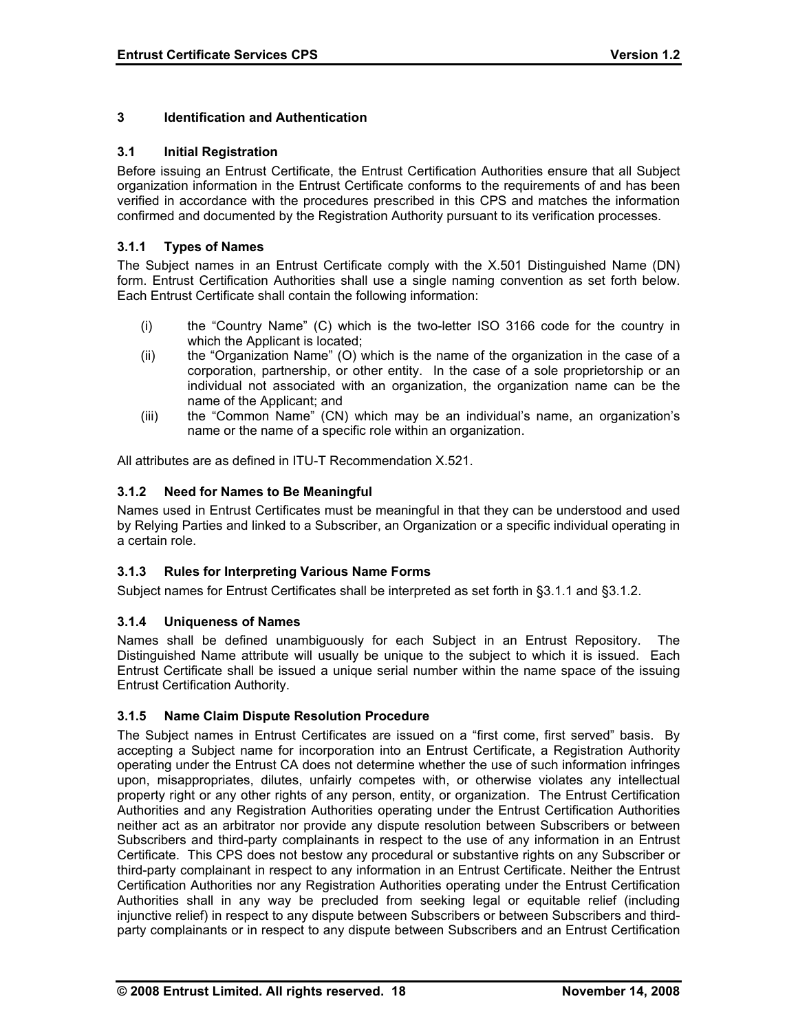## **3 Identification and Authentication**

### **3.1 Initial Registration**

Before issuing an Entrust Certificate, the Entrust Certification Authorities ensure that all Subject organization information in the Entrust Certificate conforms to the requirements of and has been verified in accordance with the procedures prescribed in this CPS and matches the information confirmed and documented by the Registration Authority pursuant to its verification processes.

## **3.1.1 Types of Names**

The Subject names in an Entrust Certificate comply with the X.501 Distinguished Name (DN) form. Entrust Certification Authorities shall use a single naming convention as set forth below. Each Entrust Certificate shall contain the following information:

- (i) the "Country Name" (C) which is the two-letter ISO 3166 code for the country in which the Applicant is located;
- (ii) the "Organization Name" (O) which is the name of the organization in the case of a corporation, partnership, or other entity. In the case of a sole proprietorship or an individual not associated with an organization, the organization name can be the name of the Applicant; and
- (iii) the "Common Name" (CN) which may be an individual's name, an organization's name or the name of a specific role within an organization.

All attributes are as defined in ITU-T Recommendation X.521.

# **3.1.2 Need for Names to Be Meaningful**

Names used in Entrust Certificates must be meaningful in that they can be understood and used by Relying Parties and linked to a Subscriber, an Organization or a specific individual operating in a certain role.

### **3.1.3 Rules for Interpreting Various Name Forms**

Subject names for Entrust Certificates shall be interpreted as set forth in §3.1.1 and §3.1.2.

### **3.1.4 Uniqueness of Names**

Names shall be defined unambiguously for each Subject in an Entrust Repository. The Distinguished Name attribute will usually be unique to the subject to which it is issued. Each Entrust Certificate shall be issued a unique serial number within the name space of the issuing Entrust Certification Authority.

# **3.1.5 Name Claim Dispute Resolution Procedure**

The Subject names in Entrust Certificates are issued on a "first come, first served" basis. By accepting a Subject name for incorporation into an Entrust Certificate, a Registration Authority operating under the Entrust CA does not determine whether the use of such information infringes upon, misappropriates, dilutes, unfairly competes with, or otherwise violates any intellectual property right or any other rights of any person, entity, or organization. The Entrust Certification Authorities and any Registration Authorities operating under the Entrust Certification Authorities neither act as an arbitrator nor provide any dispute resolution between Subscribers or between Subscribers and third-party complainants in respect to the use of any information in an Entrust Certificate. This CPS does not bestow any procedural or substantive rights on any Subscriber or third-party complainant in respect to any information in an Entrust Certificate. Neither the Entrust Certification Authorities nor any Registration Authorities operating under the Entrust Certification Authorities shall in any way be precluded from seeking legal or equitable relief (including injunctive relief) in respect to any dispute between Subscribers or between Subscribers and thirdparty complainants or in respect to any dispute between Subscribers and an Entrust Certification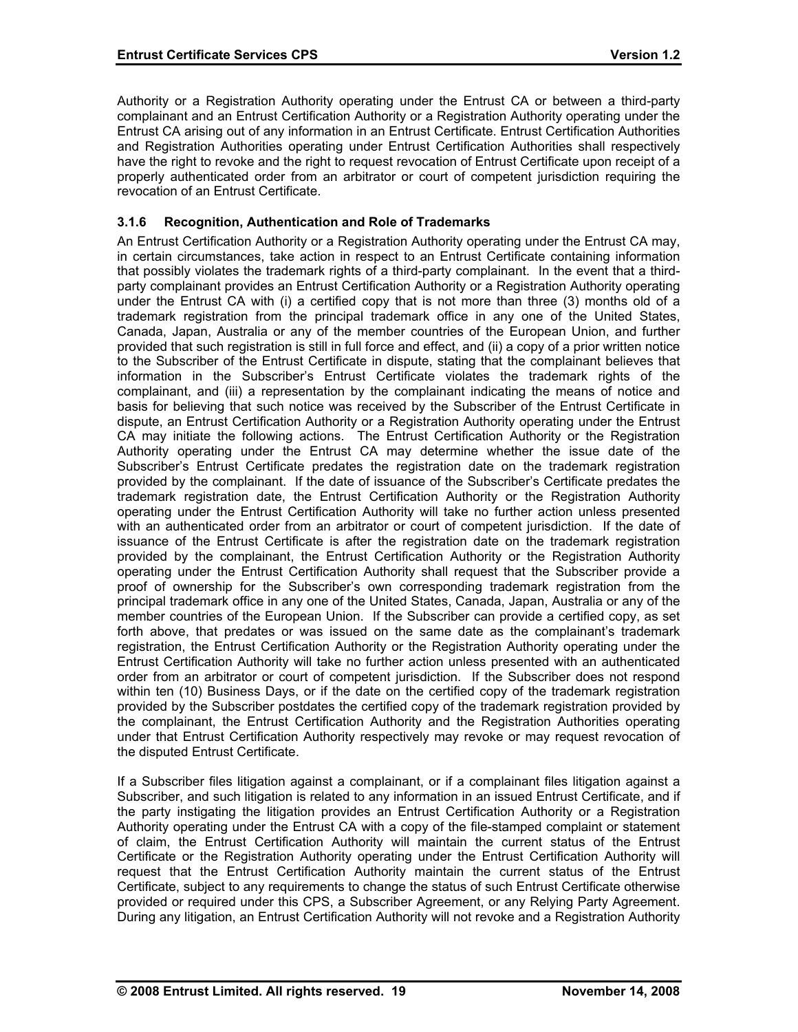Authority or a Registration Authority operating under the Entrust CA or between a third-party complainant and an Entrust Certification Authority or a Registration Authority operating under the Entrust CA arising out of any information in an Entrust Certificate. Entrust Certification Authorities and Registration Authorities operating under Entrust Certification Authorities shall respectively have the right to revoke and the right to request revocation of Entrust Certificate upon receipt of a properly authenticated order from an arbitrator or court of competent jurisdiction requiring the revocation of an Entrust Certificate.

## **3.1.6 Recognition, Authentication and Role of Trademarks**

An Entrust Certification Authority or a Registration Authority operating under the Entrust CA may, in certain circumstances, take action in respect to an Entrust Certificate containing information that possibly violates the trademark rights of a third-party complainant. In the event that a thirdparty complainant provides an Entrust Certification Authority or a Registration Authority operating under the Entrust CA with (i) a certified copy that is not more than three (3) months old of a trademark registration from the principal trademark office in any one of the United States, Canada, Japan, Australia or any of the member countries of the European Union, and further provided that such registration is still in full force and effect, and (ii) a copy of a prior written notice to the Subscriber of the Entrust Certificate in dispute, stating that the complainant believes that information in the Subscriber's Entrust Certificate violates the trademark rights of the complainant, and (iii) a representation by the complainant indicating the means of notice and basis for believing that such notice was received by the Subscriber of the Entrust Certificate in dispute, an Entrust Certification Authority or a Registration Authority operating under the Entrust CA may initiate the following actions. The Entrust Certification Authority or the Registration Authority operating under the Entrust CA may determine whether the issue date of the Subscriber's Entrust Certificate predates the registration date on the trademark registration provided by the complainant. If the date of issuance of the Subscriber's Certificate predates the trademark registration date, the Entrust Certification Authority or the Registration Authority operating under the Entrust Certification Authority will take no further action unless presented with an authenticated order from an arbitrator or court of competent jurisdiction. If the date of issuance of the Entrust Certificate is after the registration date on the trademark registration provided by the complainant, the Entrust Certification Authority or the Registration Authority operating under the Entrust Certification Authority shall request that the Subscriber provide a proof of ownership for the Subscriber's own corresponding trademark registration from the principal trademark office in any one of the United States, Canada, Japan, Australia or any of the member countries of the European Union. If the Subscriber can provide a certified copy, as set forth above, that predates or was issued on the same date as the complainant's trademark registration, the Entrust Certification Authority or the Registration Authority operating under the Entrust Certification Authority will take no further action unless presented with an authenticated order from an arbitrator or court of competent jurisdiction. If the Subscriber does not respond within ten (10) Business Days, or if the date on the certified copy of the trademark registration provided by the Subscriber postdates the certified copy of the trademark registration provided by the complainant, the Entrust Certification Authority and the Registration Authorities operating under that Entrust Certification Authority respectively may revoke or may request revocation of the disputed Entrust Certificate.

If a Subscriber files litigation against a complainant, or if a complainant files litigation against a Subscriber, and such litigation is related to any information in an issued Entrust Certificate, and if the party instigating the litigation provides an Entrust Certification Authority or a Registration Authority operating under the Entrust CA with a copy of the file-stamped complaint or statement of claim, the Entrust Certification Authority will maintain the current status of the Entrust Certificate or the Registration Authority operating under the Entrust Certification Authority will request that the Entrust Certification Authority maintain the current status of the Entrust Certificate, subject to any requirements to change the status of such Entrust Certificate otherwise provided or required under this CPS, a Subscriber Agreement, or any Relying Party Agreement. During any litigation, an Entrust Certification Authority will not revoke and a Registration Authority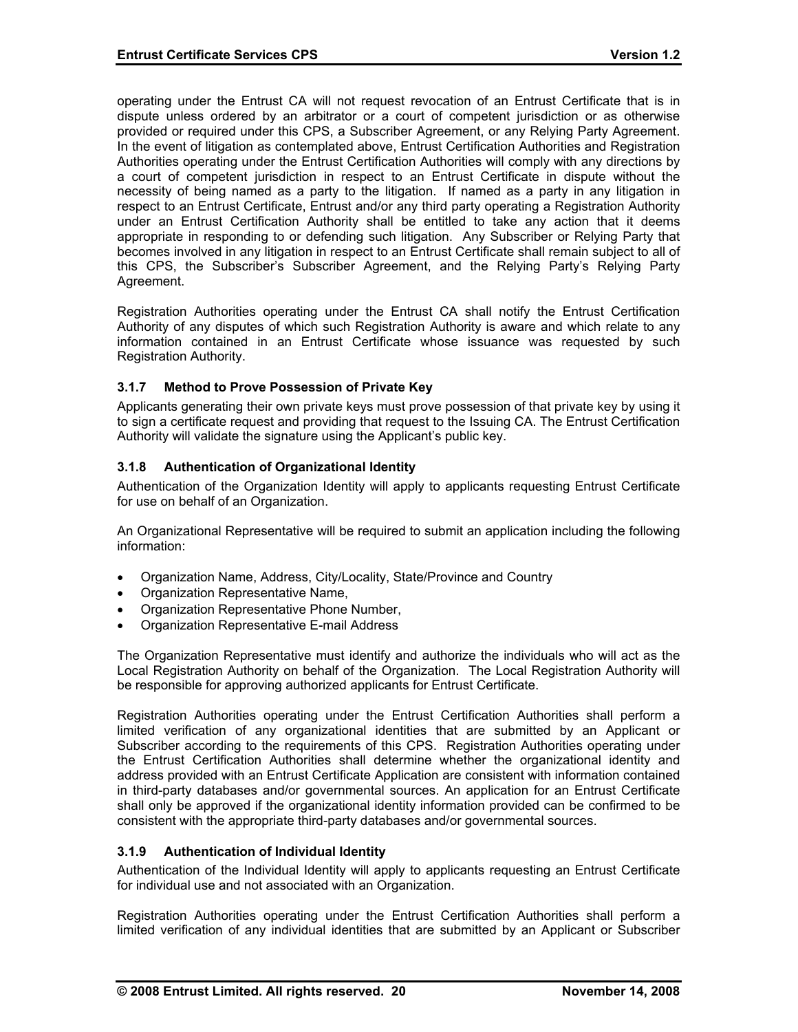operating under the Entrust CA will not request revocation of an Entrust Certificate that is in dispute unless ordered by an arbitrator or a court of competent jurisdiction or as otherwise provided or required under this CPS, a Subscriber Agreement, or any Relying Party Agreement. In the event of litigation as contemplated above, Entrust Certification Authorities and Registration Authorities operating under the Entrust Certification Authorities will comply with any directions by a court of competent jurisdiction in respect to an Entrust Certificate in dispute without the necessity of being named as a party to the litigation. If named as a party in any litigation in respect to an Entrust Certificate, Entrust and/or any third party operating a Registration Authority under an Entrust Certification Authority shall be entitled to take any action that it deems appropriate in responding to or defending such litigation. Any Subscriber or Relying Party that becomes involved in any litigation in respect to an Entrust Certificate shall remain subject to all of this CPS, the Subscriber's Subscriber Agreement, and the Relying Party's Relying Party Agreement.

Registration Authorities operating under the Entrust CA shall notify the Entrust Certification Authority of any disputes of which such Registration Authority is aware and which relate to any information contained in an Entrust Certificate whose issuance was requested by such Registration Authority.

### **3.1.7 Method to Prove Possession of Private Key**

Applicants generating their own private keys must prove possession of that private key by using it to sign a certificate request and providing that request to the Issuing CA. The Entrust Certification Authority will validate the signature using the Applicant's public key.

# **3.1.8 Authentication of Organizational Identity**

Authentication of the Organization Identity will apply to applicants requesting Entrust Certificate for use on behalf of an Organization.

An Organizational Representative will be required to submit an application including the following information:

- Organization Name, Address, City/Locality, State/Province and Country
- Organization Representative Name,
- Organization Representative Phone Number,
- Organization Representative E-mail Address

The Organization Representative must identify and authorize the individuals who will act as the Local Registration Authority on behalf of the Organization. The Local Registration Authority will be responsible for approving authorized applicants for Entrust Certificate.

Registration Authorities operating under the Entrust Certification Authorities shall perform a limited verification of any organizational identities that are submitted by an Applicant or Subscriber according to the requirements of this CPS. Registration Authorities operating under the Entrust Certification Authorities shall determine whether the organizational identity and address provided with an Entrust Certificate Application are consistent with information contained in third-party databases and/or governmental sources. An application for an Entrust Certificate shall only be approved if the organizational identity information provided can be confirmed to be consistent with the appropriate third-party databases and/or governmental sources.

### **3.1.9 Authentication of Individual Identity**

Authentication of the Individual Identity will apply to applicants requesting an Entrust Certificate for individual use and not associated with an Organization.

Registration Authorities operating under the Entrust Certification Authorities shall perform a limited verification of any individual identities that are submitted by an Applicant or Subscriber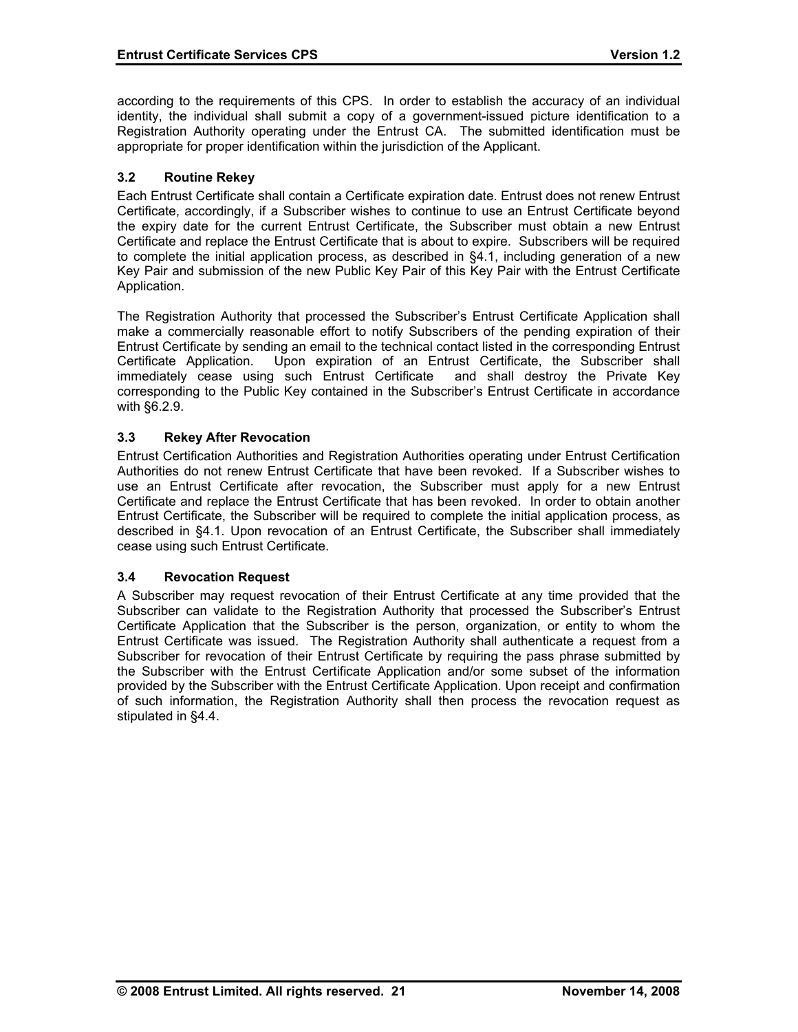according to the requirements of this CPS. In order to establish the accuracy of an individual identity, the individual shall submit a copy of a government-issued picture identification to a Registration Authority operating under the Entrust CA. The submitted identification must be appropriate for proper identification within the jurisdiction of the Applicant.

### **3.2 Routine Rekey**

Each Entrust Certificate shall contain a Certificate expiration date. Entrust does not renew Entrust Certificate, accordingly, if a Subscriber wishes to continue to use an Entrust Certificate beyond the expiry date for the current Entrust Certificate, the Subscriber must obtain a new Entrust Certificate and replace the Entrust Certificate that is about to expire. Subscribers will be required to complete the initial application process, as described in §4.1, including generation of a new Key Pair and submission of the new Public Key Pair of this Key Pair with the Entrust Certificate Application.

The Registration Authority that processed the Subscriber's Entrust Certificate Application shall make a commercially reasonable effort to notify Subscribers of the pending expiration of their Entrust Certificate by sending an email to the technical contact listed in the corresponding Entrust Certificate Application. Upon expiration of an Entrust Certificate, the Subscriber shall immediately cease using such Entrust Certificate and shall destroy the Private Key corresponding to the Public Key contained in the Subscriber's Entrust Certificate in accordance with §6.2.9.

### **3.3 Rekey After Revocation**

Entrust Certification Authorities and Registration Authorities operating under Entrust Certification Authorities do not renew Entrust Certificate that have been revoked. If a Subscriber wishes to use an Entrust Certificate after revocation, the Subscriber must apply for a new Entrust Certificate and replace the Entrust Certificate that has been revoked. In order to obtain another Entrust Certificate, the Subscriber will be required to complete the initial application process, as described in §4.1. Upon revocation of an Entrust Certificate, the Subscriber shall immediately cease using such Entrust Certificate.

### **3.4 Revocation Request**

A Subscriber may request revocation of their Entrust Certificate at any time provided that the Subscriber can validate to the Registration Authority that processed the Subscriber's Entrust Certificate Application that the Subscriber is the person, organization, or entity to whom the Entrust Certificate was issued. The Registration Authority shall authenticate a request from a Subscriber for revocation of their Entrust Certificate by requiring the pass phrase submitted by the Subscriber with the Entrust Certificate Application and/or some subset of the information provided by the Subscriber with the Entrust Certificate Application. Upon receipt and confirmation of such information, the Registration Authority shall then process the revocation request as stipulated in §4.4.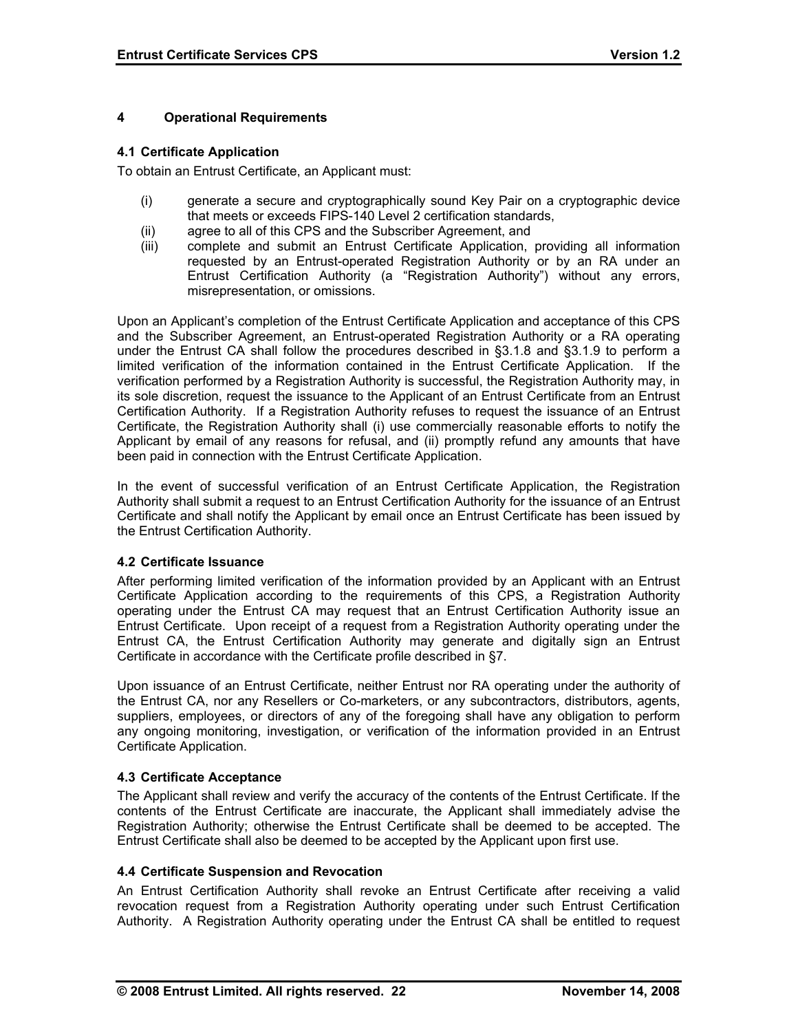### **4 Operational Requirements**

### **4.1 Certificate Application**

To obtain an Entrust Certificate, an Applicant must:

- (i) generate a secure and cryptographically sound Key Pair on a cryptographic device that meets or exceeds FIPS-140 Level 2 certification standards,
- (ii) agree to all of this CPS and the Subscriber Agreement, and
- (iii) complete and submit an Entrust Certificate Application, providing all information requested by an Entrust-operated Registration Authority or by an RA under an Entrust Certification Authority (a "Registration Authority") without any errors, misrepresentation, or omissions.

Upon an Applicant's completion of the Entrust Certificate Application and acceptance of this CPS and the Subscriber Agreement, an Entrust-operated Registration Authority or a RA operating under the Entrust CA shall follow the procedures described in §3.1.8 and §3.1.9 to perform a limited verification of the information contained in the Entrust Certificate Application. If the verification performed by a Registration Authority is successful, the Registration Authority may, in its sole discretion, request the issuance to the Applicant of an Entrust Certificate from an Entrust Certification Authority. If a Registration Authority refuses to request the issuance of an Entrust Certificate, the Registration Authority shall (i) use commercially reasonable efforts to notify the Applicant by email of any reasons for refusal, and (ii) promptly refund any amounts that have been paid in connection with the Entrust Certificate Application.

In the event of successful verification of an Entrust Certificate Application, the Registration Authority shall submit a request to an Entrust Certification Authority for the issuance of an Entrust Certificate and shall notify the Applicant by email once an Entrust Certificate has been issued by the Entrust Certification Authority.

### **4.2 Certificate Issuance**

After performing limited verification of the information provided by an Applicant with an Entrust Certificate Application according to the requirements of this CPS, a Registration Authority operating under the Entrust CA may request that an Entrust Certification Authority issue an Entrust Certificate. Upon receipt of a request from a Registration Authority operating under the Entrust CA, the Entrust Certification Authority may generate and digitally sign an Entrust Certificate in accordance with the Certificate profile described in §7.

Upon issuance of an Entrust Certificate, neither Entrust nor RA operating under the authority of the Entrust CA, nor any Resellers or Co-marketers, or any subcontractors, distributors, agents, suppliers, employees, or directors of any of the foregoing shall have any obligation to perform any ongoing monitoring, investigation, or verification of the information provided in an Entrust Certificate Application.

### **4.3 Certificate Acceptance**

The Applicant shall review and verify the accuracy of the contents of the Entrust Certificate. If the contents of the Entrust Certificate are inaccurate, the Applicant shall immediately advise the Registration Authority; otherwise the Entrust Certificate shall be deemed to be accepted. The Entrust Certificate shall also be deemed to be accepted by the Applicant upon first use.

### **4.4 Certificate Suspension and Revocation**

An Entrust Certification Authority shall revoke an Entrust Certificate after receiving a valid revocation request from a Registration Authority operating under such Entrust Certification Authority. A Registration Authority operating under the Entrust CA shall be entitled to request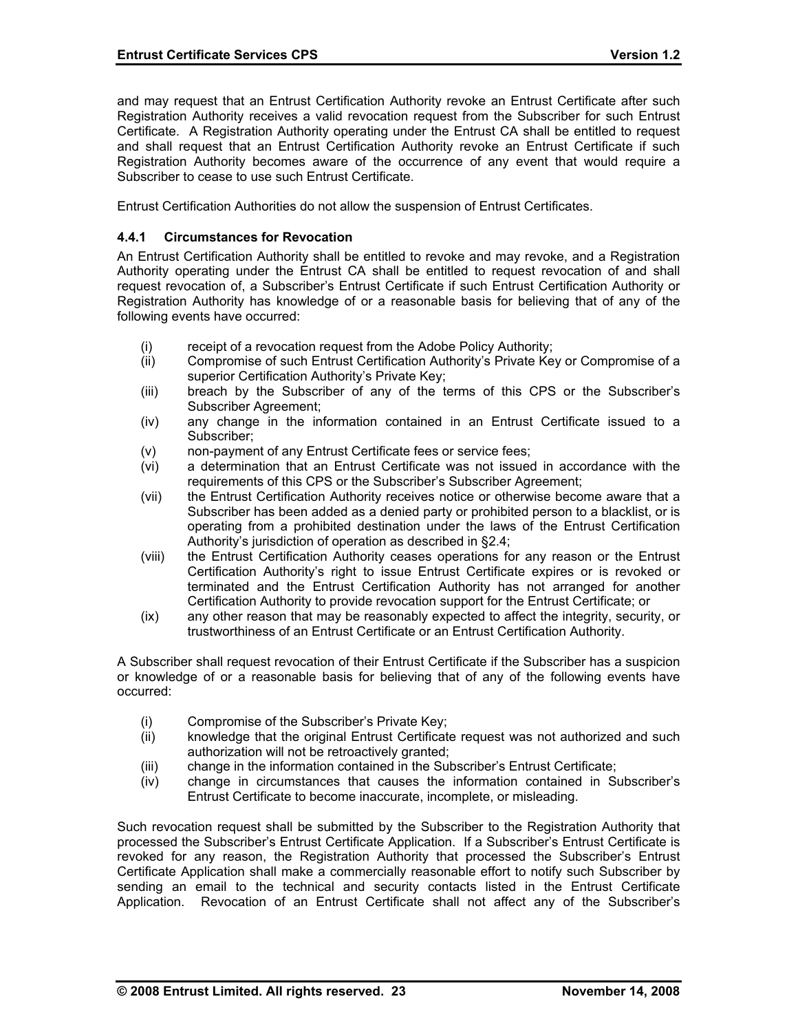and may request that an Entrust Certification Authority revoke an Entrust Certificate after such Registration Authority receives a valid revocation request from the Subscriber for such Entrust Certificate. A Registration Authority operating under the Entrust CA shall be entitled to request and shall request that an Entrust Certification Authority revoke an Entrust Certificate if such Registration Authority becomes aware of the occurrence of any event that would require a Subscriber to cease to use such Entrust Certificate.

Entrust Certification Authorities do not allow the suspension of Entrust Certificates.

#### **4.4.1 Circumstances for Revocation**

An Entrust Certification Authority shall be entitled to revoke and may revoke, and a Registration Authority operating under the Entrust CA shall be entitled to request revocation of and shall request revocation of, a Subscriber's Entrust Certificate if such Entrust Certification Authority or Registration Authority has knowledge of or a reasonable basis for believing that of any of the following events have occurred:

- (i) receipt of a revocation request from the Adobe Policy Authority;
- (ii) Compromise of such Entrust Certification Authority's Private Key or Compromise of a superior Certification Authority's Private Key;
- (iii) breach by the Subscriber of any of the terms of this CPS or the Subscriber's Subscriber Agreement;
- (iv) any change in the information contained in an Entrust Certificate issued to a Subscriber;
- (v) non-payment of any Entrust Certificate fees or service fees;
- (vi) a determination that an Entrust Certificate was not issued in accordance with the requirements of this CPS or the Subscriber's Subscriber Agreement;
- (vii) the Entrust Certification Authority receives notice or otherwise become aware that a Subscriber has been added as a denied party or prohibited person to a blacklist, or is operating from a prohibited destination under the laws of the Entrust Certification Authority's jurisdiction of operation as described in §2.4;
- (viii) the Entrust Certification Authority ceases operations for any reason or the Entrust Certification Authority's right to issue Entrust Certificate expires or is revoked or terminated and the Entrust Certification Authority has not arranged for another Certification Authority to provide revocation support for the Entrust Certificate; or
- (ix) any other reason that may be reasonably expected to affect the integrity, security, or trustworthiness of an Entrust Certificate or an Entrust Certification Authority.

A Subscriber shall request revocation of their Entrust Certificate if the Subscriber has a suspicion or knowledge of or a reasonable basis for believing that of any of the following events have occurred:

- (i) Compromise of the Subscriber's Private Key;
- (ii) knowledge that the original Entrust Certificate request was not authorized and such authorization will not be retroactively granted;
- (iii) change in the information contained in the Subscriber's Entrust Certificate;
- (iv) change in circumstances that causes the information contained in Subscriber's Entrust Certificate to become inaccurate, incomplete, or misleading.

Such revocation request shall be submitted by the Subscriber to the Registration Authority that processed the Subscriber's Entrust Certificate Application. If a Subscriber's Entrust Certificate is revoked for any reason, the Registration Authority that processed the Subscriber's Entrust Certificate Application shall make a commercially reasonable effort to notify such Subscriber by sending an email to the technical and security contacts listed in the Entrust Certificate Application. Revocation of an Entrust Certificate shall not affect any of the Subscriber's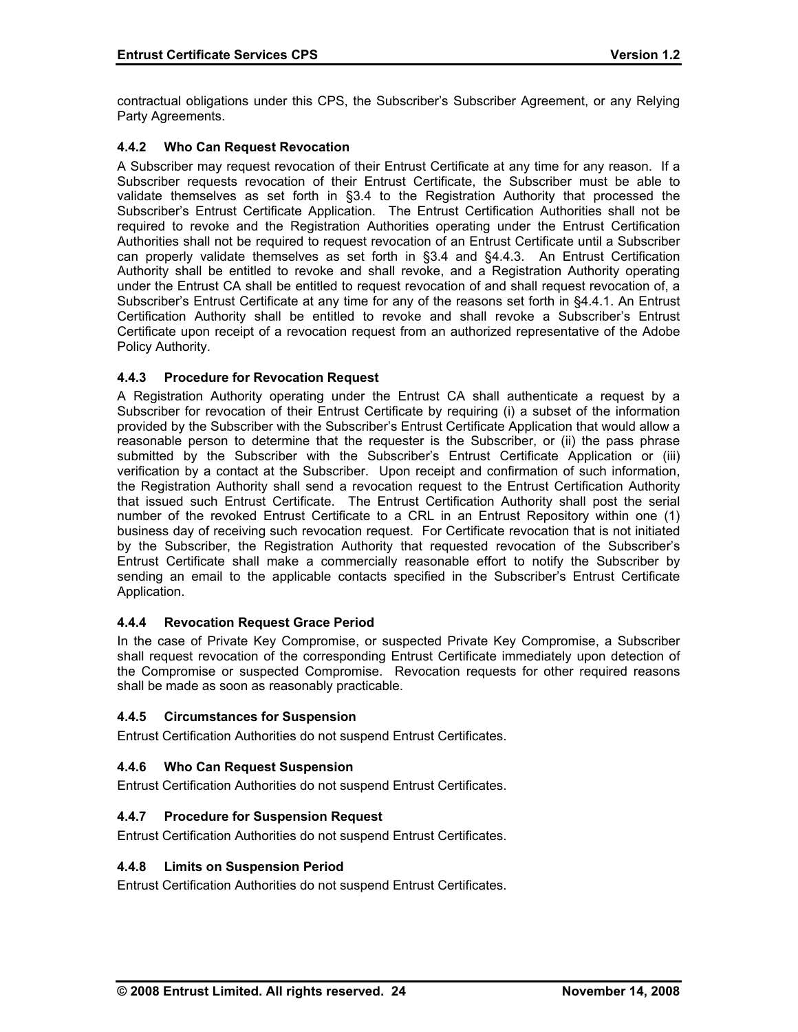contractual obligations under this CPS, the Subscriber's Subscriber Agreement, or any Relying Party Agreements.

## **4.4.2 Who Can Request Revocation**

A Subscriber may request revocation of their Entrust Certificate at any time for any reason. If a Subscriber requests revocation of their Entrust Certificate, the Subscriber must be able to validate themselves as set forth in §3.4 to the Registration Authority that processed the Subscriber's Entrust Certificate Application. The Entrust Certification Authorities shall not be required to revoke and the Registration Authorities operating under the Entrust Certification Authorities shall not be required to request revocation of an Entrust Certificate until a Subscriber can properly validate themselves as set forth in §3.4 and §4.4.3. An Entrust Certification Authority shall be entitled to revoke and shall revoke, and a Registration Authority operating under the Entrust CA shall be entitled to request revocation of and shall request revocation of, a Subscriber's Entrust Certificate at any time for any of the reasons set forth in §4.4.1. An Entrust Certification Authority shall be entitled to revoke and shall revoke a Subscriber's Entrust Certificate upon receipt of a revocation request from an authorized representative of the Adobe Policy Authority.

### **4.4.3 Procedure for Revocation Request**

A Registration Authority operating under the Entrust CA shall authenticate a request by a Subscriber for revocation of their Entrust Certificate by requiring (i) a subset of the information provided by the Subscriber with the Subscriber's Entrust Certificate Application that would allow a reasonable person to determine that the requester is the Subscriber, or (ii) the pass phrase submitted by the Subscriber with the Subscriber's Entrust Certificate Application or (iii) verification by a contact at the Subscriber. Upon receipt and confirmation of such information, the Registration Authority shall send a revocation request to the Entrust Certification Authority that issued such Entrust Certificate. The Entrust Certification Authority shall post the serial number of the revoked Entrust Certificate to a CRL in an Entrust Repository within one (1) business day of receiving such revocation request. For Certificate revocation that is not initiated by the Subscriber, the Registration Authority that requested revocation of the Subscriber's Entrust Certificate shall make a commercially reasonable effort to notify the Subscriber by sending an email to the applicable contacts specified in the Subscriber's Entrust Certificate Application.

### **4.4.4 Revocation Request Grace Period**

In the case of Private Key Compromise, or suspected Private Key Compromise, a Subscriber shall request revocation of the corresponding Entrust Certificate immediately upon detection of the Compromise or suspected Compromise. Revocation requests for other required reasons shall be made as soon as reasonably practicable.

### **4.4.5 Circumstances for Suspension**

Entrust Certification Authorities do not suspend Entrust Certificates.

### **4.4.6 Who Can Request Suspension**

Entrust Certification Authorities do not suspend Entrust Certificates.

### **4.4.7 Procedure for Suspension Request**

Entrust Certification Authorities do not suspend Entrust Certificates.

#### **4.4.8 Limits on Suspension Period**

Entrust Certification Authorities do not suspend Entrust Certificates.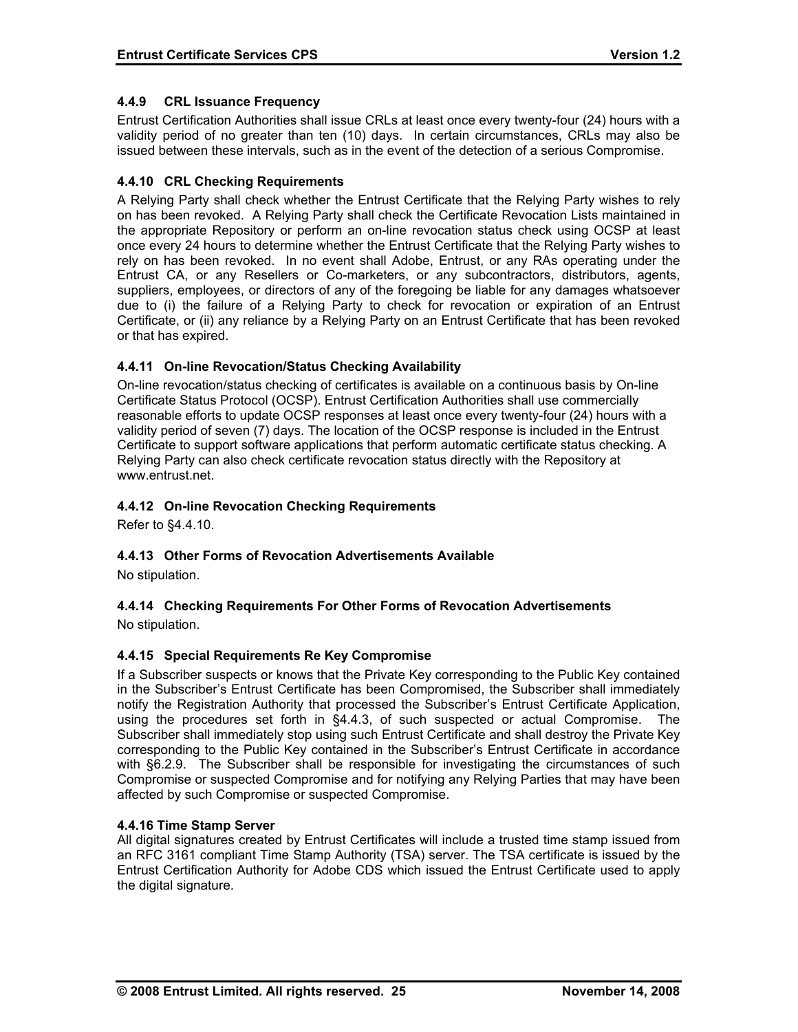## **4.4.9 CRL Issuance Frequency**

Entrust Certification Authorities shall issue CRLs at least once every twenty-four (24) hours with a validity period of no greater than ten (10) days. In certain circumstances, CRLs may also be issued between these intervals, such as in the event of the detection of a serious Compromise.

### **4.4.10 CRL Checking Requirements**

A Relying Party shall check whether the Entrust Certificate that the Relying Party wishes to rely on has been revoked. A Relying Party shall check the Certificate Revocation Lists maintained in the appropriate Repository or perform an on-line revocation status check using OCSP at least once every 24 hours to determine whether the Entrust Certificate that the Relying Party wishes to rely on has been revoked. In no event shall Adobe, Entrust, or any RAs operating under the Entrust CA, or any Resellers or Co-marketers, or any subcontractors, distributors, agents, suppliers, employees, or directors of any of the foregoing be liable for any damages whatsoever due to (i) the failure of a Relying Party to check for revocation or expiration of an Entrust Certificate, or (ii) any reliance by a Relying Party on an Entrust Certificate that has been revoked or that has expired.

# **4.4.11 On-line Revocation/Status Checking Availability**

On-line revocation/status checking of certificates is available on a continuous basis by On-line Certificate Status Protocol (OCSP). Entrust Certification Authorities shall use commercially reasonable efforts to update OCSP responses at least once every twenty-four (24) hours with a validity period of seven (7) days. The location of the OCSP response is included in the Entrust Certificate to support software applications that perform automatic certificate status checking. A Relying Party can also check certificate revocation status directly with the Repository at www.entrust.net.

# **4.4.12 On-line Revocation Checking Requirements**

Refer to §4.4.10.

# **4.4.13 Other Forms of Revocation Advertisements Available**

No stipulation.

# **4.4.14 Checking Requirements For Other Forms of Revocation Advertisements**

No stipulation.

# **4.4.15 Special Requirements Re Key Compromise**

If a Subscriber suspects or knows that the Private Key corresponding to the Public Key contained in the Subscriber's Entrust Certificate has been Compromised, the Subscriber shall immediately notify the Registration Authority that processed the Subscriber's Entrust Certificate Application, using the procedures set forth in §4.4.3, of such suspected or actual Compromise. The Subscriber shall immediately stop using such Entrust Certificate and shall destroy the Private Key corresponding to the Public Key contained in the Subscriber's Entrust Certificate in accordance with §6.2.9. The Subscriber shall be responsible for investigating the circumstances of such Compromise or suspected Compromise and for notifying any Relying Parties that may have been affected by such Compromise or suspected Compromise.

### **4.4.16 Time Stamp Server**

All digital signatures created by Entrust Certificates will include a trusted time stamp issued from an RFC 3161 compliant Time Stamp Authority (TSA) server. The TSA certificate is issued by the Entrust Certification Authority for Adobe CDS which issued the Entrust Certificate used to apply the digital signature.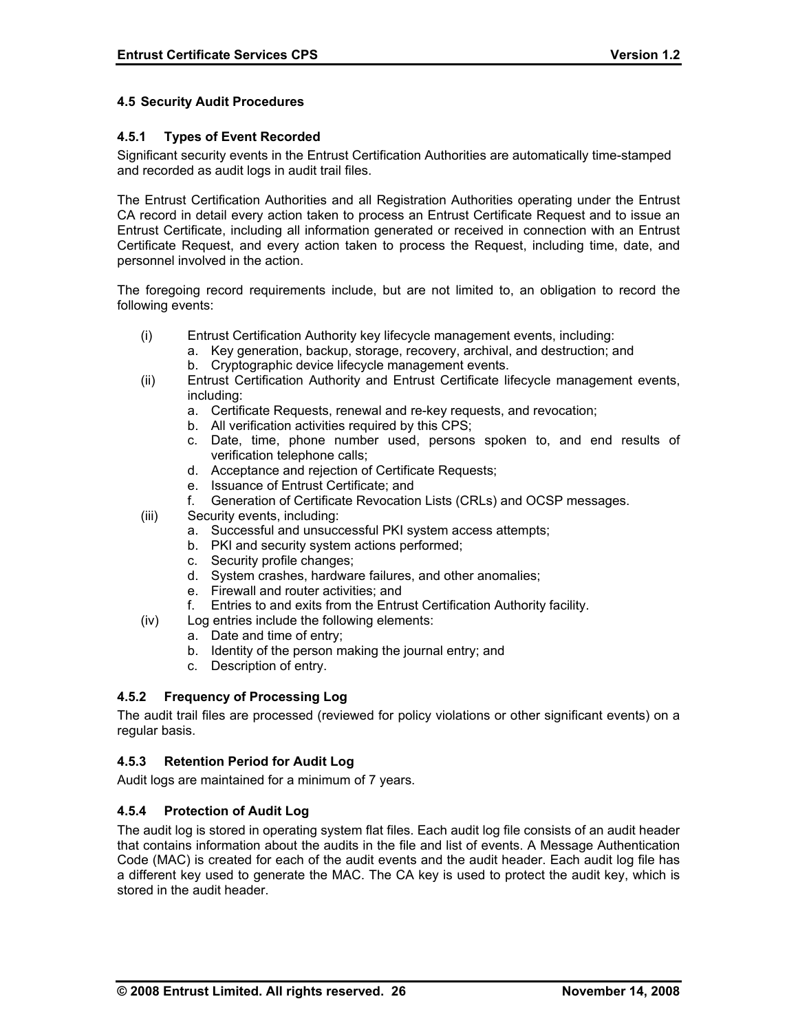### **4.5 Security Audit Procedures**

#### **4.5.1 Types of Event Recorded**

Significant security events in the Entrust Certification Authorities are automatically time-stamped and recorded as audit logs in audit trail files.

The Entrust Certification Authorities and all Registration Authorities operating under the Entrust CA record in detail every action taken to process an Entrust Certificate Request and to issue an Entrust Certificate, including all information generated or received in connection with an Entrust Certificate Request, and every action taken to process the Request, including time, date, and personnel involved in the action.

The foregoing record requirements include, but are not limited to, an obligation to record the following events:

- (i) Entrust Certification Authority key lifecycle management events, including:
	- a. Key generation, backup, storage, recovery, archival, and destruction; and
	- b. Cryptographic device lifecycle management events.
- (ii) Entrust Certification Authority and Entrust Certificate lifecycle management events, including:
	- a. Certificate Requests, renewal and re-key requests, and revocation;
	- b. All verification activities required by this CPS;
	- c. Date, time, phone number used, persons spoken to, and end results of verification telephone calls;
	- d. Acceptance and rejection of Certificate Requests;
	- e. Issuance of Entrust Certificate; and
	- f. Generation of Certificate Revocation Lists (CRLs) and OCSP messages.
- (iii) Security events, including:
	- a. Successful and unsuccessful PKI system access attempts;
	- b. PKI and security system actions performed;
	- c. Security profile changes;
	- d. System crashes, hardware failures, and other anomalies;
	- e. Firewall and router activities; and
	- f. Entries to and exits from the Entrust Certification Authority facility.
- (iv) Log entries include the following elements:
	- a. Date and time of entry;
		- b. Identity of the person making the journal entry; and
		- c. Description of entry.

### **4.5.2 Frequency of Processing Log**

The audit trail files are processed (reviewed for policy violations or other significant events) on a regular basis.

#### **4.5.3 Retention Period for Audit Log**

Audit logs are maintained for a minimum of 7 years.

#### **4.5.4 Protection of Audit Log**

The audit log is stored in operating system flat files. Each audit log file consists of an audit header that contains information about the audits in the file and list of events. A Message Authentication Code (MAC) is created for each of the audit events and the audit header. Each audit log file has a different key used to generate the MAC. The CA key is used to protect the audit key, which is stored in the audit header.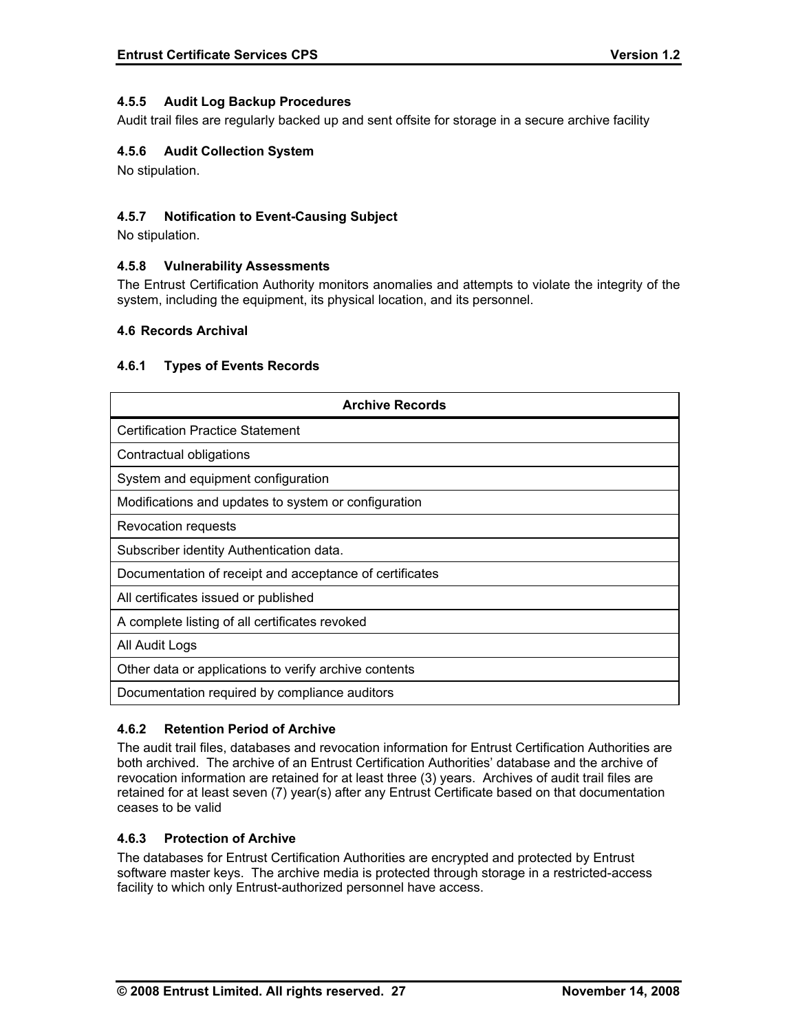### **4.5.5 Audit Log Backup Procedures**

Audit trail files are regularly backed up and sent offsite for storage in a secure archive facility

### **4.5.6 Audit Collection System**

No stipulation.

### **4.5.7 Notification to Event-Causing Subject**

No stipulation.

### **4.5.8 Vulnerability Assessments**

The Entrust Certification Authority monitors anomalies and attempts to violate the integrity of the system, including the equipment, its physical location, and its personnel.

#### **4.6 Records Archival**

#### **4.6.1 Types of Events Records**

| <b>Archive Records</b>                                  |
|---------------------------------------------------------|
| <b>Certification Practice Statement</b>                 |
| Contractual obligations                                 |
| System and equipment configuration                      |
| Modifications and updates to system or configuration    |
| Revocation requests                                     |
| Subscriber identity Authentication data.                |
| Documentation of receipt and acceptance of certificates |
| All certificates issued or published                    |
| A complete listing of all certificates revoked          |
| All Audit Logs                                          |
| Other data or applications to verify archive contents   |
| Documentation required by compliance auditors           |

### **4.6.2 Retention Period of Archive**

The audit trail files, databases and revocation information for Entrust Certification Authorities are both archived. The archive of an Entrust Certification Authorities' database and the archive of revocation information are retained for at least three (3) years. Archives of audit trail files are retained for at least seven (7) year(s) after any Entrust Certificate based on that documentation ceases to be valid

#### **4.6.3 Protection of Archive**

The databases for Entrust Certification Authorities are encrypted and protected by Entrust software master keys. The archive media is protected through storage in a restricted-access facility to which only Entrust-authorized personnel have access.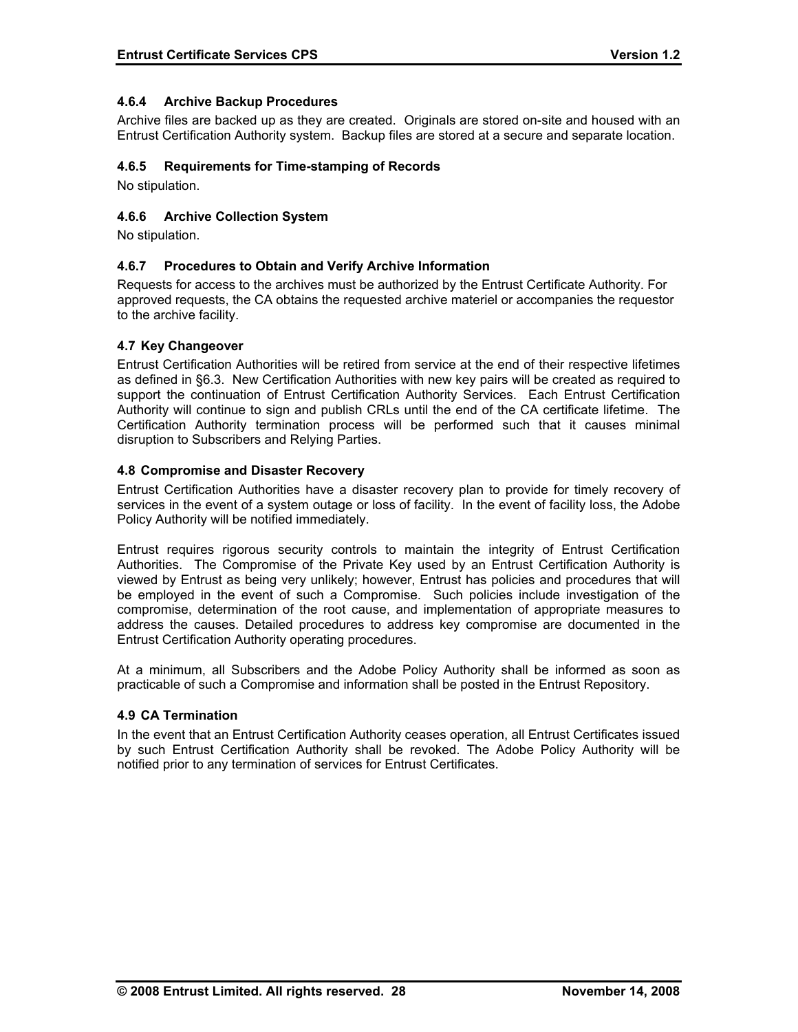## **4.6.4 Archive Backup Procedures**

Archive files are backed up as they are created. Originals are stored on-site and housed with an Entrust Certification Authority system. Backup files are stored at a secure and separate location.

#### **4.6.5 Requirements for Time-stamping of Records**

No stipulation.

### **4.6.6 Archive Collection System**

No stipulation.

### **4.6.7 Procedures to Obtain and Verify Archive Information**

Requests for access to the archives must be authorized by the Entrust Certificate Authority. For approved requests, the CA obtains the requested archive materiel or accompanies the requestor to the archive facility.

#### **4.7 Key Changeover**

Entrust Certification Authorities will be retired from service at the end of their respective lifetimes as defined in §6.3. New Certification Authorities with new key pairs will be created as required to support the continuation of Entrust Certification Authority Services. Each Entrust Certification Authority will continue to sign and publish CRLs until the end of the CA certificate lifetime. The Certification Authority termination process will be performed such that it causes minimal disruption to Subscribers and Relying Parties.

#### **4.8 Compromise and Disaster Recovery**

Entrust Certification Authorities have a disaster recovery plan to provide for timely recovery of services in the event of a system outage or loss of facility. In the event of facility loss, the Adobe Policy Authority will be notified immediately.

Entrust requires rigorous security controls to maintain the integrity of Entrust Certification Authorities. The Compromise of the Private Key used by an Entrust Certification Authority is viewed by Entrust as being very unlikely; however, Entrust has policies and procedures that will be employed in the event of such a Compromise. Such policies include investigation of the compromise, determination of the root cause, and implementation of appropriate measures to address the causes. Detailed procedures to address key compromise are documented in the Entrust Certification Authority operating procedures.

At a minimum, all Subscribers and the Adobe Policy Authority shall be informed as soon as practicable of such a Compromise and information shall be posted in the Entrust Repository.

### **4.9 CA Termination**

In the event that an Entrust Certification Authority ceases operation, all Entrust Certificates issued by such Entrust Certification Authority shall be revoked. The Adobe Policy Authority will be notified prior to any termination of services for Entrust Certificates.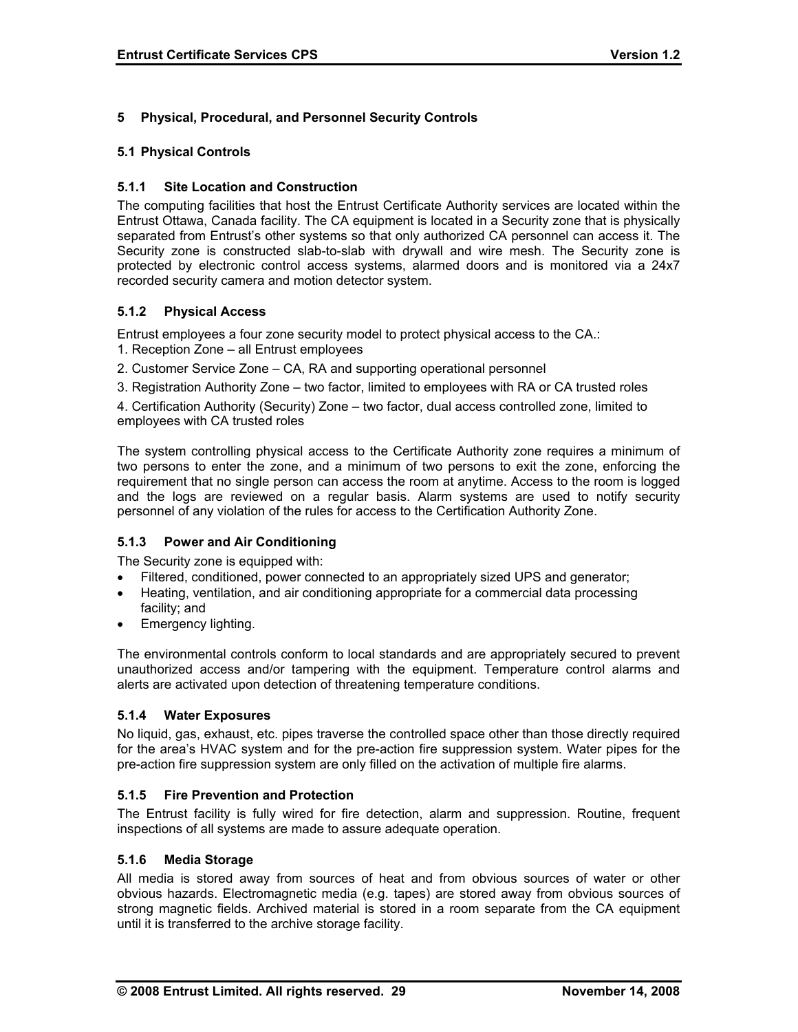# **5 Physical, Procedural, and Personnel Security Controls**

### **5.1 Physical Controls**

#### **5.1.1 Site Location and Construction**

The computing facilities that host the Entrust Certificate Authority services are located within the Entrust Ottawa, Canada facility. The CA equipment is located in a Security zone that is physically separated from Entrust's other systems so that only authorized CA personnel can access it. The Security zone is constructed slab-to-slab with drywall and wire mesh. The Security zone is protected by electronic control access systems, alarmed doors and is monitored via a 24x7 recorded security camera and motion detector system.

### **5.1.2 Physical Access**

Entrust employees a four zone security model to protect physical access to the CA.:

- 1. Reception Zone all Entrust employees
- 2. Customer Service Zone CA, RA and supporting operational personnel
- 3. Registration Authority Zone two factor, limited to employees with RA or CA trusted roles

4. Certification Authority (Security) Zone – two factor, dual access controlled zone, limited to employees with CA trusted roles

The system controlling physical access to the Certificate Authority zone requires a minimum of two persons to enter the zone, and a minimum of two persons to exit the zone, enforcing the requirement that no single person can access the room at anytime. Access to the room is logged and the logs are reviewed on a regular basis. Alarm systems are used to notify security personnel of any violation of the rules for access to the Certification Authority Zone.

### **5.1.3 Power and Air Conditioning**

The Security zone is equipped with:

- Filtered, conditioned, power connected to an appropriately sized UPS and generator;
- Heating, ventilation, and air conditioning appropriate for a commercial data processing facility; and
- Emergency lighting.

The environmental controls conform to local standards and are appropriately secured to prevent unauthorized access and/or tampering with the equipment. Temperature control alarms and alerts are activated upon detection of threatening temperature conditions.

#### **5.1.4 Water Exposures**

No liquid, gas, exhaust, etc. pipes traverse the controlled space other than those directly required for the area's HVAC system and for the pre-action fire suppression system. Water pipes for the pre-action fire suppression system are only filled on the activation of multiple fire alarms.

#### **5.1.5 Fire Prevention and Protection**

The Entrust facility is fully wired for fire detection, alarm and suppression. Routine, frequent inspections of all systems are made to assure adequate operation.

#### **5.1.6 Media Storage**

All media is stored away from sources of heat and from obvious sources of water or other obvious hazards. Electromagnetic media (e.g. tapes) are stored away from obvious sources of strong magnetic fields. Archived material is stored in a room separate from the CA equipment until it is transferred to the archive storage facility.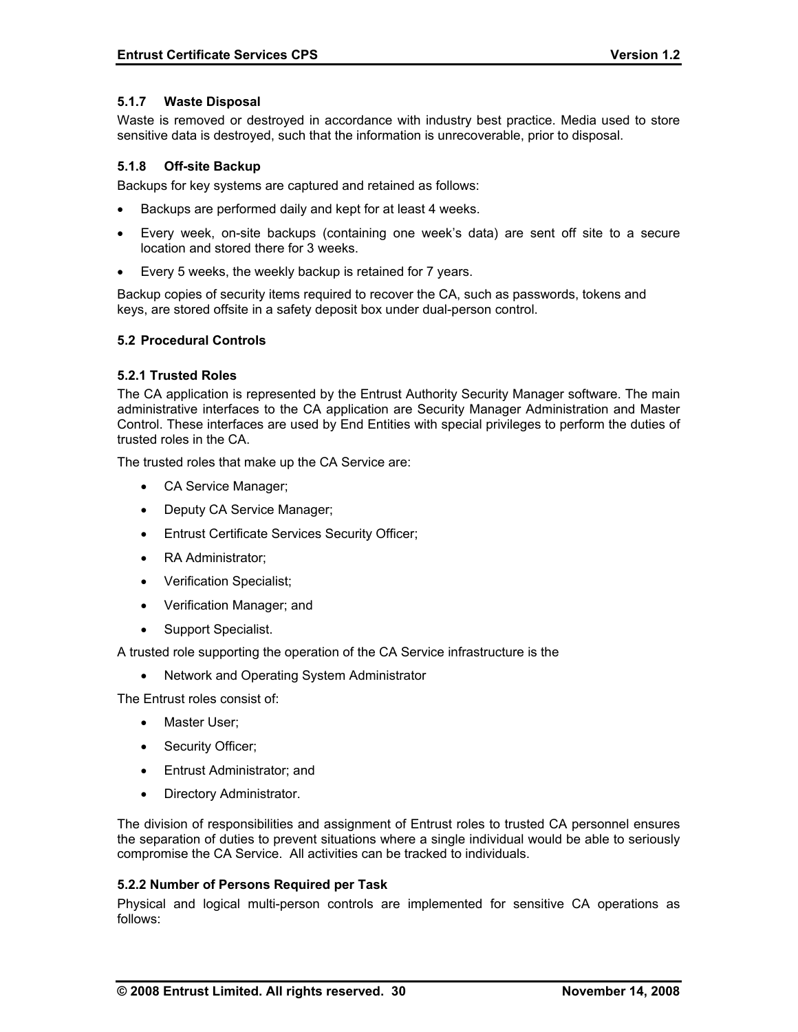#### **5.1.7 Waste Disposal**

Waste is removed or destroyed in accordance with industry best practice. Media used to store sensitive data is destroyed, such that the information is unrecoverable, prior to disposal.

#### **5.1.8 Off-site Backup**

Backups for key systems are captured and retained as follows:

- Backups are performed daily and kept for at least 4 weeks.
- Every week, on-site backups (containing one week's data) are sent off site to a secure location and stored there for 3 weeks.
- Every 5 weeks, the weekly backup is retained for 7 years.

Backup copies of security items required to recover the CA, such as passwords, tokens and keys, are stored offsite in a safety deposit box under dual-person control.

#### **5.2 Procedural Controls**

#### **5.2.1 Trusted Roles**

The CA application is represented by the Entrust Authority Security Manager software. The main administrative interfaces to the CA application are Security Manager Administration and Master Control. These interfaces are used by End Entities with special privileges to perform the duties of trusted roles in the CA.

The trusted roles that make up the CA Service are:

- CA Service Manager;
- Deputy CA Service Manager;
- Entrust Certificate Services Security Officer;
- RA Administrator:
- Verification Specialist;
- Verification Manager; and
- Support Specialist.

A trusted role supporting the operation of the CA Service infrastructure is the

• Network and Operating System Administrator

The Entrust roles consist of:

- Master User;
- Security Officer;
- Entrust Administrator; and
- Directory Administrator.

The division of responsibilities and assignment of Entrust roles to trusted CA personnel ensures the separation of duties to prevent situations where a single individual would be able to seriously compromise the CA Service. All activities can be tracked to individuals.

#### **5.2.2 Number of Persons Required per Task**

Physical and logical multi-person controls are implemented for sensitive CA operations as follows: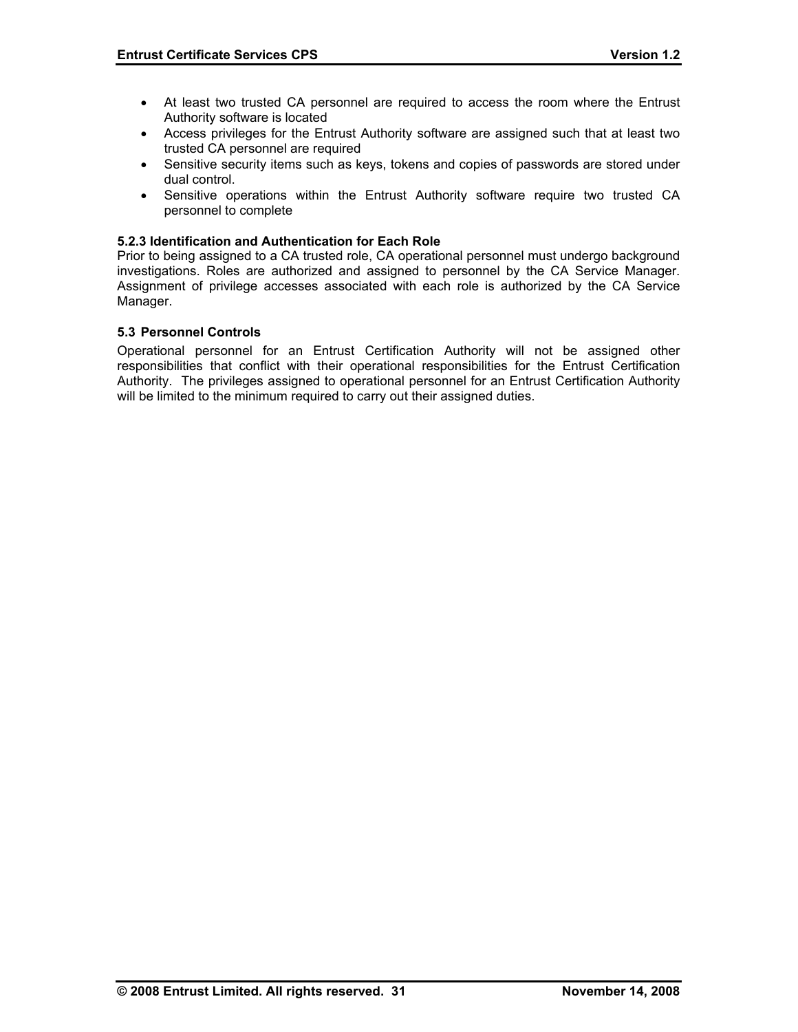- At least two trusted CA personnel are required to access the room where the Entrust Authority software is located
- Access privileges for the Entrust Authority software are assigned such that at least two trusted CA personnel are required
- Sensitive security items such as keys, tokens and copies of passwords are stored under dual control.
- Sensitive operations within the Entrust Authority software require two trusted CA personnel to complete

#### **5.2.3 Identification and Authentication for Each Role**

Prior to being assigned to a CA trusted role, CA operational personnel must undergo background investigations. Roles are authorized and assigned to personnel by the CA Service Manager. Assignment of privilege accesses associated with each role is authorized by the CA Service Manager.

#### **5.3 Personnel Controls**

Operational personnel for an Entrust Certification Authority will not be assigned other responsibilities that conflict with their operational responsibilities for the Entrust Certification Authority. The privileges assigned to operational personnel for an Entrust Certification Authority will be limited to the minimum required to carry out their assigned duties.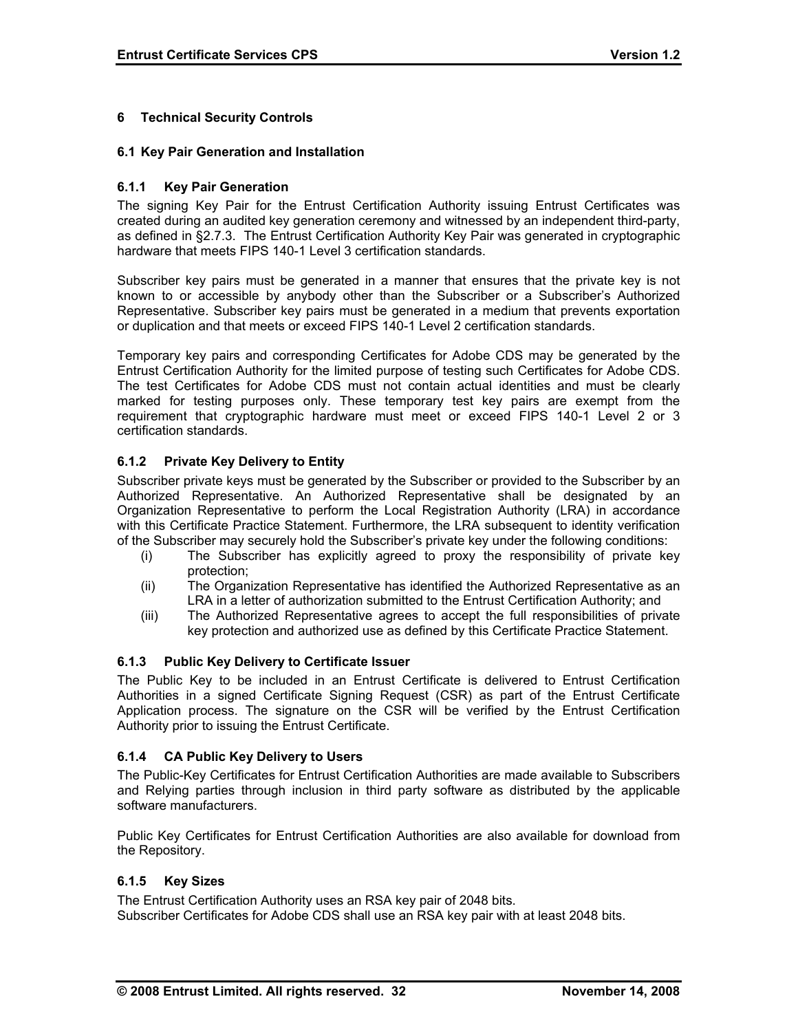## **6 Technical Security Controls**

#### **6.1 Key Pair Generation and Installation**

#### **6.1.1 Key Pair Generation**

The signing Key Pair for the Entrust Certification Authority issuing Entrust Certificates was created during an audited key generation ceremony and witnessed by an independent third-party, as defined in §2.7.3. The Entrust Certification Authority Key Pair was generated in cryptographic hardware that meets FIPS 140-1 Level 3 certification standards.

Subscriber key pairs must be generated in a manner that ensures that the private key is not known to or accessible by anybody other than the Subscriber or a Subscriber's Authorized Representative. Subscriber key pairs must be generated in a medium that prevents exportation or duplication and that meets or exceed FIPS 140-1 Level 2 certification standards.

Temporary key pairs and corresponding Certificates for Adobe CDS may be generated by the Entrust Certification Authority for the limited purpose of testing such Certificates for Adobe CDS. The test Certificates for Adobe CDS must not contain actual identities and must be clearly marked for testing purposes only. These temporary test key pairs are exempt from the requirement that cryptographic hardware must meet or exceed FIPS 140-1 Level 2 or 3 certification standards.

### **6.1.2 Private Key Delivery to Entity**

Subscriber private keys must be generated by the Subscriber or provided to the Subscriber by an Authorized Representative. An Authorized Representative shall be designated by an Organization Representative to perform the Local Registration Authority (LRA) in accordance with this Certificate Practice Statement. Furthermore, the LRA subsequent to identity verification of the Subscriber may securely hold the Subscriber's private key under the following conditions:

- (i) The Subscriber has explicitly agreed to proxy the responsibility of private key protection;
- (ii) The Organization Representative has identified the Authorized Representative as an LRA in a letter of authorization submitted to the Entrust Certification Authority; and
- (iii) The Authorized Representative agrees to accept the full responsibilities of private key protection and authorized use as defined by this Certificate Practice Statement.

### **6.1.3 Public Key Delivery to Certificate Issuer**

The Public Key to be included in an Entrust Certificate is delivered to Entrust Certification Authorities in a signed Certificate Signing Request (CSR) as part of the Entrust Certificate Application process. The signature on the CSR will be verified by the Entrust Certification Authority prior to issuing the Entrust Certificate.

### **6.1.4 CA Public Key Delivery to Users**

The Public-Key Certificates for Entrust Certification Authorities are made available to Subscribers and Relying parties through inclusion in third party software as distributed by the applicable software manufacturers.

Public Key Certificates for Entrust Certification Authorities are also available for download from the Repository.

### **6.1.5 Key Sizes**

The Entrust Certification Authority uses an RSA key pair of 2048 bits. Subscriber Certificates for Adobe CDS shall use an RSA key pair with at least 2048 bits.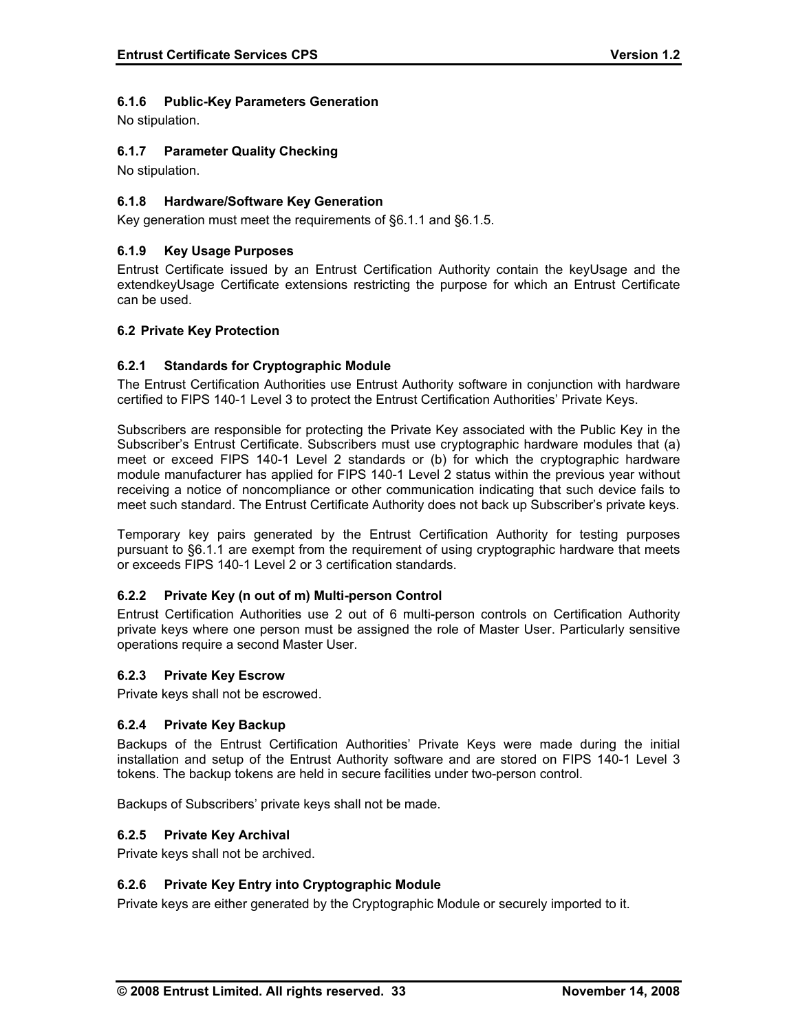# **6.1.6 Public-Key Parameters Generation**

No stipulation.

## **6.1.7 Parameter Quality Checking**

No stipulation.

## **6.1.8 Hardware/Software Key Generation**

Key generation must meet the requirements of §6.1.1 and §6.1.5.

# **6.1.9 Key Usage Purposes**

Entrust Certificate issued by an Entrust Certification Authority contain the keyUsage and the extendkeyUsage Certificate extensions restricting the purpose for which an Entrust Certificate can be used.

#### **6.2 Private Key Protection**

#### **6.2.1 Standards for Cryptographic Module**

The Entrust Certification Authorities use Entrust Authority software in conjunction with hardware certified to FIPS 140-1 Level 3 to protect the Entrust Certification Authorities' Private Keys.

Subscribers are responsible for protecting the Private Key associated with the Public Key in the Subscriber's Entrust Certificate. Subscribers must use cryptographic hardware modules that (a) meet or exceed FIPS 140-1 Level 2 standards or (b) for which the cryptographic hardware module manufacturer has applied for FIPS 140-1 Level 2 status within the previous year without receiving a notice of noncompliance or other communication indicating that such device fails to meet such standard. The Entrust Certificate Authority does not back up Subscriber's private keys.

Temporary key pairs generated by the Entrust Certification Authority for testing purposes pursuant to §6.1.1 are exempt from the requirement of using cryptographic hardware that meets or exceeds FIPS 140-1 Level 2 or 3 certification standards.

### **6.2.2 Private Key (n out of m) Multi-person Control**

Entrust Certification Authorities use 2 out of 6 multi-person controls on Certification Authority private keys where one person must be assigned the role of Master User. Particularly sensitive operations require a second Master User.

#### **6.2.3 Private Key Escrow**

Private keys shall not be escrowed.

#### **6.2.4 Private Key Backup**

Backups of the Entrust Certification Authorities' Private Keys were made during the initial installation and setup of the Entrust Authority software and are stored on FIPS 140-1 Level 3 tokens. The backup tokens are held in secure facilities under two-person control.

Backups of Subscribers' private keys shall not be made.

#### **6.2.5 Private Key Archival**

Private keys shall not be archived.

### **6.2.6 Private Key Entry into Cryptographic Module**

Private keys are either generated by the Cryptographic Module or securely imported to it.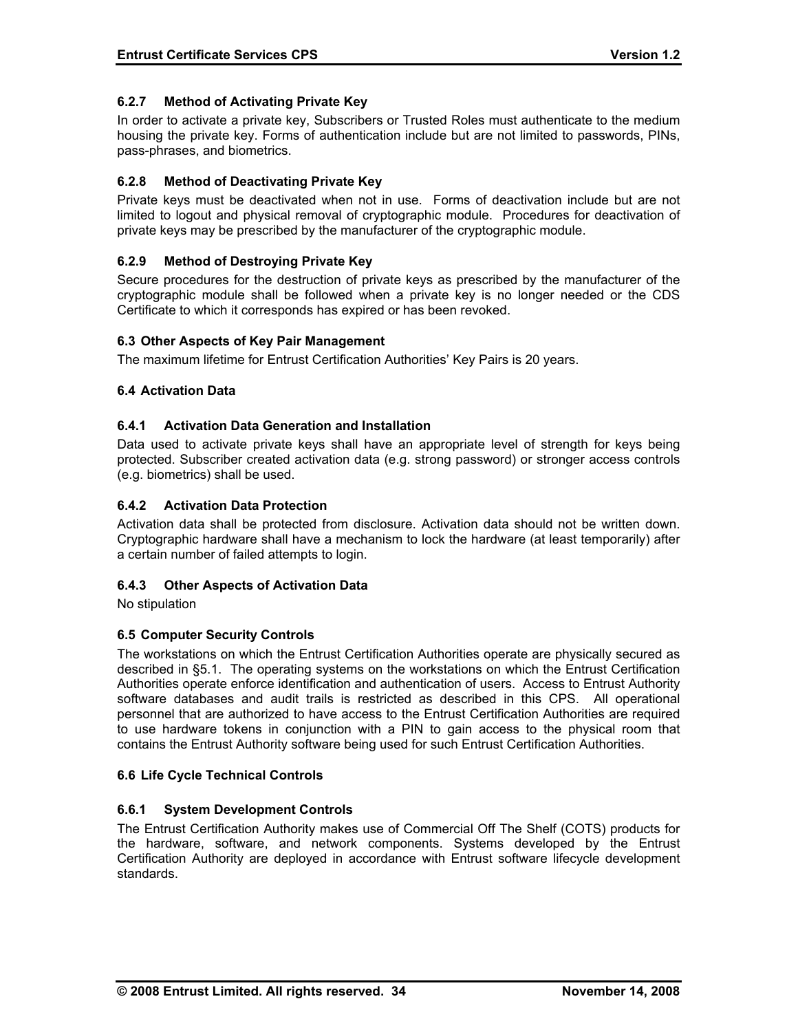## **6.2.7 Method of Activating Private Key**

In order to activate a private key, Subscribers or Trusted Roles must authenticate to the medium housing the private key. Forms of authentication include but are not limited to passwords, PINs, pass-phrases, and biometrics.

## **6.2.8 Method of Deactivating Private Key**

Private keys must be deactivated when not in use. Forms of deactivation include but are not limited to logout and physical removal of cryptographic module. Procedures for deactivation of private keys may be prescribed by the manufacturer of the cryptographic module.

# **6.2.9 Method of Destroying Private Key**

Secure procedures for the destruction of private keys as prescribed by the manufacturer of the cryptographic module shall be followed when a private key is no longer needed or the CDS Certificate to which it corresponds has expired or has been revoked.

### **6.3 Other Aspects of Key Pair Management**

The maximum lifetime for Entrust Certification Authorities' Key Pairs is 20 years.

### **6.4 Activation Data**

### **6.4.1 Activation Data Generation and Installation**

Data used to activate private keys shall have an appropriate level of strength for keys being protected. Subscriber created activation data (e.g. strong password) or stronger access controls (e.g. biometrics) shall be used.

### **6.4.2 Activation Data Protection**

Activation data shall be protected from disclosure. Activation data should not be written down. Cryptographic hardware shall have a mechanism to lock the hardware (at least temporarily) after a certain number of failed attempts to login.

### **6.4.3 Other Aspects of Activation Data**

No stipulation

### **6.5 Computer Security Controls**

The workstations on which the Entrust Certification Authorities operate are physically secured as described in §5.1. The operating systems on the workstations on which the Entrust Certification Authorities operate enforce identification and authentication of users. Access to Entrust Authority software databases and audit trails is restricted as described in this CPS. All operational personnel that are authorized to have access to the Entrust Certification Authorities are required to use hardware tokens in conjunction with a PIN to gain access to the physical room that contains the Entrust Authority software being used for such Entrust Certification Authorities.

### **6.6 Life Cycle Technical Controls**

### **6.6.1 System Development Controls**

The Entrust Certification Authority makes use of Commercial Off The Shelf (COTS) products for the hardware, software, and network components. Systems developed by the Entrust Certification Authority are deployed in accordance with Entrust software lifecycle development standards.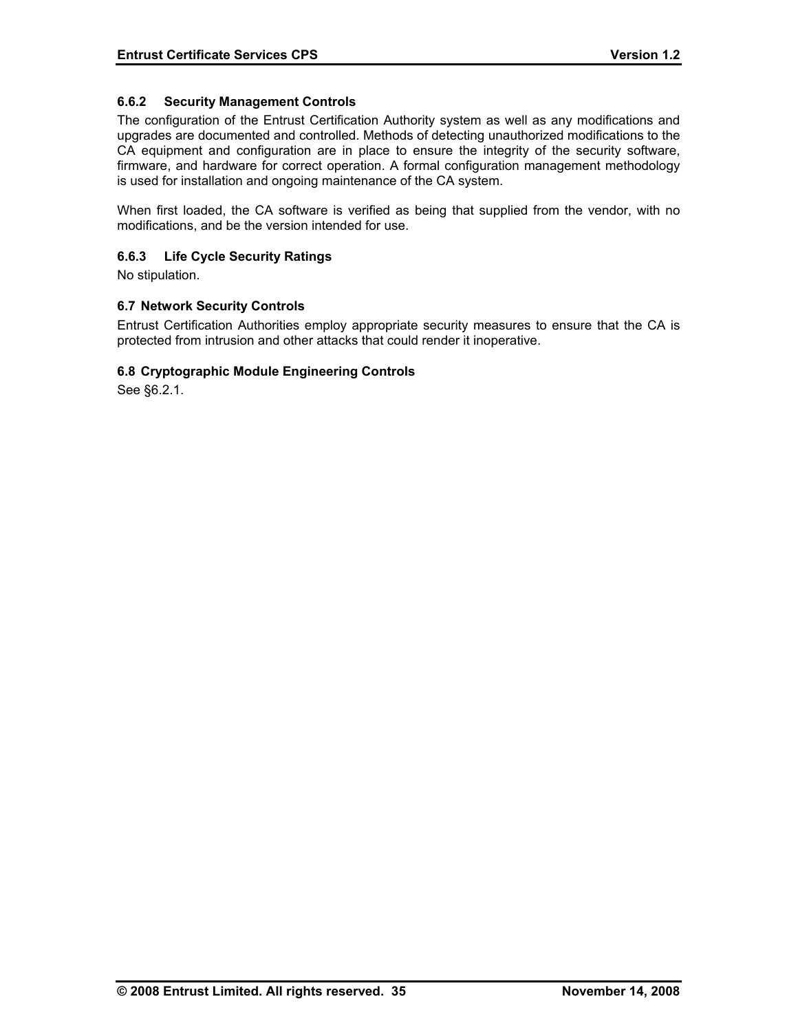### **6.6.2 Security Management Controls**

The configuration of the Entrust Certification Authority system as well as any modifications and upgrades are documented and controlled. Methods of detecting unauthorized modifications to the CA equipment and configuration are in place to ensure the integrity of the security software, firmware, and hardware for correct operation. A formal configuration management methodology is used for installation and ongoing maintenance of the CA system.

When first loaded, the CA software is verified as being that supplied from the vendor, with no modifications, and be the version intended for use.

#### **6.6.3 Life Cycle Security Ratings**

No stipulation.

#### **6.7 Network Security Controls**

Entrust Certification Authorities employ appropriate security measures to ensure that the CA is protected from intrusion and other attacks that could render it inoperative.

#### **6.8 Cryptographic Module Engineering Controls**

See §6.2.1.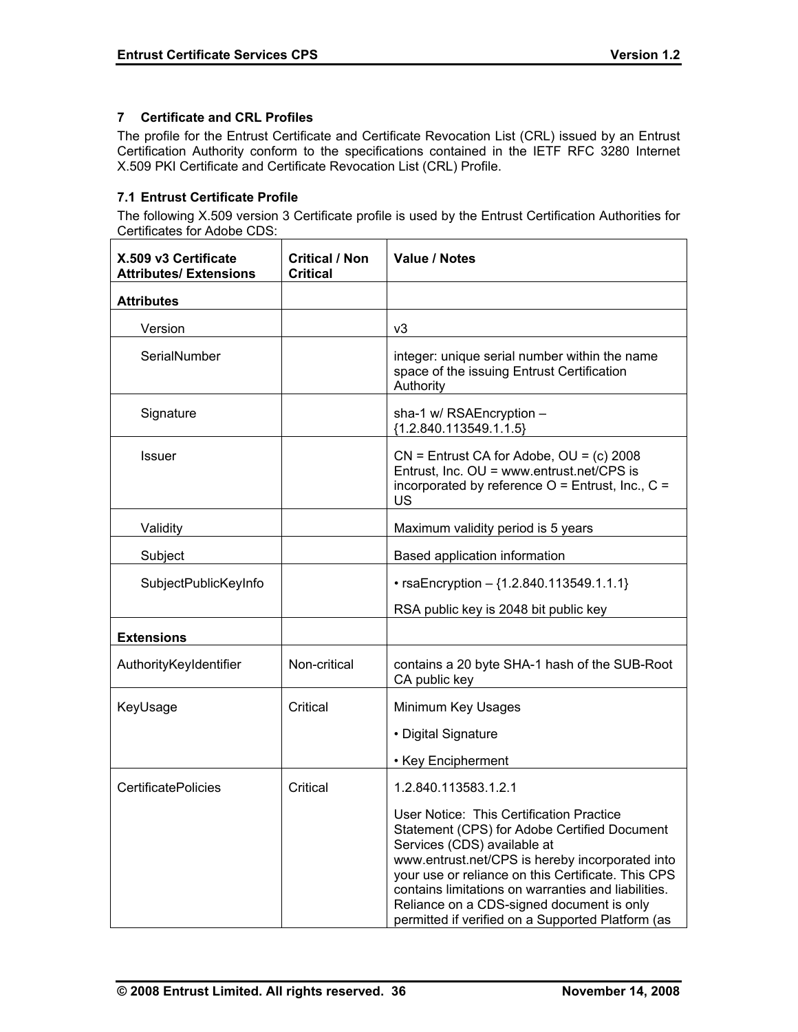## **7 Certificate and CRL Profiles**

The profile for the Entrust Certificate and Certificate Revocation List (CRL) issued by an Entrust Certification Authority conform to the specifications contained in the IETF RFC 3280 Internet X.509 PKI Certificate and Certificate Revocation List (CRL) Profile.

# **7.1 Entrust Certificate Profile**

The following X.509 version 3 Certificate profile is used by the Entrust Certification Authorities for Certificates for Adobe CDS:

| X.509 v3 Certificate<br><b>Attributes/ Extensions</b> | <b>Critical / Non</b><br><b>Critical</b> | Value / Notes                                                                                                                                                                                                                                                                                                                                                                             |
|-------------------------------------------------------|------------------------------------------|-------------------------------------------------------------------------------------------------------------------------------------------------------------------------------------------------------------------------------------------------------------------------------------------------------------------------------------------------------------------------------------------|
| <b>Attributes</b>                                     |                                          |                                                                                                                                                                                                                                                                                                                                                                                           |
| Version                                               |                                          | v3                                                                                                                                                                                                                                                                                                                                                                                        |
| SerialNumber                                          |                                          | integer: unique serial number within the name<br>space of the issuing Entrust Certification<br>Authority                                                                                                                                                                                                                                                                                  |
| Signature                                             |                                          | sha-1 w/ RSAEncryption -<br>${1.2.840.113549.1.1.5}$                                                                                                                                                                                                                                                                                                                                      |
| <b>Issuer</b>                                         |                                          | $CN =$ Entrust CA for Adobe, $OU = (c)$ 2008<br>Entrust, Inc. OU = www.entrust.net/CPS is<br>incorporated by reference $O =$ Entrust, Inc., $C =$<br>US                                                                                                                                                                                                                                   |
| Validity                                              |                                          | Maximum validity period is 5 years                                                                                                                                                                                                                                                                                                                                                        |
| Subject                                               |                                          | Based application information                                                                                                                                                                                                                                                                                                                                                             |
| SubjectPublicKeyInfo                                  |                                          | • rsaEncryption $-$ {1.2.840.113549.1.1.1}                                                                                                                                                                                                                                                                                                                                                |
|                                                       |                                          | RSA public key is 2048 bit public key                                                                                                                                                                                                                                                                                                                                                     |
| <b>Extensions</b>                                     |                                          |                                                                                                                                                                                                                                                                                                                                                                                           |
| AuthorityKeyIdentifier                                | Non-critical                             | contains a 20 byte SHA-1 hash of the SUB-Root<br>CA public key                                                                                                                                                                                                                                                                                                                            |
| KeyUsage                                              | Critical                                 | Minimum Key Usages                                                                                                                                                                                                                                                                                                                                                                        |
|                                                       |                                          | • Digital Signature                                                                                                                                                                                                                                                                                                                                                                       |
|                                                       |                                          | • Key Encipherment                                                                                                                                                                                                                                                                                                                                                                        |
| <b>CertificatePolicies</b>                            | Critical                                 | 1.2.840.113583.1.2.1                                                                                                                                                                                                                                                                                                                                                                      |
|                                                       |                                          | User Notice: This Certification Practice<br>Statement (CPS) for Adobe Certified Document<br>Services (CDS) available at<br>www.entrust.net/CPS is hereby incorporated into<br>your use or reliance on this Certificate. This CPS<br>contains limitations on warranties and liabilities.<br>Reliance on a CDS-signed document is only<br>permitted if verified on a Supported Platform (as |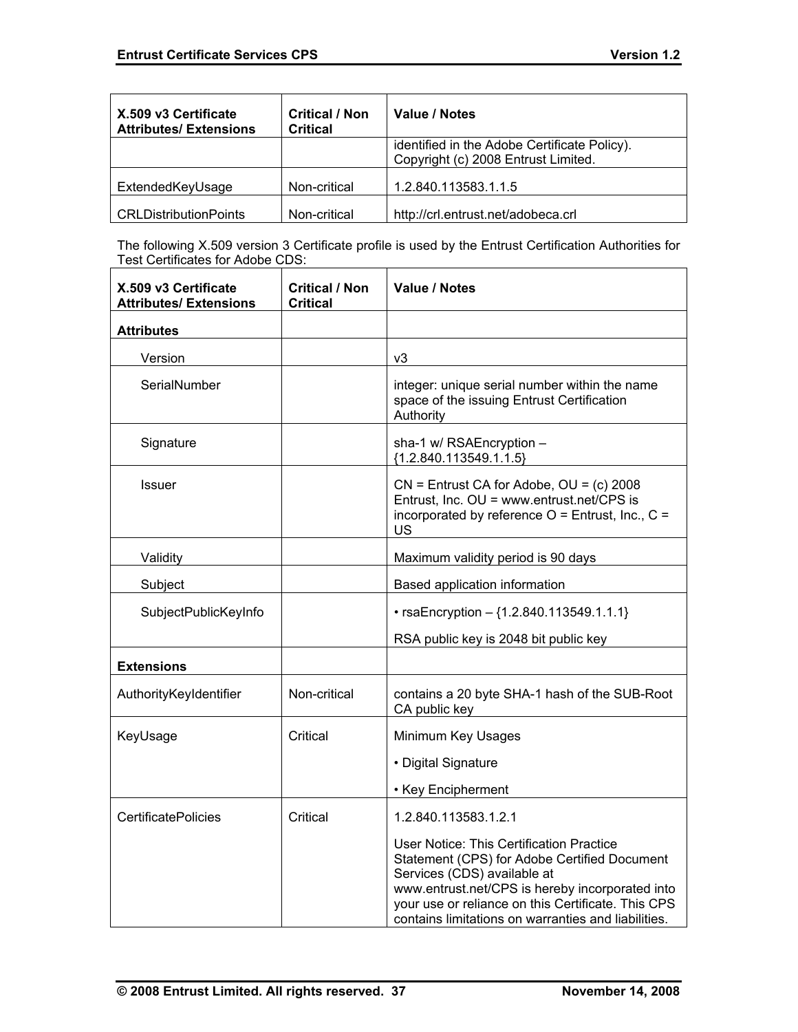| X.509 v3 Certificate<br><b>Attributes/ Extensions</b> | <b>Critical / Non</b><br><b>Critical</b> | Value / Notes                                                                       |
|-------------------------------------------------------|------------------------------------------|-------------------------------------------------------------------------------------|
|                                                       |                                          | identified in the Adobe Certificate Policy).<br>Copyright (c) 2008 Entrust Limited. |
| ExtendedKeyUsage                                      | Non-critical                             | 1.2.840.113583.1.1.5                                                                |
| <b>CRLDistributionPoints</b>                          | Non-critical                             | http://crl.entrust.net/adobeca.crl                                                  |

The following X.509 version 3 Certificate profile is used by the Entrust Certification Authorities for Test Certificates for Adobe CDS:

| X.509 v3 Certificate<br><b>Attributes/ Extensions</b> | <b>Critical / Non</b><br><b>Critical</b> | <b>Value / Notes</b>                                                                                                                                                                                                                                                                           |
|-------------------------------------------------------|------------------------------------------|------------------------------------------------------------------------------------------------------------------------------------------------------------------------------------------------------------------------------------------------------------------------------------------------|
| <b>Attributes</b>                                     |                                          |                                                                                                                                                                                                                                                                                                |
| Version                                               |                                          | v3                                                                                                                                                                                                                                                                                             |
| SerialNumber                                          |                                          | integer: unique serial number within the name<br>space of the issuing Entrust Certification<br>Authority                                                                                                                                                                                       |
| Signature                                             |                                          | sha-1 w/ RSAEncryption -<br>${1.2.840.113549.1.1.5}$                                                                                                                                                                                                                                           |
| <b>Issuer</b>                                         |                                          | $CN =$ Entrust CA for Adobe, $OU = (c)$ 2008<br>Entrust, Inc. OU = www.entrust.net/CPS is<br>incorporated by reference $O =$ Entrust, Inc., $C =$<br><b>US</b>                                                                                                                                 |
| Validity                                              |                                          | Maximum validity period is 90 days                                                                                                                                                                                                                                                             |
| Subject                                               |                                          | Based application information                                                                                                                                                                                                                                                                  |
| SubjectPublicKeyInfo                                  |                                          | • rsaEncryption $-$ {1.2.840.113549.1.1.1}                                                                                                                                                                                                                                                     |
|                                                       |                                          | RSA public key is 2048 bit public key                                                                                                                                                                                                                                                          |
| <b>Extensions</b>                                     |                                          |                                                                                                                                                                                                                                                                                                |
| AuthorityKeyIdentifier                                | Non-critical                             | contains a 20 byte SHA-1 hash of the SUB-Root<br>CA public key                                                                                                                                                                                                                                 |
| KeyUsage                                              | Critical                                 | Minimum Key Usages                                                                                                                                                                                                                                                                             |
|                                                       |                                          | • Digital Signature                                                                                                                                                                                                                                                                            |
|                                                       |                                          | • Key Encipherment                                                                                                                                                                                                                                                                             |
| <b>CertificatePolicies</b>                            | Critical                                 | 1.2.840.113583.1.2.1                                                                                                                                                                                                                                                                           |
|                                                       |                                          | <b>User Notice: This Certification Practice</b><br>Statement (CPS) for Adobe Certified Document<br>Services (CDS) available at<br>www.entrust.net/CPS is hereby incorporated into<br>your use or reliance on this Certificate. This CPS<br>contains limitations on warranties and liabilities. |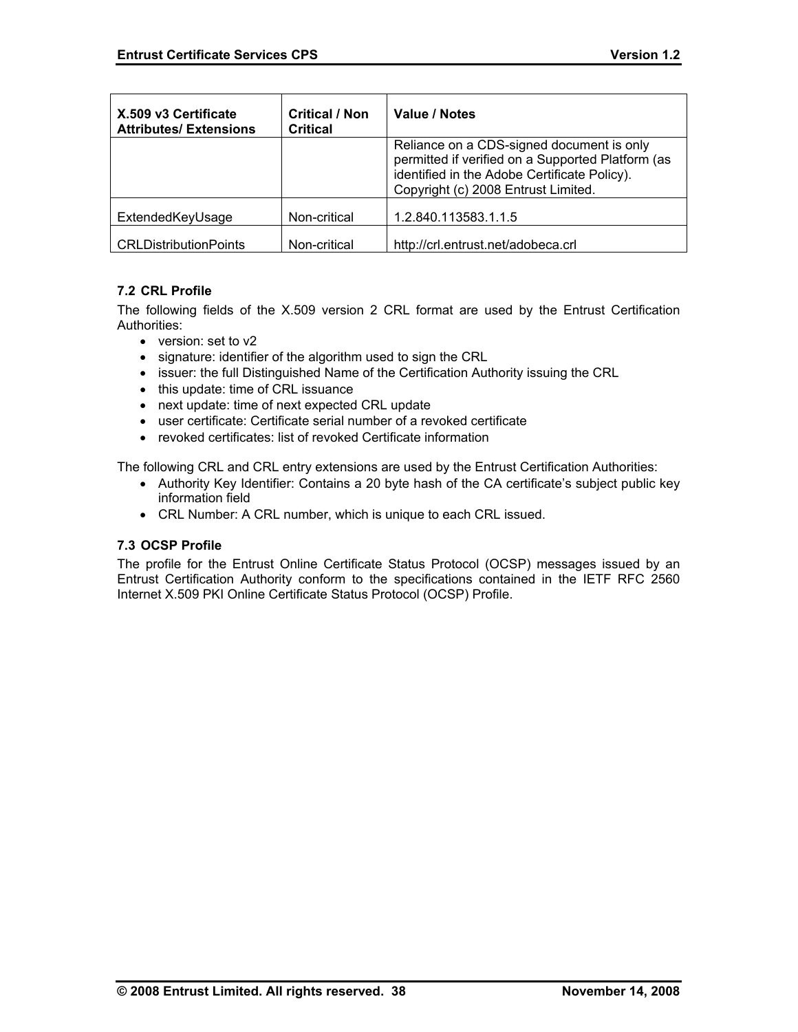| X.509 v3 Certificate<br><b>Attributes/Extensions</b> | <b>Critical / Non</b><br><b>Critical</b> | Value / Notes                                                                                                                                                                         |
|------------------------------------------------------|------------------------------------------|---------------------------------------------------------------------------------------------------------------------------------------------------------------------------------------|
|                                                      |                                          | Reliance on a CDS-signed document is only<br>permitted if verified on a Supported Platform (as<br>identified in the Adobe Certificate Policy).<br>Copyright (c) 2008 Entrust Limited. |
| ExtendedKeyUsage                                     | Non-critical                             | 1.2.840.113583.1.1.5                                                                                                                                                                  |
| <b>CRLDistributionPoints</b>                         | Non-critical                             | http://crl.entrust.net/adobeca.crl                                                                                                                                                    |

# **7.2 CRL Profile**

The following fields of the X.509 version 2 CRL format are used by the Entrust Certification Authorities:

- version: set to v2
- signature: identifier of the algorithm used to sign the CRL
- issuer: the full Distinguished Name of the Certification Authority issuing the CRL
- this update: time of CRL issuance
- next update: time of next expected CRL update
- user certificate: Certificate serial number of a revoked certificate
- revoked certificates: list of revoked Certificate information

The following CRL and CRL entry extensions are used by the Entrust Certification Authorities:

- Authority Key Identifier: Contains a 20 byte hash of the CA certificate's subject public key information field
- CRL Number: A CRL number, which is unique to each CRL issued.

### **7.3 OCSP Profile**

The profile for the Entrust Online Certificate Status Protocol (OCSP) messages issued by an Entrust Certification Authority conform to the specifications contained in the IETF RFC 2560 Internet X.509 PKI Online Certificate Status Protocol (OCSP) Profile.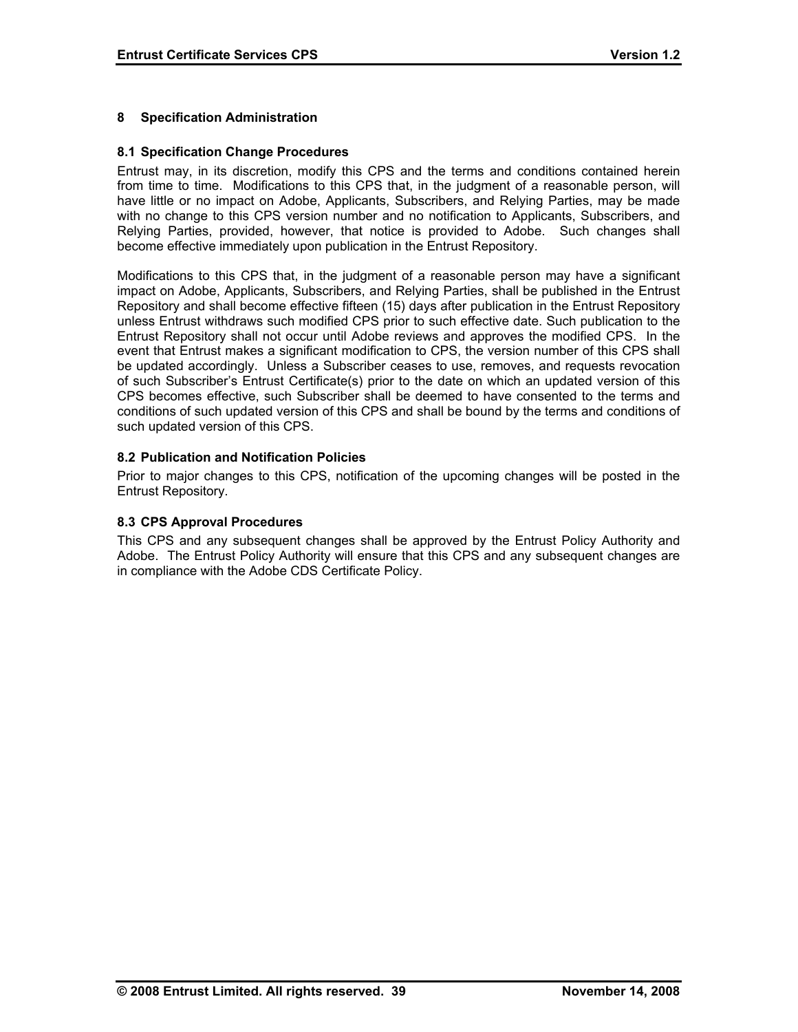## **8 Specification Administration**

#### **8.1 Specification Change Procedures**

Entrust may, in its discretion, modify this CPS and the terms and conditions contained herein from time to time. Modifications to this CPS that, in the judgment of a reasonable person, will have little or no impact on Adobe, Applicants, Subscribers, and Relying Parties, may be made with no change to this CPS version number and no notification to Applicants, Subscribers, and Relying Parties, provided, however, that notice is provided to Adobe. Such changes shall become effective immediately upon publication in the Entrust Repository.

Modifications to this CPS that, in the judgment of a reasonable person may have a significant impact on Adobe, Applicants, Subscribers, and Relying Parties, shall be published in the Entrust Repository and shall become effective fifteen (15) days after publication in the Entrust Repository unless Entrust withdraws such modified CPS prior to such effective date. Such publication to the Entrust Repository shall not occur until Adobe reviews and approves the modified CPS. In the event that Entrust makes a significant modification to CPS, the version number of this CPS shall be updated accordingly. Unless a Subscriber ceases to use, removes, and requests revocation of such Subscriber's Entrust Certificate(s) prior to the date on which an updated version of this CPS becomes effective, such Subscriber shall be deemed to have consented to the terms and conditions of such updated version of this CPS and shall be bound by the terms and conditions of such updated version of this CPS.

#### **8.2 Publication and Notification Policies**

Prior to major changes to this CPS, notification of the upcoming changes will be posted in the Entrust Repository.

#### **8.3 CPS Approval Procedures**

This CPS and any subsequent changes shall be approved by the Entrust Policy Authority and Adobe. The Entrust Policy Authority will ensure that this CPS and any subsequent changes are in compliance with the Adobe CDS Certificate Policy.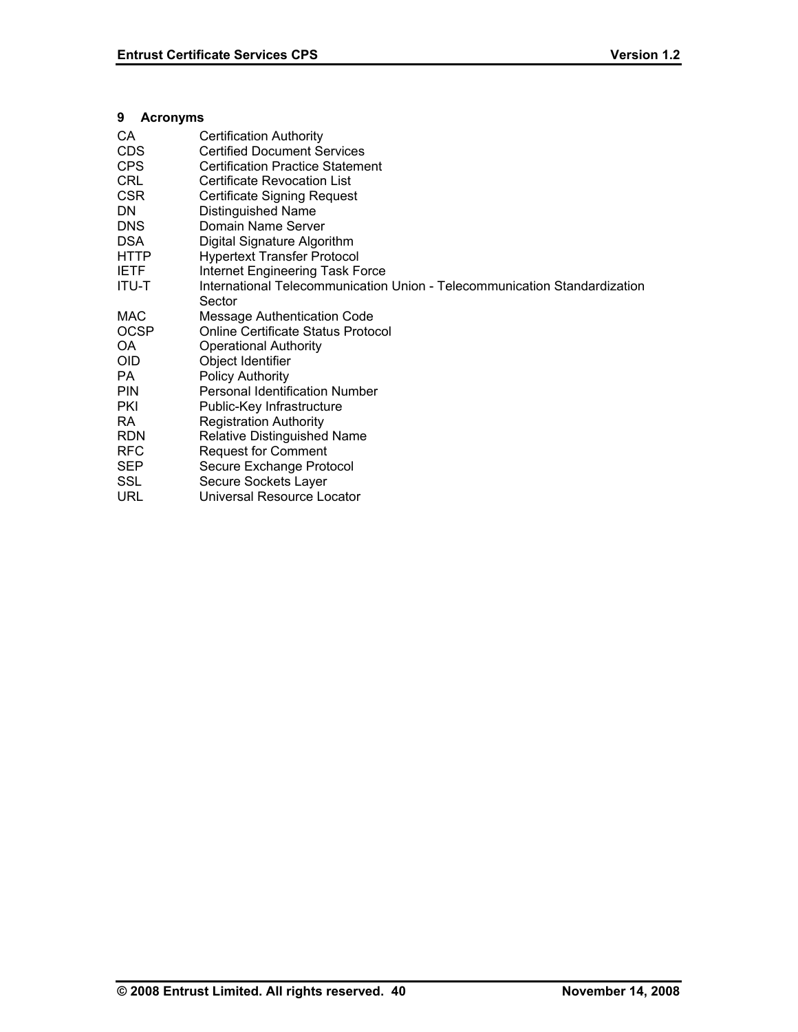# **9 Acronyms**

| CA.          | <b>Certification Authority</b>                                            |
|--------------|---------------------------------------------------------------------------|
| CDS.         | <b>Certified Document Services</b>                                        |
| <b>CPS</b>   | <b>Certification Practice Statement</b>                                   |
| <b>CRL</b>   | <b>Certificate Revocation List</b>                                        |
| <b>CSR</b>   | Certificate Signing Request                                               |
| DN.          | Distinguished Name                                                        |
| <b>DNS</b>   | Domain Name Server                                                        |
| <b>DSA</b>   | Digital Signature Algorithm                                               |
| <b>HTTP</b>  | <b>Hypertext Transfer Protocol</b>                                        |
| <b>IETF</b>  | <b>Internet Engineering Task Force</b>                                    |
| <b>ITU-T</b> | International Telecommunication Union - Telecommunication Standardization |
|              | Sector                                                                    |
| MAC          | <b>Message Authentication Code</b>                                        |
| <b>OCSP</b>  | <b>Online Certificate Status Protocol</b>                                 |
| OA           | <b>Operational Authority</b>                                              |
| <b>OID</b>   | Object Identifier                                                         |
| PA.          | <b>Policy Authority</b>                                                   |
| <b>PIN</b>   | <b>Personal Identification Number</b>                                     |
| <b>PKI</b>   | Public-Key Infrastructure                                                 |
| RA.          | <b>Registration Authority</b>                                             |
| <b>RDN</b>   | <b>Relative Distinguished Name</b>                                        |
| <b>RFC</b>   | <b>Request for Comment</b>                                                |
| <b>SEP</b>   | Secure Exchange Protocol                                                  |
| <b>SSL</b>   | Secure Sockets Layer                                                      |
| <b>URL</b>   | Universal Resource Locator                                                |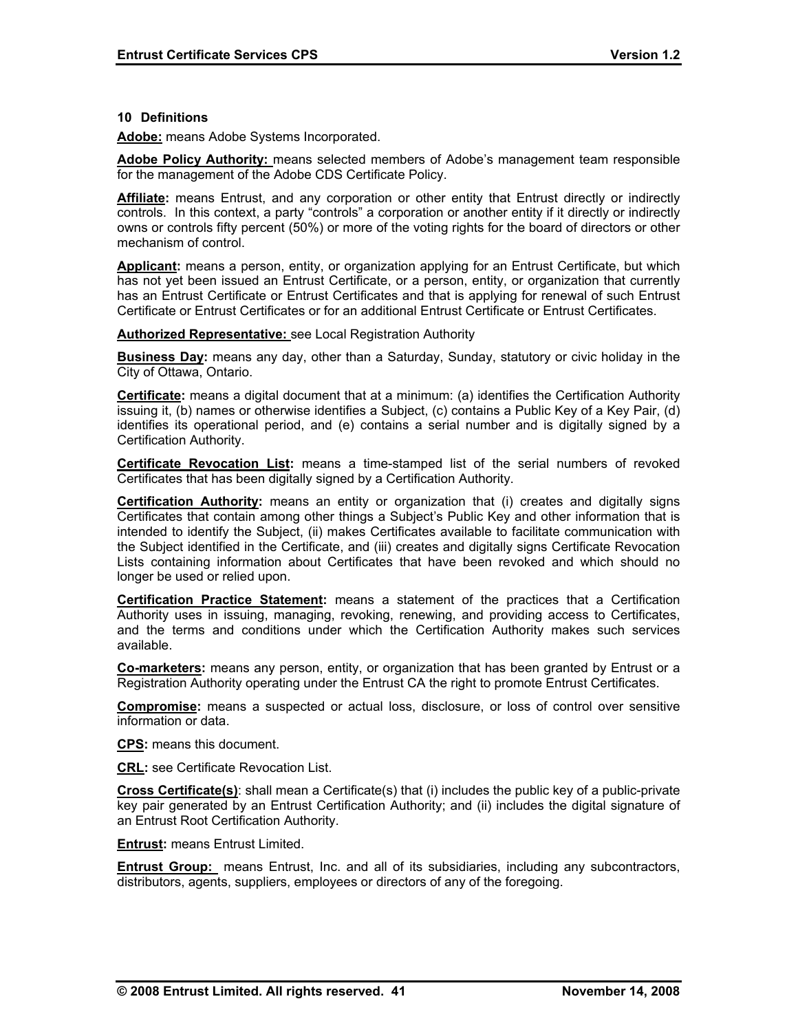#### **10 Definitions**

**Adobe:** means Adobe Systems Incorporated.

**Adobe Policy Authority:** means selected members of Adobe's management team responsible for the management of the Adobe CDS Certificate Policy.

**Affiliate:** means Entrust, and any corporation or other entity that Entrust directly or indirectly controls. In this context, a party "controls" a corporation or another entity if it directly or indirectly owns or controls fifty percent (50%) or more of the voting rights for the board of directors or other mechanism of control.

**Applicant:** means a person, entity, or organization applying for an Entrust Certificate, but which has not yet been issued an Entrust Certificate, or a person, entity, or organization that currently has an Entrust Certificate or Entrust Certificates and that is applying for renewal of such Entrust Certificate or Entrust Certificates or for an additional Entrust Certificate or Entrust Certificates.

#### **Authorized Representative:** see Local Registration Authority

**Business Day:** means any day, other than a Saturday, Sunday, statutory or civic holiday in the City of Ottawa, Ontario.

**Certificate:** means a digital document that at a minimum: (a) identifies the Certification Authority issuing it, (b) names or otherwise identifies a Subject, (c) contains a Public Key of a Key Pair, (d) identifies its operational period, and (e) contains a serial number and is digitally signed by a Certification Authority.

**Certificate Revocation List:** means a time-stamped list of the serial numbers of revoked Certificates that has been digitally signed by a Certification Authority.

**Certification Authority:** means an entity or organization that (i) creates and digitally signs Certificates that contain among other things a Subject's Public Key and other information that is intended to identify the Subject, (ii) makes Certificates available to facilitate communication with the Subject identified in the Certificate, and (iii) creates and digitally signs Certificate Revocation Lists containing information about Certificates that have been revoked and which should no longer be used or relied upon.

**Certification Practice Statement:** means a statement of the practices that a Certification Authority uses in issuing, managing, revoking, renewing, and providing access to Certificates, and the terms and conditions under which the Certification Authority makes such services available.

**Co-marketers:** means any person, entity, or organization that has been granted by Entrust or a Registration Authority operating under the Entrust CA the right to promote Entrust Certificates.

**Compromise:** means a suspected or actual loss, disclosure, or loss of control over sensitive information or data.

**CPS:** means this document.

**CRL:** see Certificate Revocation List.

**Cross Certificate(s)**: shall mean a Certificate(s) that (i) includes the public key of a public-private key pair generated by an Entrust Certification Authority; and (ii) includes the digital signature of an Entrust Root Certification Authority.

**Entrust:** means Entrust Limited.

**Entrust Group:** means Entrust, Inc. and all of its subsidiaries, including any subcontractors, distributors, agents, suppliers, employees or directors of any of the foregoing.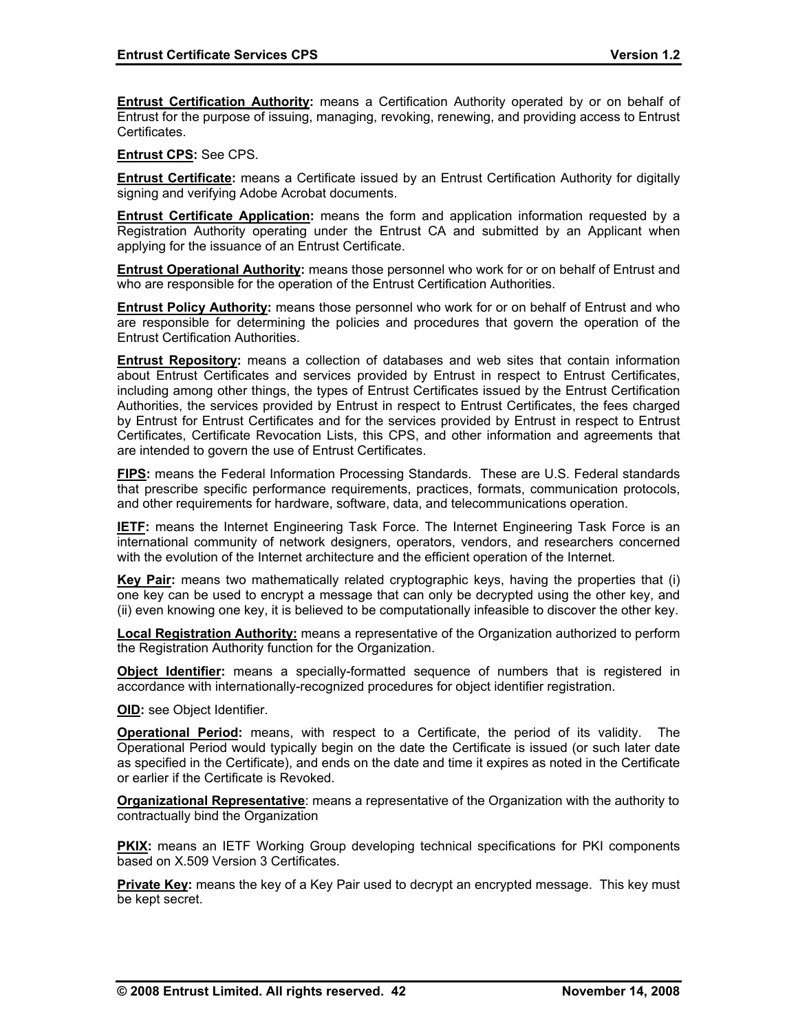**Entrust Certification Authority:** means a Certification Authority operated by or on behalf of Entrust for the purpose of issuing, managing, revoking, renewing, and providing access to Entrust Certificates.

**Entrust CPS:** See CPS.

**Entrust Certificate:** means a Certificate issued by an Entrust Certification Authority for digitally signing and verifying Adobe Acrobat documents.

**Entrust Certificate Application:** means the form and application information requested by a Registration Authority operating under the Entrust CA and submitted by an Applicant when applying for the issuance of an Entrust Certificate.

**Entrust Operational Authority:** means those personnel who work for or on behalf of Entrust and who are responsible for the operation of the Entrust Certification Authorities.

**Entrust Policy Authority:** means those personnel who work for or on behalf of Entrust and who are responsible for determining the policies and procedures that govern the operation of the Entrust Certification Authorities.

**Entrust Repository:** means a collection of databases and web sites that contain information about Entrust Certificates and services provided by Entrust in respect to Entrust Certificates, including among other things, the types of Entrust Certificates issued by the Entrust Certification Authorities, the services provided by Entrust in respect to Entrust Certificates, the fees charged by Entrust for Entrust Certificates and for the services provided by Entrust in respect to Entrust Certificates, Certificate Revocation Lists, this CPS, and other information and agreements that are intended to govern the use of Entrust Certificates.

**FIPS:** means the Federal Information Processing Standards. These are U.S. Federal standards that prescribe specific performance requirements, practices, formats, communication protocols, and other requirements for hardware, software, data, and telecommunications operation.

**IETF:** means the Internet Engineering Task Force. The Internet Engineering Task Force is an international community of network designers, operators, vendors, and researchers concerned with the evolution of the Internet architecture and the efficient operation of the Internet.

**Key Pair:** means two mathematically related cryptographic keys, having the properties that (i) one key can be used to encrypt a message that can only be decrypted using the other key, and (ii) even knowing one key, it is believed to be computationally infeasible to discover the other key.

**Local Registration Authority:** means a representative of the Organization authorized to perform the Registration Authority function for the Organization.

**Object Identifier:** means a specially-formatted sequence of numbers that is registered in accordance with internationally-recognized procedures for object identifier registration.

**OID:** see Object Identifier.

**Operational Period:** means, with respect to a Certificate, the period of its validity. The Operational Period would typically begin on the date the Certificate is issued (or such later date as specified in the Certificate), and ends on the date and time it expires as noted in the Certificate or earlier if the Certificate is Revoked.

**Organizational Representative**: means a representative of the Organization with the authority to contractually bind the Organization

**PKIX:** means an IETF Working Group developing technical specifications for PKI components based on X.509 Version 3 Certificates.

**Private Key:** means the key of a Key Pair used to decrypt an encrypted message. This key must be kept secret.